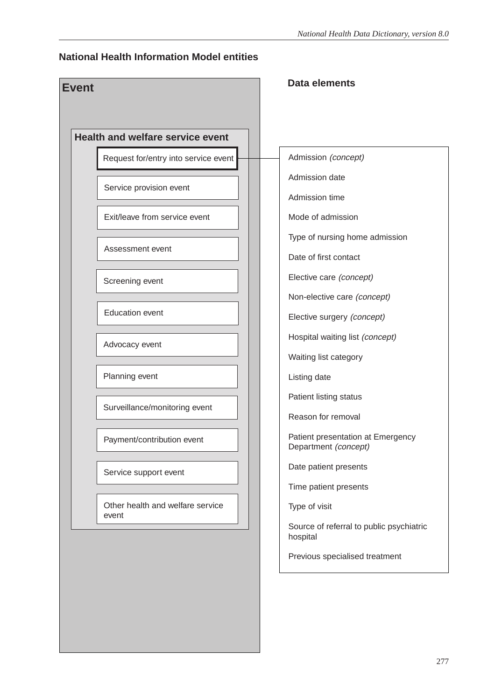### **National Health Information Model entities**

| <b>Health and welfare service event</b>   |                                                           |
|-------------------------------------------|-----------------------------------------------------------|
| Request for/entry into service event      | Admission (concept)                                       |
| Service provision event                   | Admission date                                            |
|                                           | Admission time                                            |
| Exit/leave from service event             | Mode of admission                                         |
| Assessment event                          | Type of nursing home admission                            |
|                                           | Date of first contact                                     |
| Screening event                           | Elective care (concept)                                   |
|                                           | Non-elective care (concept)                               |
| <b>Education event</b>                    | Elective surgery (concept)                                |
| Advocacy event                            | Hospital waiting list (concept)                           |
|                                           | Waiting list category                                     |
| Planning event                            | Listing date                                              |
| Surveillance/monitoring event             | Patient listing status                                    |
|                                           | Reason for removal                                        |
| Payment/contribution event                | Patient presentation at Emergency<br>Department (concept) |
| Service support event                     | Date patient presents                                     |
|                                           | Time patient presents                                     |
| Other health and welfare service<br>event | Type of visit                                             |
|                                           | Source of referral to public psychiatric<br>hospital      |
|                                           | Previous specialised treatment                            |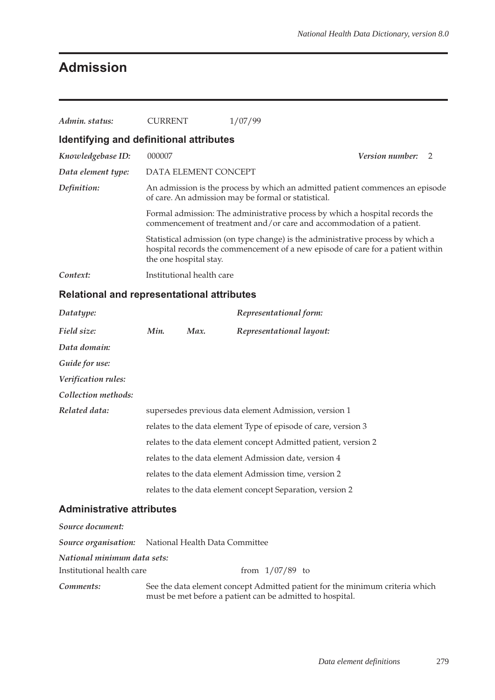# **Admission**

| Admin. status:                          | CURRENT                                             | 1/07/99                                                                                                                                                            |                        |  |
|-----------------------------------------|-----------------------------------------------------|--------------------------------------------------------------------------------------------------------------------------------------------------------------------|------------------------|--|
| Identifying and definitional attributes |                                                     |                                                                                                                                                                    |                        |  |
| Knowledgebase ID:                       | 000007                                              |                                                                                                                                                                    | <b>Version number:</b> |  |
| Data element type:                      | DATA ELEMENT CONCEPT                                |                                                                                                                                                                    |                        |  |
| Definition:                             | of care. An admission may be formal or statistical. | An admission is the process by which an admitted patient commences an episode                                                                                      |                        |  |
|                                         |                                                     | Formal admission: The administrative process by which a hospital records the<br>commencement of treatment and/or care and accommodation of a patient.              |                        |  |
|                                         | the one hospital stay.                              | Statistical admission (on type change) is the administrative process by which a<br>hospital records the commencement of a new episode of care for a patient within |                        |  |
| Context:                                | Institutional health care                           |                                                                                                                                                                    |                        |  |

### **Relational and representational attributes**

| Datatype:                        |                                                                 |      | Representational form:                                    |  |  |
|----------------------------------|-----------------------------------------------------------------|------|-----------------------------------------------------------|--|--|
| Field size:                      | Min.                                                            | Max. | Representational layout:                                  |  |  |
| Data domain:                     |                                                                 |      |                                                           |  |  |
| Guide for use:                   |                                                                 |      |                                                           |  |  |
| Verification rules:              |                                                                 |      |                                                           |  |  |
| Collection methods:              |                                                                 |      |                                                           |  |  |
| Related data:                    | supersedes previous data element Admission, version 1           |      |                                                           |  |  |
|                                  | relates to the data element Type of episode of care, version 3  |      |                                                           |  |  |
|                                  | relates to the data element concept Admitted patient, version 2 |      |                                                           |  |  |
|                                  |                                                                 |      | relates to the data element Admission date, version 4     |  |  |
|                                  |                                                                 |      | relates to the data element Admission time, version 2     |  |  |
|                                  |                                                                 |      | relates to the data element concept Separation, version 2 |  |  |
| <b>Administrative attributes</b> |                                                                 |      |                                                           |  |  |

| Source document:            |                                                                                                                                           |  |  |  |  |  |
|-----------------------------|-------------------------------------------------------------------------------------------------------------------------------------------|--|--|--|--|--|
|                             | <b>Source organisation:</b> National Health Data Committee                                                                                |  |  |  |  |  |
| National minimum data sets: |                                                                                                                                           |  |  |  |  |  |
| Institutional health care   | from $1/07/89$ to                                                                                                                         |  |  |  |  |  |
| Comments:                   | See the data element concept Admitted patient for the minimum criteria which<br>must be met before a patient can be admitted to hospital. |  |  |  |  |  |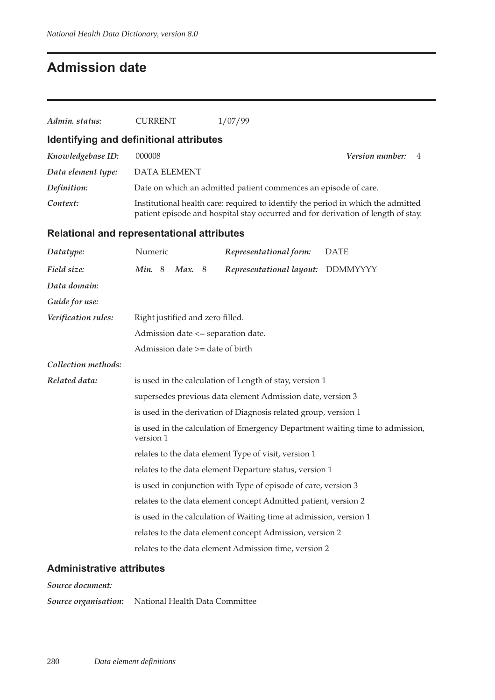## **Admission date**

| Admin. status:      | <b>CURRENT</b>                                    | 1/07/99                                                                                                                                                              |                      |  |  |  |  |
|---------------------|---------------------------------------------------|----------------------------------------------------------------------------------------------------------------------------------------------------------------------|----------------------|--|--|--|--|
|                     | Identifying and definitional attributes           |                                                                                                                                                                      |                      |  |  |  |  |
| Knowledgebase ID:   | 000008                                            |                                                                                                                                                                      | Version number:<br>4 |  |  |  |  |
| Data element type:  | DATA ELEMENT                                      |                                                                                                                                                                      |                      |  |  |  |  |
| Definition:         |                                                   | Date on which an admitted patient commences an episode of care.                                                                                                      |                      |  |  |  |  |
| Context:            |                                                   | Institutional health care: required to identify the period in which the admitted<br>patient episode and hospital stay occurred and for derivation of length of stay. |                      |  |  |  |  |
|                     | <b>Relational and representational attributes</b> |                                                                                                                                                                      |                      |  |  |  |  |
| Datatype:           | Numeric                                           | Representational form:                                                                                                                                               | <b>DATE</b>          |  |  |  |  |
| Field size:         | Min. 8<br><b>Max.</b> 8                           | Representational layout: DDMMYYYY                                                                                                                                    |                      |  |  |  |  |
| Data domain:        |                                                   |                                                                                                                                                                      |                      |  |  |  |  |
| Guide for use:      |                                                   |                                                                                                                                                                      |                      |  |  |  |  |
| Verification rules: | Right justified and zero filled.                  |                                                                                                                                                                      |                      |  |  |  |  |
|                     | Admission date <= separation date.                |                                                                                                                                                                      |                      |  |  |  |  |
|                     |                                                   | Admission date >= date of birth                                                                                                                                      |                      |  |  |  |  |
| Collection methods: |                                                   |                                                                                                                                                                      |                      |  |  |  |  |
| Related data:       |                                                   | is used in the calculation of Length of stay, version 1                                                                                                              |                      |  |  |  |  |
|                     |                                                   | supersedes previous data element Admission date, version 3                                                                                                           |                      |  |  |  |  |
|                     |                                                   | is used in the derivation of Diagnosis related group, version 1                                                                                                      |                      |  |  |  |  |
|                     | version 1                                         | is used in the calculation of Emergency Department waiting time to admission,                                                                                        |                      |  |  |  |  |
|                     |                                                   | relates to the data element Type of visit, version 1                                                                                                                 |                      |  |  |  |  |
|                     |                                                   | relates to the data element Departure status, version 1                                                                                                              |                      |  |  |  |  |
|                     |                                                   | is used in conjunction with Type of episode of care, version 3                                                                                                       |                      |  |  |  |  |
|                     |                                                   | relates to the data element concept Admitted patient, version 2                                                                                                      |                      |  |  |  |  |
|                     |                                                   | is used in the calculation of Waiting time at admission, version 1                                                                                                   |                      |  |  |  |  |
|                     |                                                   | relates to the data element concept Admission, version 2                                                                                                             |                      |  |  |  |  |
|                     |                                                   | relates to the data element Admission time, version 2                                                                                                                |                      |  |  |  |  |

### **Administrative attributes**

*Source document:*

*Source organisation:* National Health Data Committee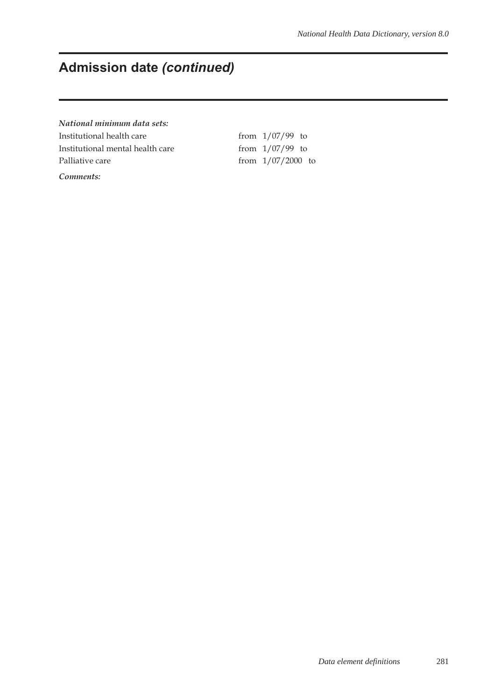# **Admission date** *(continued)*

*National minimum data sets:*

Institutional health care  $\frac{1}{07/99}$  to Institutional mental health care from  $1/07/99$  to Palliative care from 1/07/2000 to

*Comments:*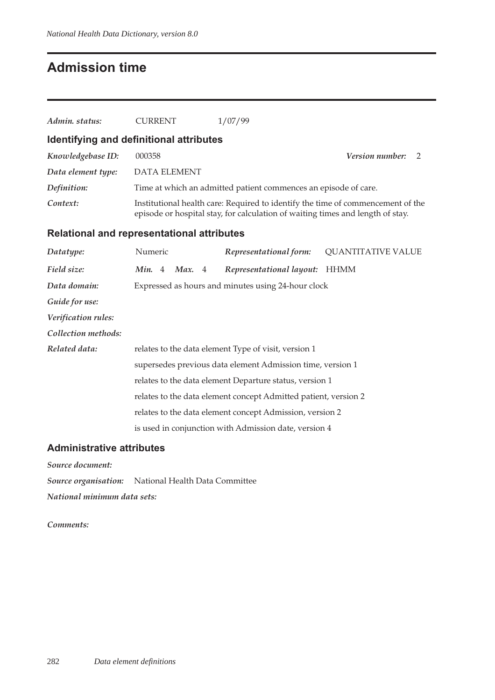### **Admission time**

| Admin. status:                                    | <b>CURRENT</b>      | 1/07/99                                                                        |                                                                                 |  |  |  |
|---------------------------------------------------|---------------------|--------------------------------------------------------------------------------|---------------------------------------------------------------------------------|--|--|--|
| Identifying and definitional attributes           |                     |                                                                                |                                                                                 |  |  |  |
| Knowledgebase ID:                                 | 000358              |                                                                                | Version number:<br>2                                                            |  |  |  |
| Data element type:                                | <b>DATA ELEMENT</b> |                                                                                |                                                                                 |  |  |  |
| Definition:                                       |                     | Time at which an admitted patient commences an episode of care.                |                                                                                 |  |  |  |
| Context:                                          |                     | episode or hospital stay, for calculation of waiting times and length of stay. | Institutional health care: Required to identify the time of commencement of the |  |  |  |
| <b>Relational and representational attributes</b> |                     |                                                                                |                                                                                 |  |  |  |
| Datatype:                                         | Numeric             | Representational form:                                                         | <b>QUANTITATIVE VALUE</b>                                                       |  |  |  |
| Field size:                                       | Max. 4<br>Min. $4$  | Representational layout:                                                       | <b>HHMM</b>                                                                     |  |  |  |
| Data domain:                                      |                     | Expressed as hours and minutes using 24-hour clock                             |                                                                                 |  |  |  |
| Guide for use:                                    |                     |                                                                                |                                                                                 |  |  |  |
| Verification rules:                               |                     |                                                                                |                                                                                 |  |  |  |
| Collection methods:                               |                     |                                                                                |                                                                                 |  |  |  |
| Related data:                                     |                     | relates to the data element Type of visit, version 1                           |                                                                                 |  |  |  |
|                                                   |                     | supersedes previous data element Admission time, version 1                     |                                                                                 |  |  |  |
|                                                   |                     | relates to the data element Departure status, version 1                        |                                                                                 |  |  |  |
|                                                   |                     | relates to the data element concept Admitted patient, version 2                |                                                                                 |  |  |  |

relates to the data element concept Admission, version 2 is used in conjunction with Admission date, version 4

#### **Administrative attributes**

*Source document:*

*Source organisation:* National Health Data Committee

*National minimum data sets:*

*Comments:*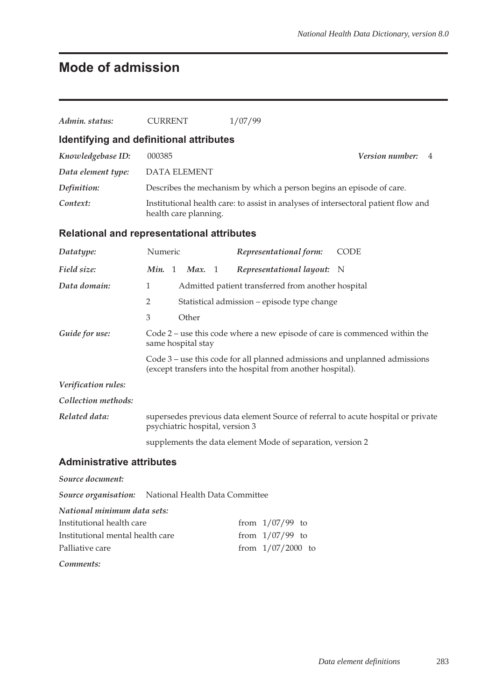# **Mode of admission**

| Admin. status:                                      | <b>CURRENT</b>                                                                                   | 1/07/99                                                                                                                                   |                      |  |  |  |  |  |
|-----------------------------------------------------|--------------------------------------------------------------------------------------------------|-------------------------------------------------------------------------------------------------------------------------------------------|----------------------|--|--|--|--|--|
| Identifying and definitional attributes             |                                                                                                  |                                                                                                                                           |                      |  |  |  |  |  |
| Knowledgebase ID:                                   | 000385                                                                                           |                                                                                                                                           | Version number:<br>4 |  |  |  |  |  |
| Data element type:                                  | <b>DATA ELEMENT</b>                                                                              |                                                                                                                                           |                      |  |  |  |  |  |
| Definition:                                         |                                                                                                  | Describes the mechanism by which a person begins an episode of care.                                                                      |                      |  |  |  |  |  |
| Context:                                            |                                                                                                  | Institutional health care: to assist in analyses of intersectoral patient flow and<br>health care planning.                               |                      |  |  |  |  |  |
| Relational and representational attributes          |                                                                                                  |                                                                                                                                           |                      |  |  |  |  |  |
| Datatype:                                           | Numeric                                                                                          | Representational form:                                                                                                                    | <b>CODE</b>          |  |  |  |  |  |
| Field size:                                         | Min. 1<br>Max. $1$                                                                               | Representational layout:                                                                                                                  | N                    |  |  |  |  |  |
| Data domain:                                        | $\mathbf{1}$                                                                                     | Admitted patient transferred from another hospital                                                                                        |                      |  |  |  |  |  |
|                                                     | 2<br>Statistical admission – episode type change                                                 |                                                                                                                                           |                      |  |  |  |  |  |
|                                                     | 3<br>Other                                                                                       |                                                                                                                                           |                      |  |  |  |  |  |
| Guide for use:                                      | Code 2 – use this code where a new episode of care is commenced within the<br>same hospital stay |                                                                                                                                           |                      |  |  |  |  |  |
|                                                     |                                                                                                  | Code 3 – use this code for all planned admissions and unplanned admissions<br>(except transfers into the hospital from another hospital). |                      |  |  |  |  |  |
| Verification rules:                                 |                                                                                                  |                                                                                                                                           |                      |  |  |  |  |  |
| Collection methods:                                 |                                                                                                  |                                                                                                                                           |                      |  |  |  |  |  |
| Related data:                                       | psychiatric hospital, version 3                                                                  | supersedes previous data element Source of referral to acute hospital or private                                                          |                      |  |  |  |  |  |
|                                                     | supplements the data element Mode of separation, version 2                                       |                                                                                                                                           |                      |  |  |  |  |  |
| <b>Administrative attributes</b>                    |                                                                                                  |                                                                                                                                           |                      |  |  |  |  |  |
| Source document:                                    |                                                                                                  |                                                                                                                                           |                      |  |  |  |  |  |
| Source organisation: National Health Data Committee |                                                                                                  |                                                                                                                                           |                      |  |  |  |  |  |
| National minimum data sets:                         |                                                                                                  |                                                                                                                                           |                      |  |  |  |  |  |
| Institutional health care                           |                                                                                                  | from $1/07/99$ to                                                                                                                         |                      |  |  |  |  |  |
| Institutional mental health care                    |                                                                                                  | from $1/07/99$ to                                                                                                                         |                      |  |  |  |  |  |
| Palliative care                                     |                                                                                                  | from 1/07/2000 to                                                                                                                         |                      |  |  |  |  |  |
| Comments:                                           |                                                                                                  |                                                                                                                                           |                      |  |  |  |  |  |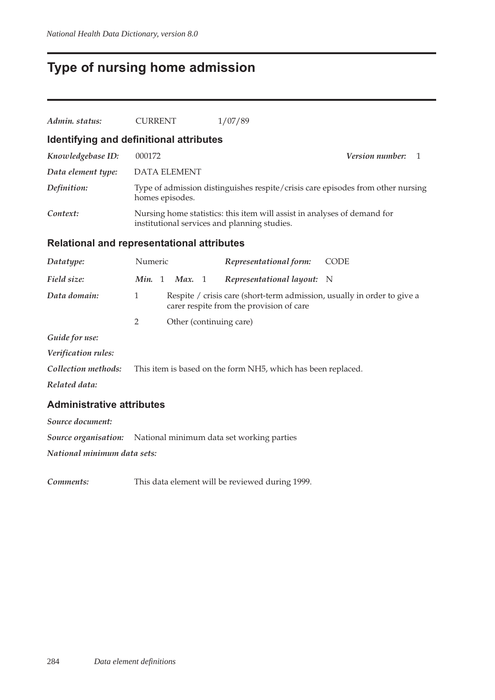# **Type of nursing home admission**

| Admin. status:                                    | <b>CURRENT</b>  |                     | 1/07/89                                                                                                                  |                             |  |  |  |
|---------------------------------------------------|-----------------|---------------------|--------------------------------------------------------------------------------------------------------------------------|-----------------------------|--|--|--|
| Identifying and definitional attributes           |                 |                     |                                                                                                                          |                             |  |  |  |
| Knowledgebase ID:                                 | 000172          |                     |                                                                                                                          | <b>Version number:</b><br>1 |  |  |  |
| Data element type:                                |                 | <b>DATA ELEMENT</b> |                                                                                                                          |                             |  |  |  |
| Definition:                                       | homes episodes. |                     | Type of admission distinguishes respite/crisis care episodes from other nursing                                          |                             |  |  |  |
| Context:                                          |                 |                     | Nursing home statistics: this item will assist in analyses of demand for<br>institutional services and planning studies. |                             |  |  |  |
| <b>Relational and representational attributes</b> |                 |                     |                                                                                                                          |                             |  |  |  |
| Datatype:                                         | Numeric         |                     | Representational form:                                                                                                   | <b>CODE</b>                 |  |  |  |
| Field size:                                       | Min. 1          | Max. 1              | Representational layout:                                                                                                 | N                           |  |  |  |
| Data domain:                                      | $\mathbf{1}$    |                     | Respite / crisis care (short-term admission, usually in order to give a<br>carer respite from the provision of care      |                             |  |  |  |
|                                                   | $\overline{2}$  |                     | Other (continuing care)                                                                                                  |                             |  |  |  |
| Guide for use:                                    |                 |                     |                                                                                                                          |                             |  |  |  |
| Verification rules:                               |                 |                     |                                                                                                                          |                             |  |  |  |
| Collection methods:                               |                 |                     | This item is based on the form NH5, which has been replaced.                                                             |                             |  |  |  |
| Related data:                                     |                 |                     |                                                                                                                          |                             |  |  |  |
| <b>Administrative attributes</b>                  |                 |                     |                                                                                                                          |                             |  |  |  |
| Source document:                                  |                 |                     |                                                                                                                          |                             |  |  |  |
|                                                   |                 |                     | <b>Source organisation:</b> National minimum data set working parties                                                    |                             |  |  |  |
| National minimum data sets:                       |                 |                     |                                                                                                                          |                             |  |  |  |
|                                                   |                 |                     |                                                                                                                          |                             |  |  |  |

*Comments:* This data element will be reviewed during 1999.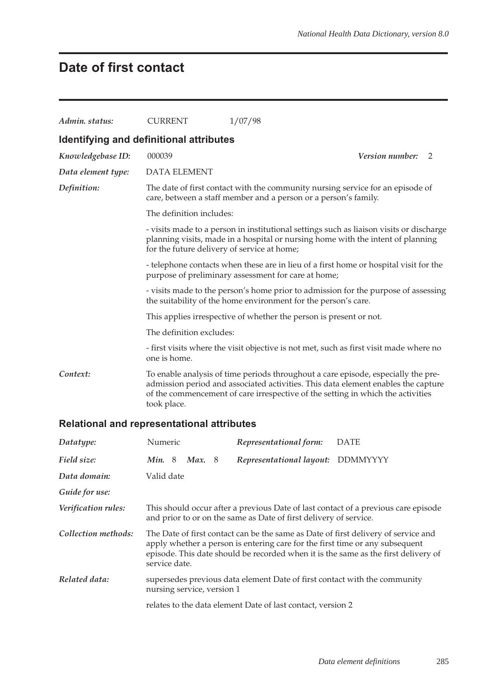### **Date of first contact**

| Admin. status:                          | <b>CURRENT</b>                              | 1/07/98                                                                                                                                                                                                                                                   |  |
|-----------------------------------------|---------------------------------------------|-----------------------------------------------------------------------------------------------------------------------------------------------------------------------------------------------------------------------------------------------------------|--|
| Identifying and definitional attributes |                                             |                                                                                                                                                                                                                                                           |  |
| Knowledgebase ID:                       | 000039                                      | <b>Version number:</b><br>2                                                                                                                                                                                                                               |  |
| Data element type:                      | <b>DATA ELEMENT</b>                         |                                                                                                                                                                                                                                                           |  |
| Definition:                             |                                             | The date of first contact with the community nursing service for an episode of<br>care, between a staff member and a person or a person's family.                                                                                                         |  |
|                                         | The definition includes:                    |                                                                                                                                                                                                                                                           |  |
|                                         | for the future delivery of service at home; | - visits made to a person in institutional settings such as liaison visits or discharge<br>planning visits, made in a hospital or nursing home with the intent of planning                                                                                |  |
|                                         |                                             | - telephone contacts when these are in lieu of a first home or hospital visit for the<br>purpose of preliminary assessment for care at home;                                                                                                              |  |
|                                         |                                             | - visits made to the person's home prior to admission for the purpose of assessing<br>the suitability of the home environment for the person's care.                                                                                                      |  |
|                                         |                                             | This applies irrespective of whether the person is present or not.                                                                                                                                                                                        |  |
|                                         | The definition excludes:                    |                                                                                                                                                                                                                                                           |  |
|                                         | one is home.                                | - first visits where the visit objective is not met, such as first visit made where no                                                                                                                                                                    |  |
| Context:                                | took place.                                 | To enable analysis of time periods throughout a care episode, especially the pre-<br>admission period and associated activities. This data element enables the capture<br>of the commencement of care irrespective of the setting in which the activities |  |

### **Relational and representational attributes**

| Datatype:           | Numeric                                                                                                                                                                                                                                                                   |  |                            |  | Representational form:                                                    | <b>DATE</b>                                                                        |  |
|---------------------|---------------------------------------------------------------------------------------------------------------------------------------------------------------------------------------------------------------------------------------------------------------------------|--|----------------------------|--|---------------------------------------------------------------------------|------------------------------------------------------------------------------------|--|
| Field size:         | Min.8                                                                                                                                                                                                                                                                     |  | Max.8                      |  | Representational layout:                                                  | <b>DDMMYYYY</b>                                                                    |  |
| Data domain:        | Valid date                                                                                                                                                                                                                                                                |  |                            |  |                                                                           |                                                                                    |  |
| Guide for use:      |                                                                                                                                                                                                                                                                           |  |                            |  |                                                                           |                                                                                    |  |
| Verification rules: |                                                                                                                                                                                                                                                                           |  |                            |  | and prior to or on the same as Date of first delivery of service.         | This should occur after a previous Date of last contact of a previous care episode |  |
| Collection methods: | The Date of first contact can be the same as Date of first delivery of service and<br>apply whether a person is entering care for the first time or any subsequent<br>episode. This date should be recorded when it is the same as the first delivery of<br>service date. |  |                            |  |                                                                           |                                                                                    |  |
| Related data:       |                                                                                                                                                                                                                                                                           |  | nursing service, version 1 |  | supersedes previous data element Date of first contact with the community |                                                                                    |  |
|                     |                                                                                                                                                                                                                                                                           |  |                            |  | relates to the data element Date of last contact, version 2               |                                                                                    |  |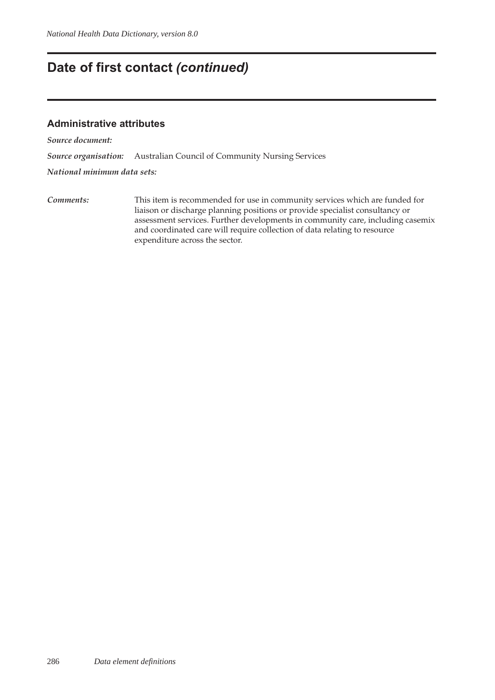### **Date of first contact** *(continued)*

### **Administrative attributes**

*Source document:*

*Source organisation:* Australian Council of Community Nursing Services

*National minimum data sets:*

*Comments:* This item is recommended for use in community services which are funded for liaison or discharge planning positions or provide specialist consultancy or assessment services. Further developments in community care, including casemix and coordinated care will require collection of data relating to resource expenditure across the sector.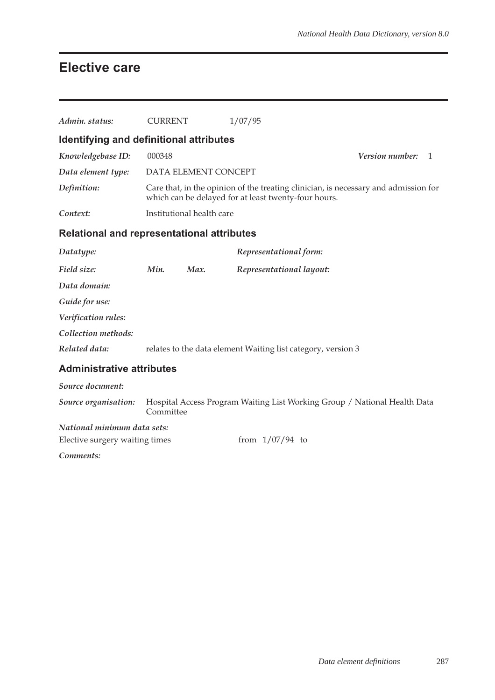### **Elective care**

| Admin. status:                                    | <b>CURRENT</b> |                           | 1/07/95                                                                                                                                     |                 |   |
|---------------------------------------------------|----------------|---------------------------|---------------------------------------------------------------------------------------------------------------------------------------------|-----------------|---|
| Identifying and definitional attributes           |                |                           |                                                                                                                                             |                 |   |
| Knowledgebase ID:                                 | 000348         |                           |                                                                                                                                             | Version number: | 1 |
| Data element type:                                |                | DATA ELEMENT CONCEPT      |                                                                                                                                             |                 |   |
| Definition:                                       |                |                           | Care that, in the opinion of the treating clinician, is necessary and admission for<br>which can be delayed for at least twenty-four hours. |                 |   |
| Context:                                          |                | Institutional health care |                                                                                                                                             |                 |   |
| <b>Relational and representational attributes</b> |                |                           |                                                                                                                                             |                 |   |
| Datatype:                                         |                |                           | Representational form:                                                                                                                      |                 |   |
| Field size:                                       | Min.           | Max.                      | Representational layout:                                                                                                                    |                 |   |
| Data domain:                                      |                |                           |                                                                                                                                             |                 |   |
| Guide for use:                                    |                |                           |                                                                                                                                             |                 |   |
| Verification rules:                               |                |                           |                                                                                                                                             |                 |   |
| Collection methods:                               |                |                           |                                                                                                                                             |                 |   |
| Related data:                                     |                |                           | relates to the data element Waiting list category, version 3                                                                                |                 |   |
| <b>Administrative attributes</b>                  |                |                           |                                                                                                                                             |                 |   |
| Source document:                                  |                |                           |                                                                                                                                             |                 |   |
| Source organisation:                              | Committee      |                           | Hospital Access Program Waiting List Working Group / National Health Data                                                                   |                 |   |
| National minimum data sets:                       |                |                           |                                                                                                                                             |                 |   |
| Elective surgery waiting times                    |                |                           | from $1/07/94$ to                                                                                                                           |                 |   |
| Comments:                                         |                |                           |                                                                                                                                             |                 |   |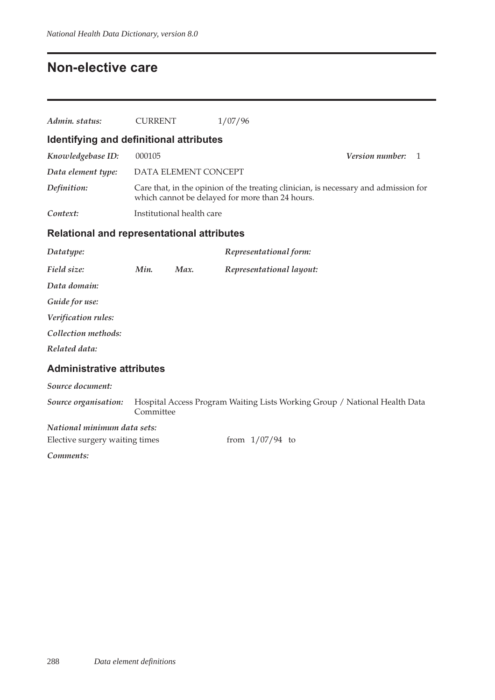### **Non-elective care**

| Admin. status:                                    | <b>CURRENT</b>                          |                           | 1/07/96                                                                                                                                |                       |  |  |  |  |  |
|---------------------------------------------------|-----------------------------------------|---------------------------|----------------------------------------------------------------------------------------------------------------------------------------|-----------------------|--|--|--|--|--|
|                                                   | Identifying and definitional attributes |                           |                                                                                                                                        |                       |  |  |  |  |  |
| Knowledgebase ID:                                 | 000105                                  |                           |                                                                                                                                        | Version number:<br>-1 |  |  |  |  |  |
| Data element type:                                |                                         | DATA ELEMENT CONCEPT      |                                                                                                                                        |                       |  |  |  |  |  |
| Definition:                                       |                                         |                           | Care that, in the opinion of the treating clinician, is necessary and admission for<br>which cannot be delayed for more than 24 hours. |                       |  |  |  |  |  |
| Context:                                          |                                         | Institutional health care |                                                                                                                                        |                       |  |  |  |  |  |
| <b>Relational and representational attributes</b> |                                         |                           |                                                                                                                                        |                       |  |  |  |  |  |
| Datatype:                                         |                                         |                           | Representational form:                                                                                                                 |                       |  |  |  |  |  |
| Field size:                                       | Min.                                    | Max.                      | Representational layout:                                                                                                               |                       |  |  |  |  |  |
| Data domain:                                      |                                         |                           |                                                                                                                                        |                       |  |  |  |  |  |
| Guide for use:                                    |                                         |                           |                                                                                                                                        |                       |  |  |  |  |  |
| Verification rules:                               |                                         |                           |                                                                                                                                        |                       |  |  |  |  |  |
| Collection methods:                               |                                         |                           |                                                                                                                                        |                       |  |  |  |  |  |
| Related data:                                     |                                         |                           |                                                                                                                                        |                       |  |  |  |  |  |
| <b>Administrative attributes</b>                  |                                         |                           |                                                                                                                                        |                       |  |  |  |  |  |
| Source document:                                  |                                         |                           |                                                                                                                                        |                       |  |  |  |  |  |
| Source organisation:                              | Committee                               |                           | Hospital Access Program Waiting Lists Working Group / National Health Data                                                             |                       |  |  |  |  |  |
| National minimum data sets:                       |                                         |                           |                                                                                                                                        |                       |  |  |  |  |  |
| Elective surgery waiting times                    |                                         |                           | from $1/07/94$ to                                                                                                                      |                       |  |  |  |  |  |
| Comments:                                         |                                         |                           |                                                                                                                                        |                       |  |  |  |  |  |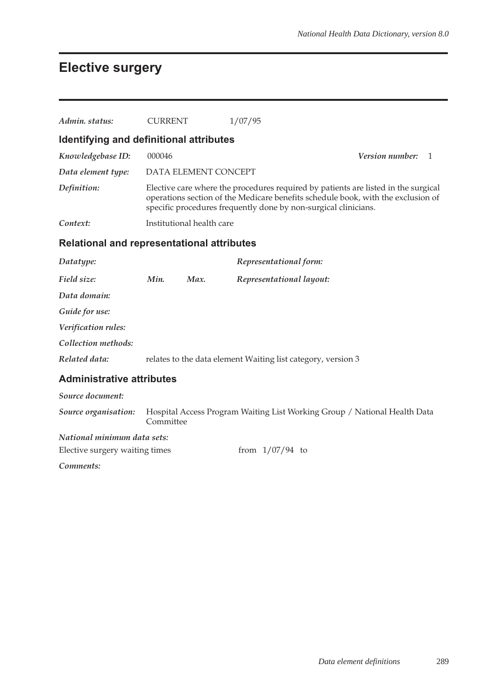# **Elective surgery**

| Admin. status:                                    | <b>CURRENT</b> |                           | 1/07/95                                                                                                                                                                                                                                   |                      |
|---------------------------------------------------|----------------|---------------------------|-------------------------------------------------------------------------------------------------------------------------------------------------------------------------------------------------------------------------------------------|----------------------|
| Identifying and definitional attributes           |                |                           |                                                                                                                                                                                                                                           |                      |
| Knowledgebase ID:                                 | 000046         |                           |                                                                                                                                                                                                                                           | Version number:<br>1 |
| Data element type:                                |                | DATA ELEMENT CONCEPT      |                                                                                                                                                                                                                                           |                      |
| Definition:                                       |                |                           | Elective care where the procedures required by patients are listed in the surgical<br>operations section of the Medicare benefits schedule book, with the exclusion of<br>specific procedures frequently done by non-surgical clinicians. |                      |
| Context:                                          |                | Institutional health care |                                                                                                                                                                                                                                           |                      |
| <b>Relational and representational attributes</b> |                |                           |                                                                                                                                                                                                                                           |                      |
| Datatype:                                         |                |                           | Representational form:                                                                                                                                                                                                                    |                      |
| Field size:                                       | Min.           | Max.                      | Representational layout:                                                                                                                                                                                                                  |                      |
| Data domain:                                      |                |                           |                                                                                                                                                                                                                                           |                      |
| Guide for use:                                    |                |                           |                                                                                                                                                                                                                                           |                      |
| Verification rules:                               |                |                           |                                                                                                                                                                                                                                           |                      |
| Collection methods:                               |                |                           |                                                                                                                                                                                                                                           |                      |
| Related data:                                     |                |                           | relates to the data element Waiting list category, version 3                                                                                                                                                                              |                      |
| <b>Administrative attributes</b>                  |                |                           |                                                                                                                                                                                                                                           |                      |
| Source document:                                  |                |                           |                                                                                                                                                                                                                                           |                      |
| Source organisation:                              | Committee      |                           | Hospital Access Program Waiting List Working Group / National Health Data                                                                                                                                                                 |                      |
| National minimum data sets:                       |                |                           |                                                                                                                                                                                                                                           |                      |
| Elective surgery waiting times                    |                |                           | from $1/07/94$ to                                                                                                                                                                                                                         |                      |
| Comments:                                         |                |                           |                                                                                                                                                                                                                                           |                      |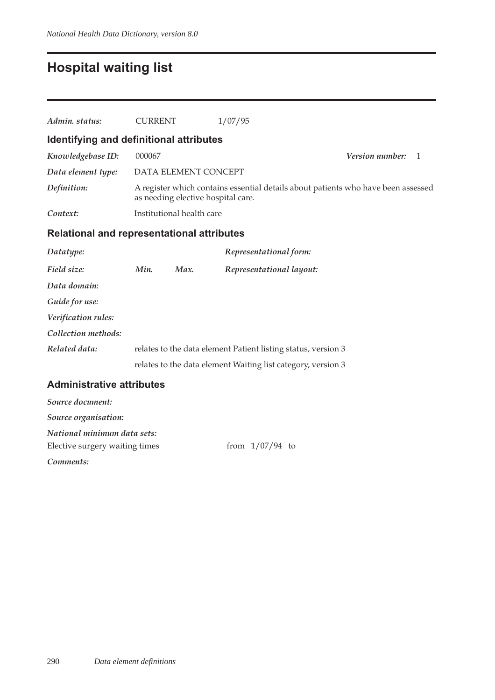# **Hospital waiting list**

| Admin. status:                                    | <b>CURRENT</b>    |                                    | 1/07/95                                                                           |                        |   |  |
|---------------------------------------------------|-------------------|------------------------------------|-----------------------------------------------------------------------------------|------------------------|---|--|
| Identifying and definitional attributes           |                   |                                    |                                                                                   |                        |   |  |
| Knowledgebase ID:                                 | 000067            |                                    |                                                                                   | <b>Version number:</b> | 1 |  |
| Data element type:                                |                   | DATA ELEMENT CONCEPT               |                                                                                   |                        |   |  |
| Definition:                                       |                   | as needing elective hospital care. | A register which contains essential details about patients who have been assessed |                        |   |  |
| Context:                                          |                   | Institutional health care          |                                                                                   |                        |   |  |
| <b>Relational and representational attributes</b> |                   |                                    |                                                                                   |                        |   |  |
| Datatype:                                         |                   |                                    | Representational form:                                                            |                        |   |  |
| Field size:                                       | Min.              | Max.                               | Representational layout:                                                          |                        |   |  |
| Data domain:                                      |                   |                                    |                                                                                   |                        |   |  |
| Guide for use:                                    |                   |                                    |                                                                                   |                        |   |  |
| Verification rules:                               |                   |                                    |                                                                                   |                        |   |  |
| Collection methods:                               |                   |                                    |                                                                                   |                        |   |  |
| Related data:                                     |                   |                                    | relates to the data element Patient listing status, version 3                     |                        |   |  |
|                                                   |                   |                                    | relates to the data element Waiting list category, version 3                      |                        |   |  |
| <b>Administrative attributes</b>                  |                   |                                    |                                                                                   |                        |   |  |
| Source document:                                  |                   |                                    |                                                                                   |                        |   |  |
| Source organisation:                              |                   |                                    |                                                                                   |                        |   |  |
| National minimum data sets:                       |                   |                                    |                                                                                   |                        |   |  |
| Elective surgery waiting times                    | from $1/07/94$ to |                                    |                                                                                   |                        |   |  |

*Comments:*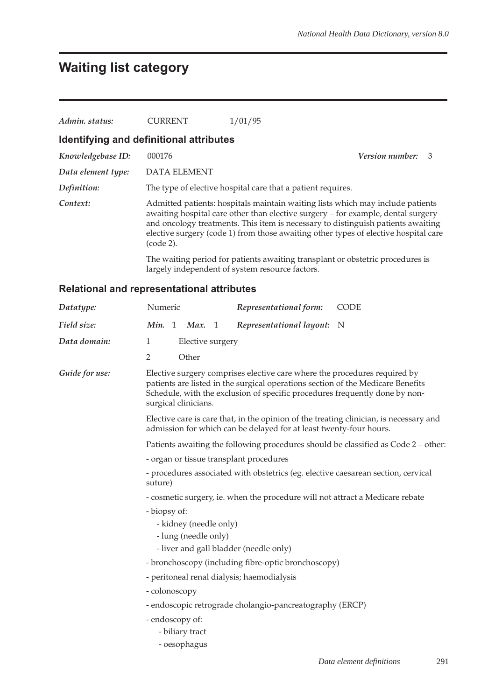# **Waiting list category**

| Admin. status:     | <b>CURRENT</b>                          | 1/01/95                                                                                                                                                                                                                                                                                                                                       |                        |    |
|--------------------|-----------------------------------------|-----------------------------------------------------------------------------------------------------------------------------------------------------------------------------------------------------------------------------------------------------------------------------------------------------------------------------------------------|------------------------|----|
|                    | Identifying and definitional attributes |                                                                                                                                                                                                                                                                                                                                               |                        |    |
| Knowledgebase ID:  | 000176                                  |                                                                                                                                                                                                                                                                                                                                               | <b>Version number:</b> | -3 |
| Data element type: | DATA ELEMENT                            |                                                                                                                                                                                                                                                                                                                                               |                        |    |
| Definition:        |                                         | The type of elective hospital care that a patient requires.                                                                                                                                                                                                                                                                                   |                        |    |
| Context:           | (code 2).                               | Admitted patients: hospitals maintain waiting lists which may include patients<br>awaiting hospital care other than elective surgery - for example, dental surgery<br>and oncology treatments. This item is necessary to distinguish patients awaiting<br>elective surgery (code 1) from those awaiting other types of elective hospital care |                        |    |
|                    |                                         | The waiting period for patients awaiting transplant or obstetric procedures is<br>largely independent of system resource factors.                                                                                                                                                                                                             |                        |    |

### **Relational and representational attributes**

| Datatype:      | Numeric                                                                                                                                                      | Representational form:                                                                                                                                                                                                                      | <b>CODE</b>                     |  |  |  |  |
|----------------|--------------------------------------------------------------------------------------------------------------------------------------------------------------|---------------------------------------------------------------------------------------------------------------------------------------------------------------------------------------------------------------------------------------------|---------------------------------|--|--|--|--|
| Field size:    | Min. 1<br>Max. 1                                                                                                                                             | Representational layout: N                                                                                                                                                                                                                  |                                 |  |  |  |  |
| Data domain:   | 1<br>Elective surgery                                                                                                                                        |                                                                                                                                                                                                                                             |                                 |  |  |  |  |
|                | $\overline{2}$<br>Other                                                                                                                                      |                                                                                                                                                                                                                                             |                                 |  |  |  |  |
| Guide for use: | surgical clinicians.                                                                                                                                         | Elective surgery comprises elective care where the procedures required by<br>patients are listed in the surgical operations section of the Medicare Benefits<br>Schedule, with the exclusion of specific procedures frequently done by non- |                                 |  |  |  |  |
|                | Elective care is care that, in the opinion of the treating clinician, is necessary and<br>admission for which can be delayed for at least twenty-four hours. |                                                                                                                                                                                                                                             |                                 |  |  |  |  |
|                | Patients awaiting the following procedures should be classified as Code 2 - other:                                                                           |                                                                                                                                                                                                                                             |                                 |  |  |  |  |
|                | - organ or tissue transplant procedures                                                                                                                      |                                                                                                                                                                                                                                             |                                 |  |  |  |  |
|                | - procedures associated with obstetrics (eg. elective caesarean section, cervical<br>suture)                                                                 |                                                                                                                                                                                                                                             |                                 |  |  |  |  |
|                | - cosmetic surgery, ie. when the procedure will not attract a Medicare rebate                                                                                |                                                                                                                                                                                                                                             |                                 |  |  |  |  |
|                | - biopsy of:                                                                                                                                                 |                                                                                                                                                                                                                                             |                                 |  |  |  |  |
|                | - kidney (needle only)                                                                                                                                       |                                                                                                                                                                                                                                             |                                 |  |  |  |  |
|                | - lung (needle only)                                                                                                                                         |                                                                                                                                                                                                                                             |                                 |  |  |  |  |
|                | - liver and gall bladder (needle only)                                                                                                                       |                                                                                                                                                                                                                                             |                                 |  |  |  |  |
|                | - bronchoscopy (including fibre-optic bronchoscopy)                                                                                                          |                                                                                                                                                                                                                                             |                                 |  |  |  |  |
|                | - peritoneal renal dialysis; haemodialysis                                                                                                                   |                                                                                                                                                                                                                                             |                                 |  |  |  |  |
|                | - colonoscopy                                                                                                                                                |                                                                                                                                                                                                                                             |                                 |  |  |  |  |
|                | - endoscopic retrograde cholangio-pancreatography (ERCP)<br>- endoscopy of:                                                                                  |                                                                                                                                                                                                                                             |                                 |  |  |  |  |
|                | - biliary tract                                                                                                                                              |                                                                                                                                                                                                                                             |                                 |  |  |  |  |
|                | - oesophagus                                                                                                                                                 |                                                                                                                                                                                                                                             |                                 |  |  |  |  |
|                |                                                                                                                                                              |                                                                                                                                                                                                                                             | 291<br>Data element definitions |  |  |  |  |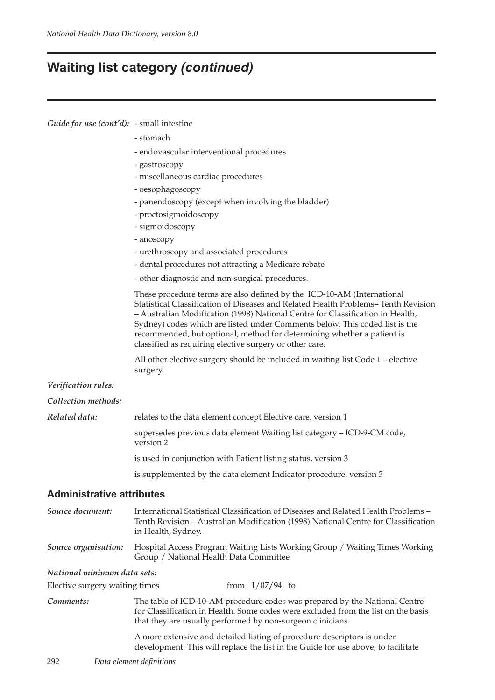### **Waiting list category** *(continued)*

| Guide for use (cont'd): - small intestine |                                                                                                                                                                                                                                                                                                                                                                                                                                                                   |  |  |  |  |  |
|-------------------------------------------|-------------------------------------------------------------------------------------------------------------------------------------------------------------------------------------------------------------------------------------------------------------------------------------------------------------------------------------------------------------------------------------------------------------------------------------------------------------------|--|--|--|--|--|
|                                           | - stomach                                                                                                                                                                                                                                                                                                                                                                                                                                                         |  |  |  |  |  |
|                                           | - endovascular interventional procedures                                                                                                                                                                                                                                                                                                                                                                                                                          |  |  |  |  |  |
|                                           | - gastroscopy                                                                                                                                                                                                                                                                                                                                                                                                                                                     |  |  |  |  |  |
|                                           | - miscellaneous cardiac procedures                                                                                                                                                                                                                                                                                                                                                                                                                                |  |  |  |  |  |
|                                           | - oesophagoscopy                                                                                                                                                                                                                                                                                                                                                                                                                                                  |  |  |  |  |  |
|                                           | - panendoscopy (except when involving the bladder)                                                                                                                                                                                                                                                                                                                                                                                                                |  |  |  |  |  |
|                                           | - proctosigmoidoscopy                                                                                                                                                                                                                                                                                                                                                                                                                                             |  |  |  |  |  |
|                                           | - sigmoidoscopy                                                                                                                                                                                                                                                                                                                                                                                                                                                   |  |  |  |  |  |
|                                           | - anoscopy                                                                                                                                                                                                                                                                                                                                                                                                                                                        |  |  |  |  |  |
|                                           | - urethroscopy and associated procedures                                                                                                                                                                                                                                                                                                                                                                                                                          |  |  |  |  |  |
|                                           | - dental procedures not attracting a Medicare rebate                                                                                                                                                                                                                                                                                                                                                                                                              |  |  |  |  |  |
|                                           | - other diagnostic and non-surgical procedures.                                                                                                                                                                                                                                                                                                                                                                                                                   |  |  |  |  |  |
|                                           | These procedure terms are also defined by the ICD-10-AM (International<br>Statistical Classification of Diseases and Related Health Problems-Tenth Revision<br>- Australian Modification (1998) National Centre for Classification in Health,<br>Sydney) codes which are listed under Comments below. This coded list is the<br>recommended, but optional, method for determining whether a patient is<br>classified as requiring elective surgery or other care. |  |  |  |  |  |
|                                           | All other elective surgery should be included in waiting list Code 1 – elective<br>surgery.                                                                                                                                                                                                                                                                                                                                                                       |  |  |  |  |  |
| Verification rules:                       |                                                                                                                                                                                                                                                                                                                                                                                                                                                                   |  |  |  |  |  |
| Collection methods:                       |                                                                                                                                                                                                                                                                                                                                                                                                                                                                   |  |  |  |  |  |
| Related data:                             | relates to the data element concept Elective care, version 1                                                                                                                                                                                                                                                                                                                                                                                                      |  |  |  |  |  |
|                                           | supersedes previous data element Waiting list category - ICD-9-CM code,<br>version 2                                                                                                                                                                                                                                                                                                                                                                              |  |  |  |  |  |
|                                           | is used in conjunction with Patient listing status, version 3                                                                                                                                                                                                                                                                                                                                                                                                     |  |  |  |  |  |
|                                           | is supplemented by the data element Indicator procedure, version 3                                                                                                                                                                                                                                                                                                                                                                                                |  |  |  |  |  |
| <b>Administrative attributes</b>          |                                                                                                                                                                                                                                                                                                                                                                                                                                                                   |  |  |  |  |  |
| Source document:                          | International Statistical Classification of Diseases and Related Health Problems -<br>Tenth Revision – Australian Modification (1998) National Centre for Classification<br>in Health, Sydney.                                                                                                                                                                                                                                                                    |  |  |  |  |  |
| Source organisation:                      | Hospital Access Program Waiting Lists Working Group / Waiting Times Working<br>Group / National Health Data Committee                                                                                                                                                                                                                                                                                                                                             |  |  |  |  |  |
| National minimum data sets:               |                                                                                                                                                                                                                                                                                                                                                                                                                                                                   |  |  |  |  |  |
| Elective surgery waiting times            | from $1/07/94$ to                                                                                                                                                                                                                                                                                                                                                                                                                                                 |  |  |  |  |  |
| Comments:                                 | The table of ICD-10-AM procedure codes was prepared by the National Centre<br>for Classification in Health. Some codes were excluded from the list on the basis<br>that they are usually performed by non-surgeon clinicians.                                                                                                                                                                                                                                     |  |  |  |  |  |

A more extensive and detailed listing of procedure descriptors is under development. This will replace the list in the Guide for use above, to facilitate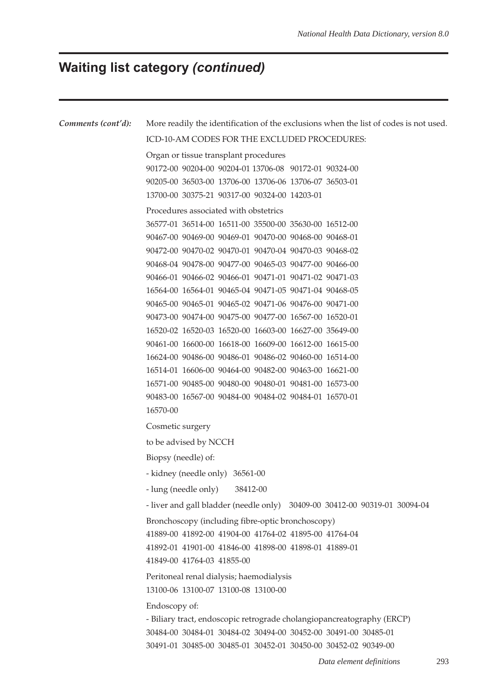# **Waiting list category** *(continued)*

| Comments (cont'd): | More readily the identification of the exclusions when the list of codes is not used. |  |  |  |  |  |  |  |  |
|--------------------|---------------------------------------------------------------------------------------|--|--|--|--|--|--|--|--|
|                    | ICD-10-AM CODES FOR THE EXCLUDED PROCEDURES:                                          |  |  |  |  |  |  |  |  |
|                    | Organ or tissue transplant procedures                                                 |  |  |  |  |  |  |  |  |
|                    | 90172-00 90204-00 90204-01 13706-08 90172-01 90324-00                                 |  |  |  |  |  |  |  |  |
|                    | 90205-00 36503-00 13706-00 13706-06 13706-07 36503-01                                 |  |  |  |  |  |  |  |  |
|                    | 13700-00 30375-21 90317-00 90324-00 14203-01                                          |  |  |  |  |  |  |  |  |
|                    | Procedures associated with obstetrics                                                 |  |  |  |  |  |  |  |  |
|                    | 36577-01 36514-00 16511-00 35500-00 35630-00 16512-00                                 |  |  |  |  |  |  |  |  |
|                    | 90467-00 90469-00 90469-01 90470-00 90468-00 90468-01                                 |  |  |  |  |  |  |  |  |
|                    | 90472-00 90470-02 90470-01 90470-04 90470-03 90468-02                                 |  |  |  |  |  |  |  |  |
|                    | 90468-04 90478-00 90477-00 90465-03 90477-00 90466-00                                 |  |  |  |  |  |  |  |  |
|                    | 90466-01 90466-02 90466-01 90471-01 90471-02 90471-03                                 |  |  |  |  |  |  |  |  |
|                    | 16564-00 16564-01 90465-04 90471-05 90471-04 90468-05                                 |  |  |  |  |  |  |  |  |
|                    | 90465-00 90465-01 90465-02 90471-06 90476-00 90471-00                                 |  |  |  |  |  |  |  |  |
|                    | 90473-00 90474-00 90475-00 90477-00 16567-00 16520-01                                 |  |  |  |  |  |  |  |  |
|                    | 16520-02 16520-03 16520-00 16603-00 16627-00 35649-00                                 |  |  |  |  |  |  |  |  |
|                    | 90461-00 16600-00 16618-00 16609-00 16612-00 16615-00                                 |  |  |  |  |  |  |  |  |
|                    | 16624-00 90486-00 90486-01 90486-02 90460-00 16514-00                                 |  |  |  |  |  |  |  |  |
|                    | 16514-01 16606-00 90464-00 90482-00 90463-00 16621-00                                 |  |  |  |  |  |  |  |  |
|                    | 16571-00 90485-00 90480-00 90480-01 90481-00 16573-00                                 |  |  |  |  |  |  |  |  |
|                    | 90483-00 16567-00 90484-00 90484-02 90484-01 16570-01                                 |  |  |  |  |  |  |  |  |
|                    | 16570-00                                                                              |  |  |  |  |  |  |  |  |
|                    | Cosmetic surgery                                                                      |  |  |  |  |  |  |  |  |
|                    | to be advised by NCCH                                                                 |  |  |  |  |  |  |  |  |
|                    | Biopsy (needle) of:                                                                   |  |  |  |  |  |  |  |  |
|                    | - kidney (needle only) 36561-00                                                       |  |  |  |  |  |  |  |  |
|                    | - lung (needle only) 38412-00                                                         |  |  |  |  |  |  |  |  |
|                    | - liver and gall bladder (needle only) 30409-00 30412-00 90319-01 30094-04            |  |  |  |  |  |  |  |  |
|                    | Bronchoscopy (including fibre-optic bronchoscopy)                                     |  |  |  |  |  |  |  |  |
|                    | 41889-00 41892-00 41904-00 41764-02 41895-00 41764-04                                 |  |  |  |  |  |  |  |  |
|                    | 41892-01 41901-00 41846-00 41898-00 41898-01 41889-01                                 |  |  |  |  |  |  |  |  |
|                    | 41849-00 41764-03 41855-00                                                            |  |  |  |  |  |  |  |  |
|                    | Peritoneal renal dialysis; haemodialysis                                              |  |  |  |  |  |  |  |  |
|                    | 13100-06 13100-07 13100-08 13100-00                                                   |  |  |  |  |  |  |  |  |
|                    | Endoscopy of:                                                                         |  |  |  |  |  |  |  |  |
|                    | - Biliary tract, endoscopic retrograde cholangiopancreatography (ERCP)                |  |  |  |  |  |  |  |  |
|                    | 30484-00 30484-01 30484-02 30494-00 30452-00 30491-00 30485-01                        |  |  |  |  |  |  |  |  |
|                    | 30491-01 30485-00 30485-01 30452-01 30450-00 30452-02 90349-00                        |  |  |  |  |  |  |  |  |
|                    |                                                                                       |  |  |  |  |  |  |  |  |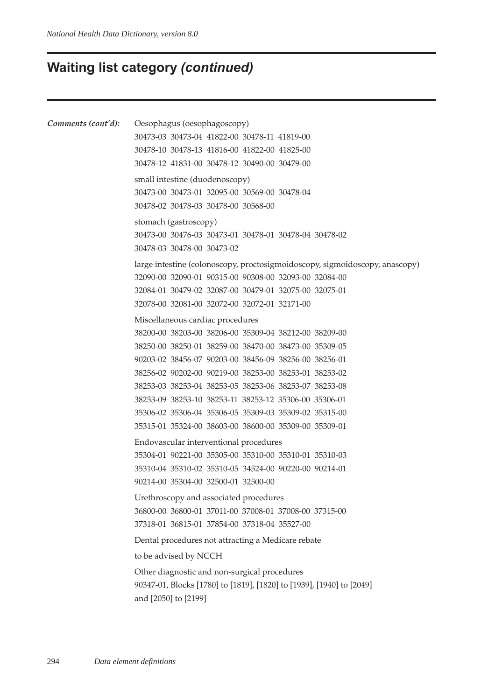### **Waiting list category** *(continued)*

```
Comments (cont'd): Oesophagus (oesophagoscopy)
          30473-03 30473-04 41822-00 30478-11 41819-00
          30478-10 30478-13 41816-00 41822-00 41825-00
          30478-12 41831-00 30478-12 30490-00 30479-00
          small intestine (duodenoscopy)
          30473-00 30473-01 32095-00 30569-00 30478-04
          30478-02 30478-03 30478-00 30568-00
          stomach (gastroscopy)
          30473-00 30476-03 30473-01 30478-01 30478-04 30478-02
          30478-03 30478-00 30473-02
          large intestine (colonoscopy, proctosigmoidoscopy, sigmoidoscopy, anascopy)
          32090-00 32090-01 90315-00 90308-00 32093-00 32084-00
          32084-01 30479-02 32087-00 30479-01 32075-00 32075-01
          32078-00 32081-00 32072-00 32072-01 32171-00
          Miscellaneous cardiac procedures
          38200-00 38203-00 38206-00 35309-04 38212-00 38209-00
          38250-00 38250-01 38259-00 38470-00 38473-00 35309-05
          90203-02 38456-07 90203-00 38456-09 38256-00 38256-01
          38256-02 90202-00 90219-00 38253-00 38253-01 38253-02
          38253-03 38253-04 38253-05 38253-06 38253-07 38253-08
          38253-09 38253-10 38253-11 38253-12 35306-00 35306-01
          35306-02 35306-04 35306-05 35309-03 35309-02 35315-00
          35315-01 35324-00 38603-00 38600-00 35309-00 35309-01
          Endovascular interventional procedures
          35304-01 90221-00 35305-00 35310-00 35310-01 35310-03
          35310-04 35310-02 35310-05 34524-00 90220-00 90214-01
          90214-00 35304-00 32500-01 32500-00
          Urethroscopy and associated procedures
          36800-00 36800-01 37011-00 37008-01 37008-00 37315-00
          37318-01 36815-01 37854-00 37318-04 35527-00
          Dental procedures not attracting a Medicare rebate
          to be advised by NCCH
          Other diagnostic and non-surgical procedures
          90347-01, Blocks [1780] to [1819], [1820] to [1939], [1940] to [2049]
          and [2050] to [2199]
```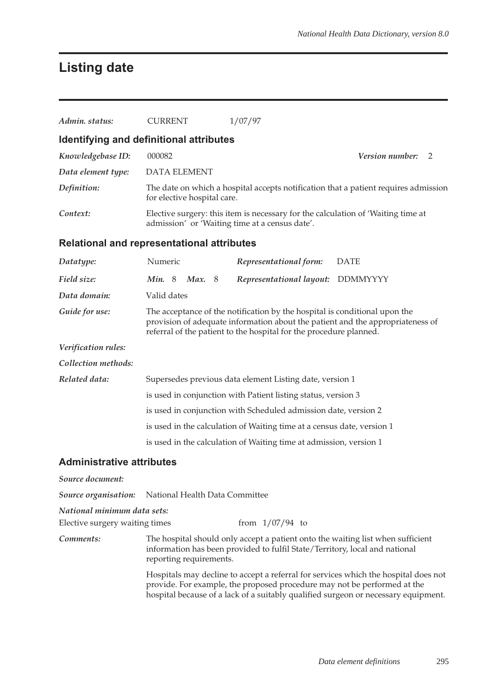# **Listing date**

| Admin. status:                             | <b>CURRENT</b>                                                                                                                                                                                                                     | 1/07/97                                                                                                                                                        |                                                                                                                                                                           |  |  |  |
|--------------------------------------------|------------------------------------------------------------------------------------------------------------------------------------------------------------------------------------------------------------------------------------|----------------------------------------------------------------------------------------------------------------------------------------------------------------|---------------------------------------------------------------------------------------------------------------------------------------------------------------------------|--|--|--|
| Identifying and definitional attributes    |                                                                                                                                                                                                                                    |                                                                                                                                                                |                                                                                                                                                                           |  |  |  |
| Knowledgebase ID:                          | 000082<br>Version number:<br>2                                                                                                                                                                                                     |                                                                                                                                                                |                                                                                                                                                                           |  |  |  |
| Data element type:                         | <b>DATA ELEMENT</b>                                                                                                                                                                                                                |                                                                                                                                                                |                                                                                                                                                                           |  |  |  |
| Definition:                                | for elective hospital care.                                                                                                                                                                                                        |                                                                                                                                                                | The date on which a hospital accepts notification that a patient requires admission                                                                                       |  |  |  |
| Context:                                   |                                                                                                                                                                                                                                    | Elective surgery: this item is necessary for the calculation of 'Waiting time at<br>admission' or 'Waiting time at a census date'.                             |                                                                                                                                                                           |  |  |  |
| Relational and representational attributes |                                                                                                                                                                                                                                    |                                                                                                                                                                |                                                                                                                                                                           |  |  |  |
| Datatype:                                  | Numeric                                                                                                                                                                                                                            | Representational form:                                                                                                                                         | <b>DATE</b>                                                                                                                                                               |  |  |  |
| Field size:                                | Min. 8<br><b>Max.</b> 8                                                                                                                                                                                                            | Representational layout: DDMMYYYY                                                                                                                              |                                                                                                                                                                           |  |  |  |
| Data domain:                               | Valid dates                                                                                                                                                                                                                        |                                                                                                                                                                |                                                                                                                                                                           |  |  |  |
| Guide for use:                             | The acceptance of the notification by the hospital is conditional upon the<br>provision of adequate information about the patient and the appropriateness of<br>referral of the patient to the hospital for the procedure planned. |                                                                                                                                                                |                                                                                                                                                                           |  |  |  |
| Verification rules:                        |                                                                                                                                                                                                                                    |                                                                                                                                                                |                                                                                                                                                                           |  |  |  |
| Collection methods:                        |                                                                                                                                                                                                                                    |                                                                                                                                                                |                                                                                                                                                                           |  |  |  |
| Related data:                              | Supersedes previous data element Listing date, version 1                                                                                                                                                                           |                                                                                                                                                                |                                                                                                                                                                           |  |  |  |
|                                            |                                                                                                                                                                                                                                    | is used in conjunction with Patient listing status, version 3                                                                                                  |                                                                                                                                                                           |  |  |  |
|                                            |                                                                                                                                                                                                                                    | is used in conjunction with Scheduled admission date, version 2                                                                                                |                                                                                                                                                                           |  |  |  |
|                                            |                                                                                                                                                                                                                                    | is used in the calculation of Waiting time at a census date, version 1                                                                                         |                                                                                                                                                                           |  |  |  |
|                                            |                                                                                                                                                                                                                                    | is used in the calculation of Waiting time at admission, version 1                                                                                             |                                                                                                                                                                           |  |  |  |
| Administrative attributes                  |                                                                                                                                                                                                                                    |                                                                                                                                                                |                                                                                                                                                                           |  |  |  |
| Source document:                           |                                                                                                                                                                                                                                    |                                                                                                                                                                |                                                                                                                                                                           |  |  |  |
| Source organisation:                       | National Health Data Committee                                                                                                                                                                                                     |                                                                                                                                                                |                                                                                                                                                                           |  |  |  |
| National minimum data sets:                |                                                                                                                                                                                                                                    |                                                                                                                                                                |                                                                                                                                                                           |  |  |  |
| Elective surgery waiting times             |                                                                                                                                                                                                                                    | from $1/07/94$ to                                                                                                                                              |                                                                                                                                                                           |  |  |  |
| Comments:                                  | reporting requirements.                                                                                                                                                                                                            | The hospital should only accept a patient onto the waiting list when sufficient<br>information has been provided to fulfil State/Territory, local and national |                                                                                                                                                                           |  |  |  |
|                                            |                                                                                                                                                                                                                                    | provide. For example, the proposed procedure may not be performed at the                                                                                       | Hospitals may decline to accept a referral for services which the hospital does not<br>hospital because of a lack of a suitably qualified surgeon or necessary equipment. |  |  |  |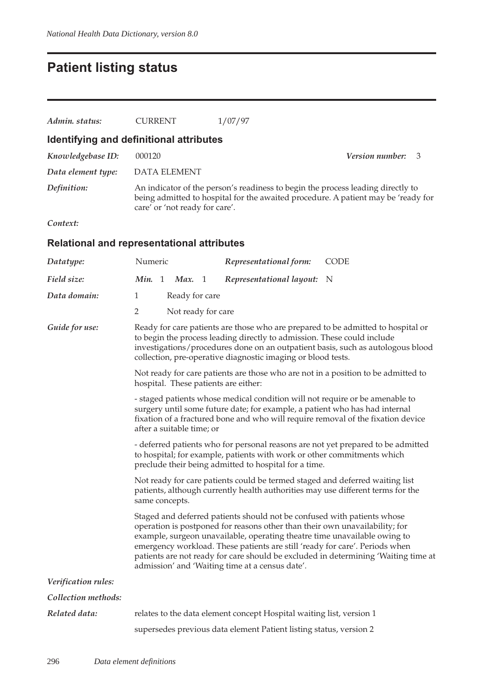# **Patient listing status**

| Admin. status:      | <b>CURRENT</b>                                                                                                                                                                                                                                                                                                                                                                                                                                              | 1/07/97                                                                                                                                                                                                |  |  |  |  |  |
|---------------------|-------------------------------------------------------------------------------------------------------------------------------------------------------------------------------------------------------------------------------------------------------------------------------------------------------------------------------------------------------------------------------------------------------------------------------------------------------------|--------------------------------------------------------------------------------------------------------------------------------------------------------------------------------------------------------|--|--|--|--|--|
|                     | Identifying and definitional attributes                                                                                                                                                                                                                                                                                                                                                                                                                     |                                                                                                                                                                                                        |  |  |  |  |  |
| Knowledgebase ID:   | 000120                                                                                                                                                                                                                                                                                                                                                                                                                                                      | Version number:<br>3                                                                                                                                                                                   |  |  |  |  |  |
| Data element type:  | <b>DATA ELEMENT</b>                                                                                                                                                                                                                                                                                                                                                                                                                                         |                                                                                                                                                                                                        |  |  |  |  |  |
| Definition:         |                                                                                                                                                                                                                                                                                                                                                                                                                                                             | An indicator of the person's readiness to begin the process leading directly to<br>being admitted to hospital for the awaited procedure. A patient may be 'ready for<br>care' or 'not ready for care'. |  |  |  |  |  |
| Context:            |                                                                                                                                                                                                                                                                                                                                                                                                                                                             |                                                                                                                                                                                                        |  |  |  |  |  |
|                     | <b>Relational and representational attributes</b>                                                                                                                                                                                                                                                                                                                                                                                                           |                                                                                                                                                                                                        |  |  |  |  |  |
| Datatype:           | Numeric                                                                                                                                                                                                                                                                                                                                                                                                                                                     | <b>CODE</b><br>Representational form:                                                                                                                                                                  |  |  |  |  |  |
| Field size:         | Min. 1<br>Max. 1                                                                                                                                                                                                                                                                                                                                                                                                                                            | Representational layout:<br>N                                                                                                                                                                          |  |  |  |  |  |
| Data domain:        | 1<br>Ready for care                                                                                                                                                                                                                                                                                                                                                                                                                                         |                                                                                                                                                                                                        |  |  |  |  |  |
|                     | $\overline{2}$<br>Not ready for care                                                                                                                                                                                                                                                                                                                                                                                                                        |                                                                                                                                                                                                        |  |  |  |  |  |
| Guide for use:      | Ready for care patients are those who are prepared to be admitted to hospital or<br>to begin the process leading directly to admission. These could include<br>investigations/procedures done on an outpatient basis, such as autologous blood<br>collection, pre-operative diagnostic imaging or blood tests.                                                                                                                                              |                                                                                                                                                                                                        |  |  |  |  |  |
|                     | Not ready for care patients are those who are not in a position to be admitted to<br>hospital. These patients are either:                                                                                                                                                                                                                                                                                                                                   |                                                                                                                                                                                                        |  |  |  |  |  |
|                     | - staged patients whose medical condition will not require or be amenable to<br>surgery until some future date; for example, a patient who has had internal<br>fixation of a fractured bone and who will require removal of the fixation device<br>after a suitable time; or                                                                                                                                                                                |                                                                                                                                                                                                        |  |  |  |  |  |
|                     | - deferred patients who for personal reasons are not yet prepared to be admitted<br>to hospital; for example, patients with work or other commitments which<br>preclude their being admitted to hospital for a time.                                                                                                                                                                                                                                        |                                                                                                                                                                                                        |  |  |  |  |  |
|                     | Not ready for care patients could be termed staged and deferred waiting list<br>patients, although currently health authorities may use different terms for the<br>same concepts.                                                                                                                                                                                                                                                                           |                                                                                                                                                                                                        |  |  |  |  |  |
|                     | Staged and deferred patients should not be confused with patients whose<br>operation is postponed for reasons other than their own unavailability; for<br>example, surgeon unavailable, operating theatre time unavailable owing to<br>emergency workload. These patients are still 'ready for care'. Periods when<br>patients are not ready for care should be excluded in determining 'Waiting time at<br>admission' and 'Waiting time at a census date'. |                                                                                                                                                                                                        |  |  |  |  |  |
| Verification rules: |                                                                                                                                                                                                                                                                                                                                                                                                                                                             |                                                                                                                                                                                                        |  |  |  |  |  |
| Collection methods: |                                                                                                                                                                                                                                                                                                                                                                                                                                                             |                                                                                                                                                                                                        |  |  |  |  |  |
| Related data:       |                                                                                                                                                                                                                                                                                                                                                                                                                                                             | relates to the data element concept Hospital waiting list, version 1                                                                                                                                   |  |  |  |  |  |
|                     |                                                                                                                                                                                                                                                                                                                                                                                                                                                             | supersedes previous data element Patient listing status, version 2                                                                                                                                     |  |  |  |  |  |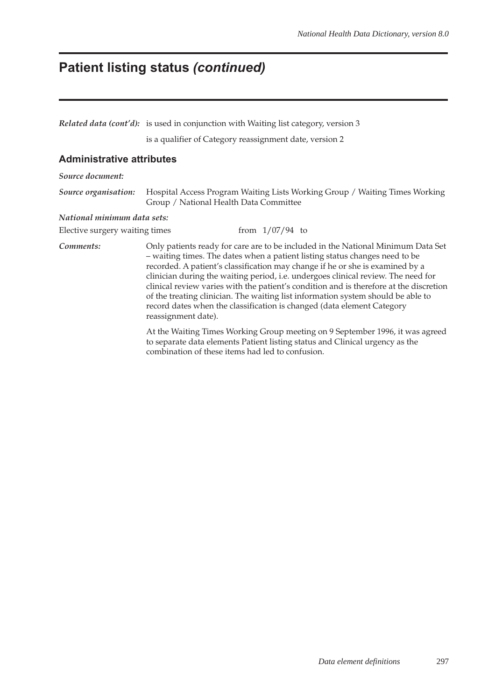### **Patient listing status** *(continued)*

*Related data (cont'd):* is used in conjunction with Waiting list category, version 3

is a qualifier of Category reassignment date, version 2

#### **Administrative attributes**

*Source document:*

*Source organisation:* Hospital Access Program Waiting Lists Working Group / Waiting Times Working Group / National Health Data Committee

#### *National minimum data sets:*

Elective surgery waiting times  $f$  from  $1/07/94$  to

*Comments:* Only patients ready for care are to be included in the National Minimum Data Set – waiting times. The dates when a patient listing status changes need to be recorded. A patient's classification may change if he or she is examined by a clinician during the waiting period, i.e. undergoes clinical review. The need for clinical review varies with the patient's condition and is therefore at the discretion of the treating clinician. The waiting list information system should be able to record dates when the classification is changed (data element Category reassignment date).

> At the Waiting Times Working Group meeting on 9 September 1996, it was agreed to separate data elements Patient listing status and Clinical urgency as the combination of these items had led to confusion.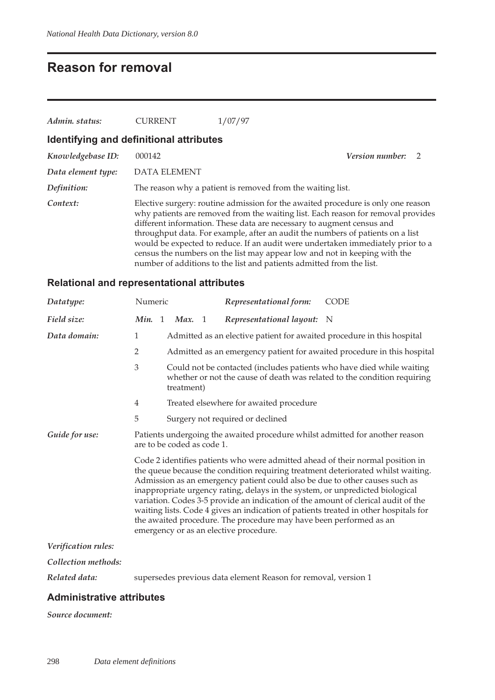### **Reason for removal**

| Admin. status:     | <b>CURRENT</b>                          | 1/07/97                                                                                                                                                                                                                                                                                                                                                                                                                                                                                                                                                                 |                 |               |
|--------------------|-----------------------------------------|-------------------------------------------------------------------------------------------------------------------------------------------------------------------------------------------------------------------------------------------------------------------------------------------------------------------------------------------------------------------------------------------------------------------------------------------------------------------------------------------------------------------------------------------------------------------------|-----------------|---------------|
|                    | Identifying and definitional attributes |                                                                                                                                                                                                                                                                                                                                                                                                                                                                                                                                                                         |                 |               |
| Knowledgebase ID:  | 000142                                  |                                                                                                                                                                                                                                                                                                                                                                                                                                                                                                                                                                         | Version number: | $\mathcal{L}$ |
| Data element type: | <b>DATA ELEMENT</b>                     |                                                                                                                                                                                                                                                                                                                                                                                                                                                                                                                                                                         |                 |               |
| Definition:        |                                         | The reason why a patient is removed from the waiting list.                                                                                                                                                                                                                                                                                                                                                                                                                                                                                                              |                 |               |
| Context:           |                                         | Elective surgery: routine admission for the awaited procedure is only one reason<br>why patients are removed from the waiting list. Each reason for removal provides<br>different information. These data are necessary to augment census and<br>throughput data. For example, after an audit the numbers of patients on a list<br>would be expected to reduce. If an audit were undertaken immediately prior to a<br>census the numbers on the list may appear low and not in keeping with the<br>number of additions to the list and patients admitted from the list. |                 |               |

### **Relational and representational attributes**

| Datatype:           | Numeric                                                                                                    |                                                                                                                                                                                                                                                                                                                                                                                                                                                                                                                                                                                                                                 |               |  | Representational form:                                                 | <b>CODE</b>                                                             |  |
|---------------------|------------------------------------------------------------------------------------------------------------|---------------------------------------------------------------------------------------------------------------------------------------------------------------------------------------------------------------------------------------------------------------------------------------------------------------------------------------------------------------------------------------------------------------------------------------------------------------------------------------------------------------------------------------------------------------------------------------------------------------------------------|---------------|--|------------------------------------------------------------------------|-------------------------------------------------------------------------|--|
| Field size:         |                                                                                                            |                                                                                                                                                                                                                                                                                                                                                                                                                                                                                                                                                                                                                                 | Min. 1 Max. 1 |  | Representational layout: N                                             |                                                                         |  |
| Data domain:        | 1                                                                                                          |                                                                                                                                                                                                                                                                                                                                                                                                                                                                                                                                                                                                                                 |               |  | Admitted as an elective patient for awaited procedure in this hospital |                                                                         |  |
|                     | $\overline{2}$                                                                                             |                                                                                                                                                                                                                                                                                                                                                                                                                                                                                                                                                                                                                                 |               |  |                                                                        | Admitted as an emergency patient for awaited procedure in this hospital |  |
|                     | 3                                                                                                          | Could not be contacted (includes patients who have died while waiting<br>whether or not the cause of death was related to the condition requiring<br>treatment)                                                                                                                                                                                                                                                                                                                                                                                                                                                                 |               |  |                                                                        |                                                                         |  |
|                     | 4                                                                                                          |                                                                                                                                                                                                                                                                                                                                                                                                                                                                                                                                                                                                                                 |               |  | Treated elsewhere for awaited procedure                                |                                                                         |  |
|                     | 5                                                                                                          |                                                                                                                                                                                                                                                                                                                                                                                                                                                                                                                                                                                                                                 |               |  | Surgery not required or declined                                       |                                                                         |  |
| Guide for use:      | Patients undergoing the awaited procedure whilst admitted for another reason<br>are to be coded as code 1. |                                                                                                                                                                                                                                                                                                                                                                                                                                                                                                                                                                                                                                 |               |  |                                                                        |                                                                         |  |
|                     |                                                                                                            | Code 2 identifies patients who were admitted ahead of their normal position in<br>the queue because the condition requiring treatment deteriorated whilst waiting.<br>Admission as an emergency patient could also be due to other causes such as<br>inappropriate urgency rating, delays in the system, or unpredicted biological<br>variation. Codes 3-5 provide an indication of the amount of clerical audit of the<br>waiting lists. Code 4 gives an indication of patients treated in other hospitals for<br>the awaited procedure. The procedure may have been performed as an<br>emergency or as an elective procedure. |               |  |                                                                        |                                                                         |  |
| Verification rules: |                                                                                                            |                                                                                                                                                                                                                                                                                                                                                                                                                                                                                                                                                                                                                                 |               |  |                                                                        |                                                                         |  |
| Collection methods: |                                                                                                            |                                                                                                                                                                                                                                                                                                                                                                                                                                                                                                                                                                                                                                 |               |  |                                                                        |                                                                         |  |
| Related data:       |                                                                                                            |                                                                                                                                                                                                                                                                                                                                                                                                                                                                                                                                                                                                                                 |               |  | supersedes previous data element Reason for removal, version 1         |                                                                         |  |

### **Administrative attributes**

#### *Source document:*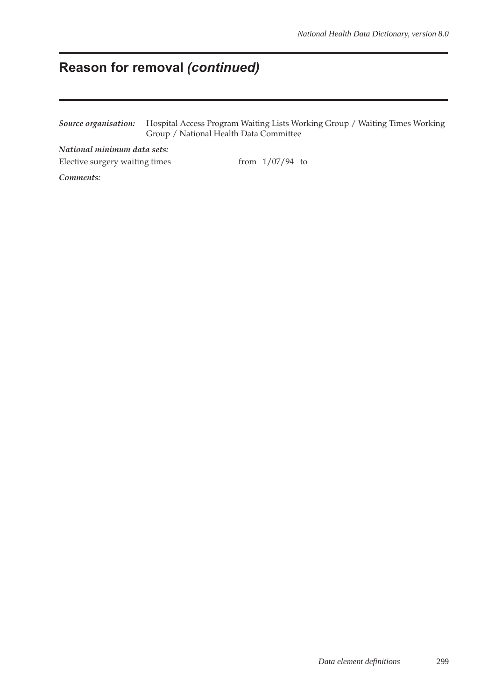### **Reason for removal** *(continued)*

*Source organisation:* Hospital Access Program Waiting Lists Working Group / Waiting Times Working Group / National Health Data Committee

*National minimum data sets:* Elective surgery waiting times from 1/07/94 to

*Comments:*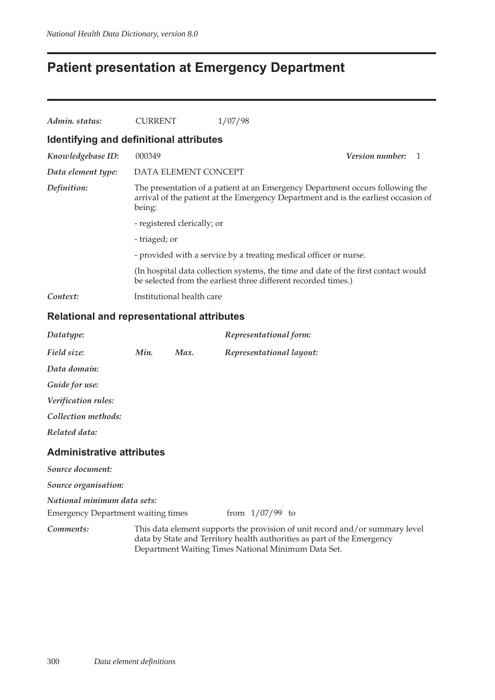### **Patient presentation at Emergency Department**

| Admin. status:                          | <b>CURRENT</b>                                                                                                                                                                | 1/07/98                                                                                                                                              |                        |              |  |  |
|-----------------------------------------|-------------------------------------------------------------------------------------------------------------------------------------------------------------------------------|------------------------------------------------------------------------------------------------------------------------------------------------------|------------------------|--------------|--|--|
| Identifying and definitional attributes |                                                                                                                                                                               |                                                                                                                                                      |                        |              |  |  |
| Knowledgebase ID:                       | 000349                                                                                                                                                                        |                                                                                                                                                      | <i>Version number:</i> | $\mathbf{1}$ |  |  |
| Data element type:                      | DATA ELEMENT CONCEPT                                                                                                                                                          |                                                                                                                                                      |                        |              |  |  |
| Definition:                             | The presentation of a patient at an Emergency Department occurs following the<br>arrival of the patient at the Emergency Department and is the earliest occasion of<br>being: |                                                                                                                                                      |                        |              |  |  |
|                                         | - registered clerically; or                                                                                                                                                   |                                                                                                                                                      |                        |              |  |  |
|                                         | - triaged; or                                                                                                                                                                 |                                                                                                                                                      |                        |              |  |  |
|                                         |                                                                                                                                                                               | - provided with a service by a treating medical officer or nurse.                                                                                    |                        |              |  |  |
|                                         |                                                                                                                                                                               | (In hospital data collection systems, the time and date of the first contact would<br>be selected from the earliest three different recorded times.) |                        |              |  |  |
| Context:                                | Institutional health care                                                                                                                                                     |                                                                                                                                                      |                        |              |  |  |

### **Relational and representational attributes**

| Datatype:                        |      |      | Representational form:   |
|----------------------------------|------|------|--------------------------|
| Field size:                      | Min. | Max. | Representational layout: |
| Data domain:                     |      |      |                          |
| Guide for use:                   |      |      |                          |
| Verification rules:              |      |      |                          |
| Collection methods:              |      |      |                          |
| Related data:                    |      |      |                          |
| <b>Administrative attributes</b> |      |      |                          |
| Source document:                 |      |      |                          |
| Source organisation:             |      |      |                          |
| National minimum data sets:      |      |      |                          |

Emergency Department waiting times from 1/07/99 to

*Comments:* This data element supports the provision of unit record and/or summary level data by State and Territory health authorities as part of the Emergency Department Waiting Times National Minimum Data Set.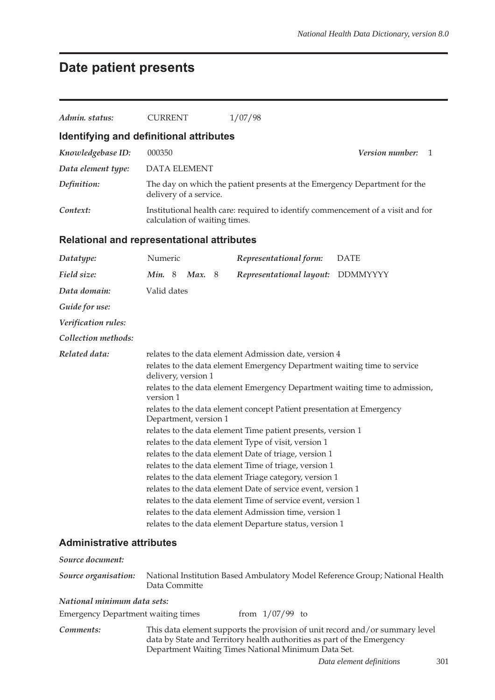# **Date patient presents**

| Admin. status:                            | <b>CURRENT</b>                                                                                                                                                                                                                                                                                                                                                                                                                                                                                                                                                                                                                                                                                                                                                                                                                                                                                                 | 1/07/98                                                                                                                                                                                                        |  |  |  |
|-------------------------------------------|----------------------------------------------------------------------------------------------------------------------------------------------------------------------------------------------------------------------------------------------------------------------------------------------------------------------------------------------------------------------------------------------------------------------------------------------------------------------------------------------------------------------------------------------------------------------------------------------------------------------------------------------------------------------------------------------------------------------------------------------------------------------------------------------------------------------------------------------------------------------------------------------------------------|----------------------------------------------------------------------------------------------------------------------------------------------------------------------------------------------------------------|--|--|--|
|                                           | Identifying and definitional attributes                                                                                                                                                                                                                                                                                                                                                                                                                                                                                                                                                                                                                                                                                                                                                                                                                                                                        |                                                                                                                                                                                                                |  |  |  |
| Knowledgebase ID:                         | 000350                                                                                                                                                                                                                                                                                                                                                                                                                                                                                                                                                                                                                                                                                                                                                                                                                                                                                                         | Version number:<br>1                                                                                                                                                                                           |  |  |  |
| Data element type:                        | <b>DATA ELEMENT</b>                                                                                                                                                                                                                                                                                                                                                                                                                                                                                                                                                                                                                                                                                                                                                                                                                                                                                            |                                                                                                                                                                                                                |  |  |  |
| Definition:                               | delivery of a service.                                                                                                                                                                                                                                                                                                                                                                                                                                                                                                                                                                                                                                                                                                                                                                                                                                                                                         | The day on which the patient presents at the Emergency Department for the                                                                                                                                      |  |  |  |
| Context:                                  | calculation of waiting times.                                                                                                                                                                                                                                                                                                                                                                                                                                                                                                                                                                                                                                                                                                                                                                                                                                                                                  | Institutional health care: required to identify commencement of a visit and for                                                                                                                                |  |  |  |
|                                           | <b>Relational and representational attributes</b>                                                                                                                                                                                                                                                                                                                                                                                                                                                                                                                                                                                                                                                                                                                                                                                                                                                              |                                                                                                                                                                                                                |  |  |  |
| Datatype:                                 | Numeric                                                                                                                                                                                                                                                                                                                                                                                                                                                                                                                                                                                                                                                                                                                                                                                                                                                                                                        | Representational form:<br><b>DATE</b>                                                                                                                                                                          |  |  |  |
| Field size:                               | Min. 8 Max. 8                                                                                                                                                                                                                                                                                                                                                                                                                                                                                                                                                                                                                                                                                                                                                                                                                                                                                                  | <b>DDMMYYYY</b><br>Representational layout:                                                                                                                                                                    |  |  |  |
| Data domain:                              | Valid dates                                                                                                                                                                                                                                                                                                                                                                                                                                                                                                                                                                                                                                                                                                                                                                                                                                                                                                    |                                                                                                                                                                                                                |  |  |  |
| Guide for use:                            |                                                                                                                                                                                                                                                                                                                                                                                                                                                                                                                                                                                                                                                                                                                                                                                                                                                                                                                |                                                                                                                                                                                                                |  |  |  |
| Verification rules:                       |                                                                                                                                                                                                                                                                                                                                                                                                                                                                                                                                                                                                                                                                                                                                                                                                                                                                                                                |                                                                                                                                                                                                                |  |  |  |
| Collection methods:                       |                                                                                                                                                                                                                                                                                                                                                                                                                                                                                                                                                                                                                                                                                                                                                                                                                                                                                                                |                                                                                                                                                                                                                |  |  |  |
| Related data:                             | relates to the data element Admission date, version 4<br>relates to the data element Emergency Department waiting time to service<br>delivery, version 1<br>relates to the data element Emergency Department waiting time to admission,<br>version 1<br>relates to the data element concept Patient presentation at Emergency<br>Department, version 1<br>relates to the data element Time patient presents, version 1<br>relates to the data element Type of visit, version 1<br>relates to the data element Date of triage, version 1<br>relates to the data element Time of triage, version 1<br>relates to the data element Triage category, version 1<br>relates to the data element Date of service event, version 1<br>relates to the data element Time of service event, version 1<br>relates to the data element Admission time, version 1<br>relates to the data element Departure status, version 1 |                                                                                                                                                                                                                |  |  |  |
| <b>Administrative attributes</b>          |                                                                                                                                                                                                                                                                                                                                                                                                                                                                                                                                                                                                                                                                                                                                                                                                                                                                                                                |                                                                                                                                                                                                                |  |  |  |
| Source document:                          |                                                                                                                                                                                                                                                                                                                                                                                                                                                                                                                                                                                                                                                                                                                                                                                                                                                                                                                |                                                                                                                                                                                                                |  |  |  |
| Source organisation:                      | National Institution Based Ambulatory Model Reference Group; National Health<br>Data Committe                                                                                                                                                                                                                                                                                                                                                                                                                                                                                                                                                                                                                                                                                                                                                                                                                  |                                                                                                                                                                                                                |  |  |  |
| National minimum data sets:               |                                                                                                                                                                                                                                                                                                                                                                                                                                                                                                                                                                                                                                                                                                                                                                                                                                                                                                                |                                                                                                                                                                                                                |  |  |  |
| <b>Emergency Department waiting times</b> |                                                                                                                                                                                                                                                                                                                                                                                                                                                                                                                                                                                                                                                                                                                                                                                                                                                                                                                | from $1/07/99$ to                                                                                                                                                                                              |  |  |  |
| Comments:                                 |                                                                                                                                                                                                                                                                                                                                                                                                                                                                                                                                                                                                                                                                                                                                                                                                                                                                                                                | This data element supports the provision of unit record and/or summary level<br>data by State and Territory health authorities as part of the Emergency<br>Department Waiting Times National Minimum Data Set. |  |  |  |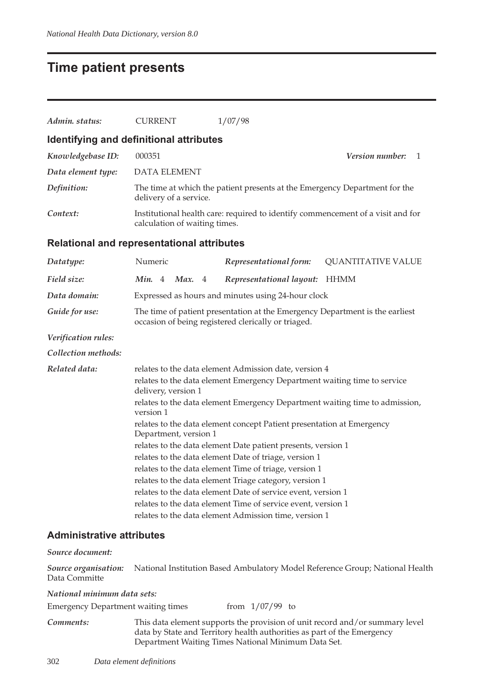### **Time patient presents**

| Admin. status:                                    | <b>CURRENT</b>                                                                                  |                                                                                                                                     |  | 1/07/98                                                                         |                             |
|---------------------------------------------------|-------------------------------------------------------------------------------------------------|-------------------------------------------------------------------------------------------------------------------------------------|--|---------------------------------------------------------------------------------|-----------------------------|
| Identifying and definitional attributes           |                                                                                                 |                                                                                                                                     |  |                                                                                 |                             |
| Knowledgebase ID:                                 | 000351                                                                                          |                                                                                                                                     |  |                                                                                 | <i>Version number:</i><br>1 |
| Data element type:                                | <b>DATA ELEMENT</b>                                                                             |                                                                                                                                     |  |                                                                                 |                             |
| Definition:                                       | delivery of a service.                                                                          |                                                                                                                                     |  | The time at which the patient presents at the Emergency Department for the      |                             |
| Context:                                          | calculation of waiting times.                                                                   |                                                                                                                                     |  | Institutional health care: required to identify commencement of a visit and for |                             |
| <b>Relational and representational attributes</b> |                                                                                                 |                                                                                                                                     |  |                                                                                 |                             |
| Datatype:                                         | Numeric                                                                                         |                                                                                                                                     |  | Representational form:                                                          | <b>QUANTITATIVE VALUE</b>   |
| Field size:                                       | Min. $4$                                                                                        | Max. 4                                                                                                                              |  | Representational layout: HHMM                                                   |                             |
| Data domain:                                      |                                                                                                 |                                                                                                                                     |  | Expressed as hours and minutes using 24-hour clock                              |                             |
| Guide for use:                                    |                                                                                                 | The time of patient presentation at the Emergency Department is the earliest<br>occasion of being registered clerically or triaged. |  |                                                                                 |                             |
| Verification rules:                               |                                                                                                 |                                                                                                                                     |  |                                                                                 |                             |
| Collection methods:                               |                                                                                                 |                                                                                                                                     |  |                                                                                 |                             |
| Related data:                                     |                                                                                                 |                                                                                                                                     |  | relates to the data element Admission date, version 4                           |                             |
|                                                   | relates to the data element Emergency Department waiting time to service<br>delivery, version 1 |                                                                                                                                     |  |                                                                                 |                             |
|                                                   | relates to the data element Emergency Department waiting time to admission,<br>version 1        |                                                                                                                                     |  |                                                                                 |                             |
|                                                   | relates to the data element concept Patient presentation at Emergency<br>Department, version 1  |                                                                                                                                     |  |                                                                                 |                             |
|                                                   |                                                                                                 |                                                                                                                                     |  | relates to the data element Date patient presents, version 1                    |                             |
|                                                   |                                                                                                 |                                                                                                                                     |  | relates to the data element Date of triage, version 1                           |                             |
|                                                   |                                                                                                 |                                                                                                                                     |  | relates to the data element Time of triage, version 1                           |                             |
|                                                   |                                                                                                 |                                                                                                                                     |  | relates to the data element Triage category, version 1                          |                             |
|                                                   |                                                                                                 |                                                                                                                                     |  | relates to the data element Date of service event, version 1                    |                             |
|                                                   |                                                                                                 |                                                                                                                                     |  | relates to the data element Time of service event, version 1                    |                             |

#### **Administrative attributes**

#### *Source document:*

*Source organisation:* National Institution Based Ambulatory Model Reference Group; National Health Data Committe

relates to the data element Admission time, version 1

#### *National minimum data sets:*

| <b>Emergency Department waiting times</b> | from $1/07/99$ to |  |
|-------------------------------------------|-------------------|--|
|                                           |                   |  |

*Comments:* This data element supports the provision of unit record and/or summary level data by State and Territory health authorities as part of the Emergency Department Waiting Times National Minimum Data Set.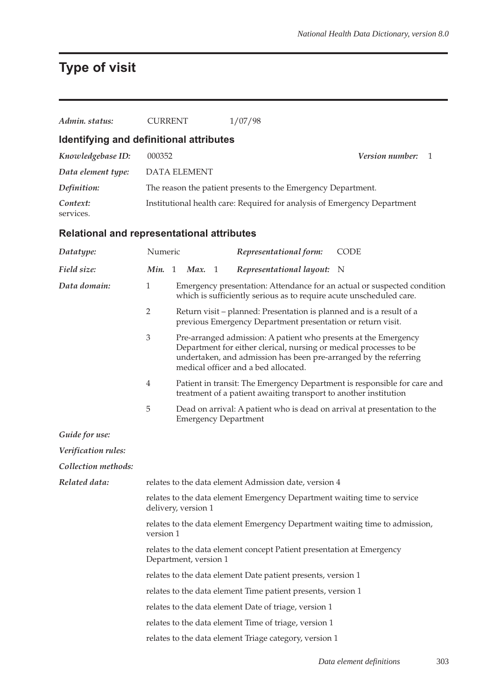### **Type of visit**

| Admin, status:                                    | <b>CURRENT</b>      | 1/07/98                                                                  |                        |
|---------------------------------------------------|---------------------|--------------------------------------------------------------------------|------------------------|
| Identifying and definitional attributes           |                     |                                                                          |                        |
| Knowledgebase ID:                                 | 000352              |                                                                          | <b>Version number:</b> |
| Data element type:                                | <b>DATA ELEMENT</b> |                                                                          |                        |
| Definition:                                       |                     | The reason the patient presents to the Emergency Department.             |                        |
| Context:<br>services.                             |                     | Institutional health care: Required for analysis of Emergency Department |                        |
| <b>Relational and representational attributes</b> |                     |                                                                          |                        |
| Datatype:                                         | Numeric             | Representational form:                                                   | <b>CODE</b>            |
| Field size:                                       | Max.<br>Min. 1      | Representational layout: N                                               |                        |

| Emergency presentation: Attendance for an actual or suspected condition<br>which is sufficiently serious as to require acute unscheduled care. |  |
|------------------------------------------------------------------------------------------------------------------------------------------------|--|
|                                                                                                                                                |  |

- 2 Return visit planned: Presentation is planned and is a result of a previous Emergency Department presentation or return visit.
- 3 Pre-arranged admission: A patient who presents at the Emergency Department for either clerical, nursing or medical processes to be undertaken, and admission has been pre-arranged by the referring medical officer and a bed allocated.
- 4 Patient in transit: The Emergency Department is responsible for care and treatment of a patient awaiting transport to another institution
- 5 Dead on arrival: A patient who is dead on arrival at presentation to the Emergency Department

*Guide for use:*

Data domain:

*Verification rules:*

*Collection methods:*

| Related data: | relates to the data element Admission date, version 4                                           |
|---------------|-------------------------------------------------------------------------------------------------|
|               | relates to the data element Emergency Department waiting time to service<br>delivery, version 1 |
|               | relates to the data element Emergency Department waiting time to admission,<br>version 1        |
|               | relates to the data element concept Patient presentation at Emergency<br>Department, version 1  |
|               | relates to the data element Date patient presents, version 1                                    |
|               | relates to the data element Time patient presents, version 1                                    |
|               | relates to the data element Date of triage, version 1                                           |
|               | relates to the data element Time of triage, version 1                                           |
|               | relates to the data element Triage category, version 1                                          |
|               |                                                                                                 |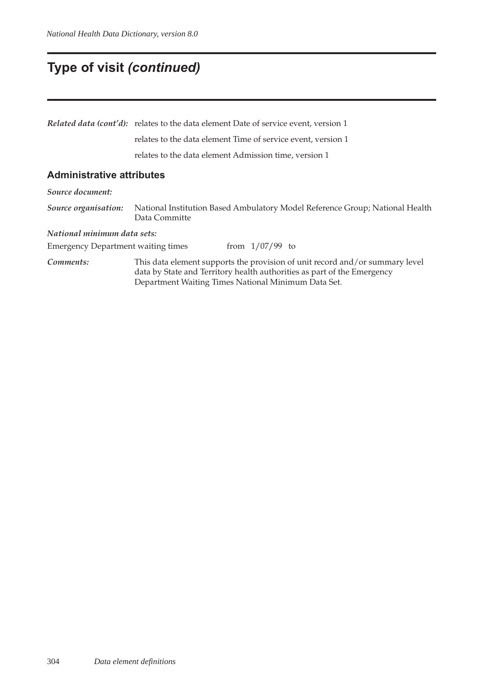### **Type of visit** *(continued)*

*Related data (cont'd):* relates to the data element Date of service event, version 1 relates to the data element Time of service event, version 1 relates to the data element Admission time, version 1 **Administrative attributes** *Source document:* Data Committe *National minimum data sets:* Emergency Department waiting times from  $1/07/99$  to *Comments:* This data element supports the provision of unit record and/or summary level data by State and Territory health authorities as part of the Emergency

*Source organisation:* National Institution Based Ambulatory Model Reference Group; National Health

Department Waiting Times National Minimum Data Set.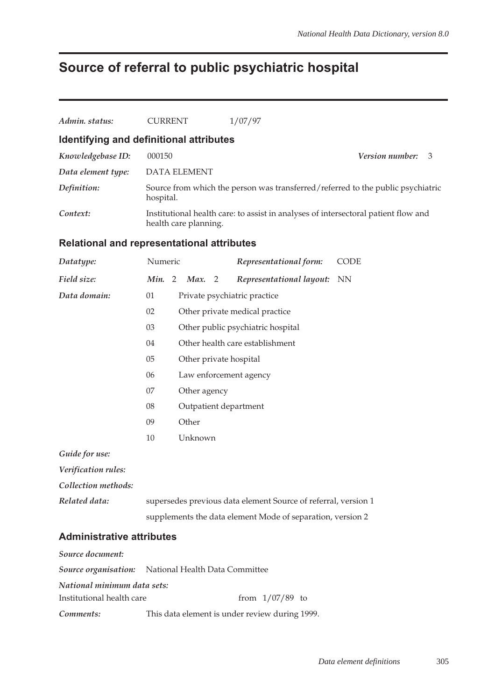### **Source of referral to public psychiatric hospital**

| Admin. status:                                    | <b>CURRENT</b>                                                                                                                                                                                                                                                        |                       | 1/07/97                                                                            |                                                                                 |
|---------------------------------------------------|-----------------------------------------------------------------------------------------------------------------------------------------------------------------------------------------------------------------------------------------------------------------------|-----------------------|------------------------------------------------------------------------------------|---------------------------------------------------------------------------------|
| Identifying and definitional attributes           |                                                                                                                                                                                                                                                                       |                       |                                                                                    |                                                                                 |
| Knowledgebase ID:                                 | 000150                                                                                                                                                                                                                                                                |                       |                                                                                    | Version number:<br>3                                                            |
| Data element type:                                |                                                                                                                                                                                                                                                                       | <b>DATA ELEMENT</b>   |                                                                                    |                                                                                 |
| Definition:                                       | hospital.                                                                                                                                                                                                                                                             |                       |                                                                                    | Source from which the person was transferred/referred to the public psychiatric |
| Context:                                          |                                                                                                                                                                                                                                                                       | health care planning. | Institutional health care: to assist in analyses of intersectoral patient flow and |                                                                                 |
| <b>Relational and representational attributes</b> |                                                                                                                                                                                                                                                                       |                       |                                                                                    |                                                                                 |
| Datatype:                                         |                                                                                                                                                                                                                                                                       |                       | Representational form:                                                             | <b>CODE</b>                                                                     |
| Field size:                                       |                                                                                                                                                                                                                                                                       |                       |                                                                                    |                                                                                 |
| Data domain:                                      | 01                                                                                                                                                                                                                                                                    |                       |                                                                                    |                                                                                 |
|                                                   | 02                                                                                                                                                                                                                                                                    |                       |                                                                                    |                                                                                 |
|                                                   | 03                                                                                                                                                                                                                                                                    |                       |                                                                                    |                                                                                 |
|                                                   | 04                                                                                                                                                                                                                                                                    |                       |                                                                                    |                                                                                 |
|                                                   | 05                                                                                                                                                                                                                                                                    |                       |                                                                                    |                                                                                 |
|                                                   | 06                                                                                                                                                                                                                                                                    |                       |                                                                                    |                                                                                 |
|                                                   | 07                                                                                                                                                                                                                                                                    |                       |                                                                                    |                                                                                 |
|                                                   | Numeric<br>Min. 2 Max. 2<br>Representational layout: NN<br>Private psychiatric practice<br>Other private medical practice<br>Other public psychiatric hospital<br>Other health care establishment<br>Other private hospital<br>Law enforcement agency<br>Other agency |                       |                                                                                    |                                                                                 |

- 08 Outpatient department
- 09 Other
- 10 Unknown

*Guide for use:*

*Verification rules:*

*Collection methods:*

*Related data:* supersedes previous data element Source of referral, version 1 supplements the data element Mode of separation, version 2

#### **Administrative attributes**

| Source document:            |                                                            |
|-----------------------------|------------------------------------------------------------|
|                             | <b>Source organisation:</b> National Health Data Committee |
| National minimum data sets: |                                                            |
| Institutional health care   | from $1/07/89$ to                                          |
| Comments:                   | This data element is under review during 1999.             |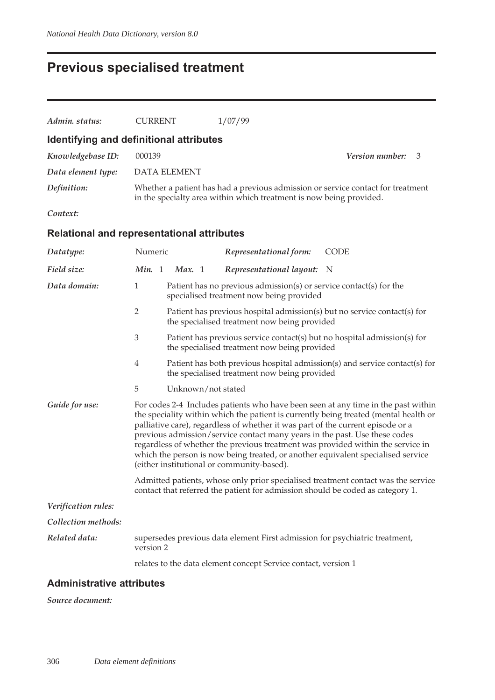# **Previous specialised treatment**

| Admin. status:                                    | <b>CURRENT</b>                                                                                                                                                                                                                                                                                                                                                                                                                                                                                                                                                  |                     | 1/07/99                                                                                                                  |                                                                                   |
|---------------------------------------------------|-----------------------------------------------------------------------------------------------------------------------------------------------------------------------------------------------------------------------------------------------------------------------------------------------------------------------------------------------------------------------------------------------------------------------------------------------------------------------------------------------------------------------------------------------------------------|---------------------|--------------------------------------------------------------------------------------------------------------------------|-----------------------------------------------------------------------------------|
| Identifying and definitional attributes           |                                                                                                                                                                                                                                                                                                                                                                                                                                                                                                                                                                 |                     |                                                                                                                          |                                                                                   |
| Knowledgebase ID:                                 | 000139                                                                                                                                                                                                                                                                                                                                                                                                                                                                                                                                                          |                     |                                                                                                                          | Version number:<br>3                                                              |
| Data element type:                                |                                                                                                                                                                                                                                                                                                                                                                                                                                                                                                                                                                 | <b>DATA ELEMENT</b> |                                                                                                                          |                                                                                   |
| Definition:                                       |                                                                                                                                                                                                                                                                                                                                                                                                                                                                                                                                                                 |                     | in the specialty area within which treatment is now being provided.                                                      | Whether a patient has had a previous admission or service contact for treatment   |
| Context:                                          |                                                                                                                                                                                                                                                                                                                                                                                                                                                                                                                                                                 |                     |                                                                                                                          |                                                                                   |
| <b>Relational and representational attributes</b> |                                                                                                                                                                                                                                                                                                                                                                                                                                                                                                                                                                 |                     |                                                                                                                          |                                                                                   |
| Datatype:                                         | Numeric                                                                                                                                                                                                                                                                                                                                                                                                                                                                                                                                                         |                     | Representational form:                                                                                                   | <b>CODE</b>                                                                       |
| Field size:                                       | Min. 1                                                                                                                                                                                                                                                                                                                                                                                                                                                                                                                                                          | Max. 1              | Representational layout:                                                                                                 | - N                                                                               |
| Data domain:                                      | 1                                                                                                                                                                                                                                                                                                                                                                                                                                                                                                                                                               |                     | Patient has no previous admission(s) or service contact(s) for the<br>specialised treatment now being provided           |                                                                                   |
|                                                   | 2                                                                                                                                                                                                                                                                                                                                                                                                                                                                                                                                                               |                     | Patient has previous hospital admission(s) but no service contact(s) for<br>the specialised treatment now being provided |                                                                                   |
|                                                   | 3                                                                                                                                                                                                                                                                                                                                                                                                                                                                                                                                                               |                     | Patient has previous service contact(s) but no hospital admission(s) for<br>the specialised treatment now being provided |                                                                                   |
|                                                   | $\overline{4}$                                                                                                                                                                                                                                                                                                                                                                                                                                                                                                                                                  |                     | the specialised treatment now being provided                                                                             | Patient has both previous hospital admission(s) and service contact(s) for        |
|                                                   | 5                                                                                                                                                                                                                                                                                                                                                                                                                                                                                                                                                               | Unknown/not stated  |                                                                                                                          |                                                                                   |
| Guide for use:                                    | For codes 2-4 Includes patients who have been seen at any time in the past within<br>the speciality within which the patient is currently being treated (mental health or<br>palliative care), regardless of whether it was part of the current episode or a<br>previous admission/service contact many years in the past. Use these codes<br>regardless of whether the previous treatment was provided within the service in<br>which the person is now being treated, or another equivalent specialised service<br>(either institutional or community-based). |                     |                                                                                                                          |                                                                                   |
|                                                   |                                                                                                                                                                                                                                                                                                                                                                                                                                                                                                                                                                 |                     | contact that referred the patient for admission should be coded as category 1.                                           | Admitted patients, whose only prior specialised treatment contact was the service |
| Verification rules:                               |                                                                                                                                                                                                                                                                                                                                                                                                                                                                                                                                                                 |                     |                                                                                                                          |                                                                                   |
| Collection methods:                               |                                                                                                                                                                                                                                                                                                                                                                                                                                                                                                                                                                 |                     |                                                                                                                          |                                                                                   |
| Related data:                                     | version 2                                                                                                                                                                                                                                                                                                                                                                                                                                                                                                                                                       |                     | supersedes previous data element First admission for psychiatric treatment,                                              |                                                                                   |
|                                                   |                                                                                                                                                                                                                                                                                                                                                                                                                                                                                                                                                                 |                     | relates to the data element concept Service contact, version 1                                                           |                                                                                   |

### **Administrative attributes**

*Source document:*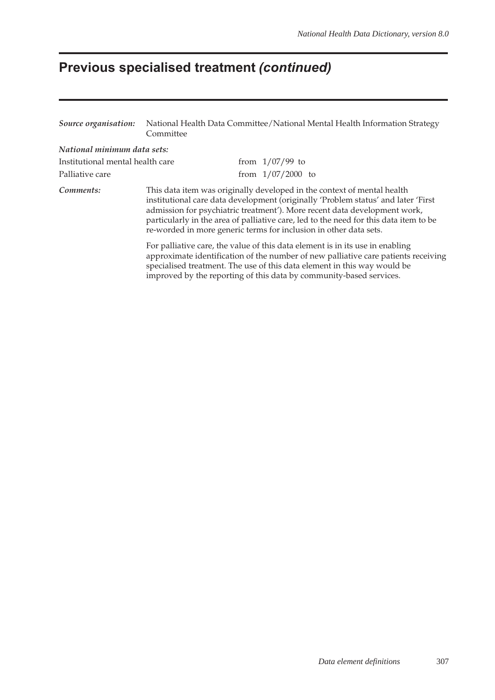# **Previous specialised treatment** *(continued)*

| Source organisation:                                                                                                                                      | National Health Data Committee/National Mental Health Information Strategy<br>Committee                                                                                                                                                                                                                                |  |                                                                                                                                                                                                                                                         |
|-----------------------------------------------------------------------------------------------------------------------------------------------------------|------------------------------------------------------------------------------------------------------------------------------------------------------------------------------------------------------------------------------------------------------------------------------------------------------------------------|--|---------------------------------------------------------------------------------------------------------------------------------------------------------------------------------------------------------------------------------------------------------|
| National minimum data sets:                                                                                                                               |                                                                                                                                                                                                                                                                                                                        |  |                                                                                                                                                                                                                                                         |
| Institutional mental health care                                                                                                                          |                                                                                                                                                                                                                                                                                                                        |  | from $1/07/99$ to                                                                                                                                                                                                                                       |
| Palliative care                                                                                                                                           |                                                                                                                                                                                                                                                                                                                        |  | from $1/07/2000$ to                                                                                                                                                                                                                                     |
| Comments:<br>This data item was originally developed in the context of mental health<br>re-worded in more generic terms for inclusion in other data sets. |                                                                                                                                                                                                                                                                                                                        |  | institutional care data development (originally 'Problem status' and later 'First<br>admission for psychiatric treatment'). More recent data development work,<br>particularly in the area of palliative care, led to the need for this data item to be |
|                                                                                                                                                           | For palliative care, the value of this data element is in its use in enabling<br>approximate identification of the number of new palliative care patients receiving<br>specialised treatment. The use of this data element in this way would be<br>improved by the reporting of this data by community-based services. |  |                                                                                                                                                                                                                                                         |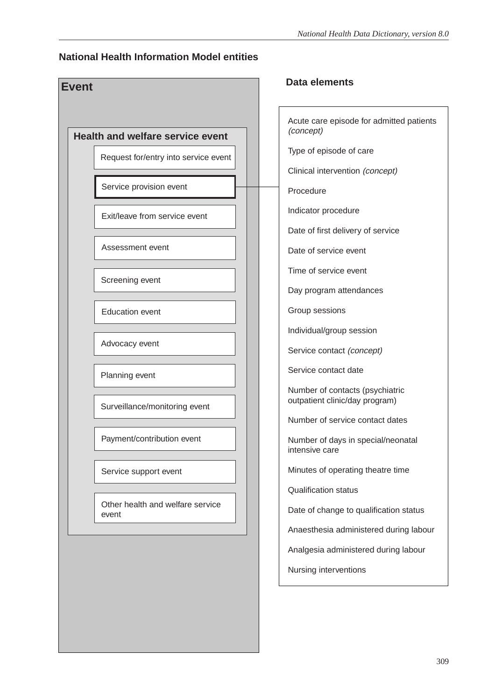### **National Health Information Model entities**



Acute care episode for admitted patients (concept) Type of episode of care Clinical intervention (concept) Procedure Indicator procedure Date of first delivery of service Date of service event Time of service event Day program attendances Group sessions Individual/group session Service contact (concept) Service contact date Number of contacts (psychiatric outpatient clinic/day program) Number of service contact dates Number of days in special/neonatal intensive care Minutes of operating theatre time Qualification status Date of change to qualification status Anaesthesia administered during labour Analgesia administered during labour Nursing interventions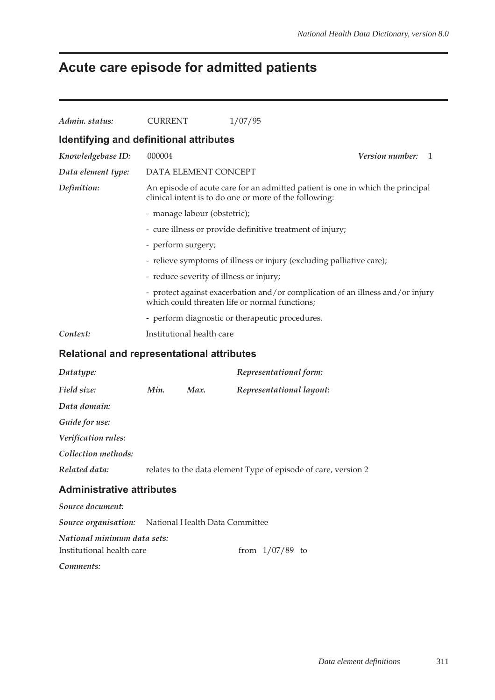# **Acute care episode for admitted patients**

| Admin. status:                                      | <b>CURRENT</b>                                                                                                                   |                                                                                                                                          | 1/07/95                                                        |                             |  |  |  |
|-----------------------------------------------------|----------------------------------------------------------------------------------------------------------------------------------|------------------------------------------------------------------------------------------------------------------------------------------|----------------------------------------------------------------|-----------------------------|--|--|--|
| Identifying and definitional attributes             |                                                                                                                                  |                                                                                                                                          |                                                                |                             |  |  |  |
| Knowledgebase ID:                                   | 000004                                                                                                                           |                                                                                                                                          |                                                                | <b>Version number:</b><br>1 |  |  |  |
| Data element type:                                  |                                                                                                                                  |                                                                                                                                          | DATA ELEMENT CONCEPT                                           |                             |  |  |  |
| Definition:                                         |                                                                                                                                  | An episode of acute care for an admitted patient is one in which the principal<br>clinical intent is to do one or more of the following: |                                                                |                             |  |  |  |
|                                                     | - manage labour (obstetric);                                                                                                     |                                                                                                                                          |                                                                |                             |  |  |  |
|                                                     |                                                                                                                                  |                                                                                                                                          | - cure illness or provide definitive treatment of injury;      |                             |  |  |  |
|                                                     |                                                                                                                                  | - perform surgery;                                                                                                                       |                                                                |                             |  |  |  |
|                                                     | - relieve symptoms of illness or injury (excluding palliative care);                                                             |                                                                                                                                          |                                                                |                             |  |  |  |
|                                                     |                                                                                                                                  | - reduce severity of illness or injury;                                                                                                  |                                                                |                             |  |  |  |
|                                                     | - protect against exacerbation and/or complication of an illness and/or injury<br>which could threaten life or normal functions; |                                                                                                                                          |                                                                |                             |  |  |  |
|                                                     | - perform diagnostic or therapeutic procedures.                                                                                  |                                                                                                                                          |                                                                |                             |  |  |  |
| Context:                                            |                                                                                                                                  | Institutional health care                                                                                                                |                                                                |                             |  |  |  |
| <b>Relational and representational attributes</b>   |                                                                                                                                  |                                                                                                                                          |                                                                |                             |  |  |  |
| Datatype:                                           |                                                                                                                                  |                                                                                                                                          | Representational form:                                         |                             |  |  |  |
| Field size:                                         | Min.                                                                                                                             | Max.                                                                                                                                     | Representational layout:                                       |                             |  |  |  |
| Data domain:                                        |                                                                                                                                  |                                                                                                                                          |                                                                |                             |  |  |  |
| Guide for use:                                      |                                                                                                                                  |                                                                                                                                          |                                                                |                             |  |  |  |
| Verification rules:                                 |                                                                                                                                  |                                                                                                                                          |                                                                |                             |  |  |  |
| Collection methods:                                 |                                                                                                                                  |                                                                                                                                          |                                                                |                             |  |  |  |
| Related data:                                       |                                                                                                                                  |                                                                                                                                          | relates to the data element Type of episode of care, version 2 |                             |  |  |  |
| <b>Administrative attributes</b>                    |                                                                                                                                  |                                                                                                                                          |                                                                |                             |  |  |  |
| Source document:                                    |                                                                                                                                  |                                                                                                                                          |                                                                |                             |  |  |  |
| Source organisation: National Health Data Committee |                                                                                                                                  |                                                                                                                                          |                                                                |                             |  |  |  |
| National minimum data sets:                         |                                                                                                                                  |                                                                                                                                          |                                                                |                             |  |  |  |
| Institutional health care                           |                                                                                                                                  |                                                                                                                                          | from $1/07/89$ to                                              |                             |  |  |  |
| Comments:                                           |                                                                                                                                  |                                                                                                                                          |                                                                |                             |  |  |  |
|                                                     |                                                                                                                                  |                                                                                                                                          |                                                                |                             |  |  |  |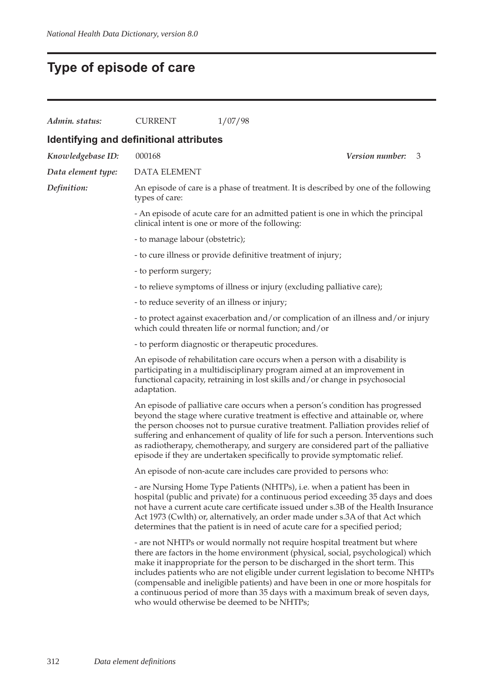# **Type of episode of care**

| Admin. status:                          | <b>CURRENT</b>                                | 1/07/98                                                                                                                                                                                                                                                                                                                                                                                                                                                                                                                                                |
|-----------------------------------------|-----------------------------------------------|--------------------------------------------------------------------------------------------------------------------------------------------------------------------------------------------------------------------------------------------------------------------------------------------------------------------------------------------------------------------------------------------------------------------------------------------------------------------------------------------------------------------------------------------------------|
| Identifying and definitional attributes |                                               |                                                                                                                                                                                                                                                                                                                                                                                                                                                                                                                                                        |
| Knowledgebase ID:                       | 000168                                        | <b>Version number:</b><br>3                                                                                                                                                                                                                                                                                                                                                                                                                                                                                                                            |
| Data element type:                      | <b>DATA ELEMENT</b>                           |                                                                                                                                                                                                                                                                                                                                                                                                                                                                                                                                                        |
| Definition:                             | types of care:                                | An episode of care is a phase of treatment. It is described by one of the following                                                                                                                                                                                                                                                                                                                                                                                                                                                                    |
|                                         |                                               | - An episode of acute care for an admitted patient is one in which the principal<br>clinical intent is one or more of the following:                                                                                                                                                                                                                                                                                                                                                                                                                   |
|                                         | - to manage labour (obstetric);               |                                                                                                                                                                                                                                                                                                                                                                                                                                                                                                                                                        |
|                                         |                                               | - to cure illness or provide definitive treatment of injury;                                                                                                                                                                                                                                                                                                                                                                                                                                                                                           |
|                                         | - to perform surgery;                         |                                                                                                                                                                                                                                                                                                                                                                                                                                                                                                                                                        |
|                                         |                                               | - to relieve symptoms of illness or injury (excluding palliative care);                                                                                                                                                                                                                                                                                                                                                                                                                                                                                |
|                                         | - to reduce severity of an illness or injury; |                                                                                                                                                                                                                                                                                                                                                                                                                                                                                                                                                        |
|                                         |                                               | - to protect against exacerbation and/or complication of an illness and/or injury<br>which could threaten life or normal function; and/or                                                                                                                                                                                                                                                                                                                                                                                                              |
|                                         |                                               | - to perform diagnostic or therapeutic procedures.                                                                                                                                                                                                                                                                                                                                                                                                                                                                                                     |
|                                         | adaptation.                                   | An episode of rehabilitation care occurs when a person with a disability is<br>participating in a multidisciplinary program aimed at an improvement in<br>functional capacity, retraining in lost skills and/or change in psychosocial                                                                                                                                                                                                                                                                                                                 |
|                                         |                                               | An episode of palliative care occurs when a person's condition has progressed<br>beyond the stage where curative treatment is effective and attainable or, where<br>the person chooses not to pursue curative treatment. Palliation provides relief of<br>suffering and enhancement of quality of life for such a person. Interventions such<br>as radiotherapy, chemotherapy, and surgery are considered part of the palliative<br>episode if they are undertaken specifically to provide symptomatic relief.                                         |
|                                         |                                               | An episode of non-acute care includes care provided to persons who:                                                                                                                                                                                                                                                                                                                                                                                                                                                                                    |
|                                         |                                               | - are Nursing Home Type Patients (NHTPs), i.e. when a patient has been in<br>hospital (public and private) for a continuous period exceeding 35 days and does<br>not have a current acute care certificate issued under s.3B of the Health Insurance<br>Act 1973 (Cwlth) or, alternatively, an order made under s.3A of that Act which<br>determines that the patient is in need of acute care for a specified period;                                                                                                                                 |
|                                         |                                               | - are not NHTPs or would normally not require hospital treatment but where<br>there are factors in the home environment (physical, social, psychological) which<br>make it inappropriate for the person to be discharged in the short term. This<br>includes patients who are not eligible under current legislation to become NHTPs<br>(compensable and ineligible patients) and have been in one or more hospitals for<br>a continuous period of more than 35 days with a maximum break of seven days,<br>who would otherwise be deemed to be NHTPs; |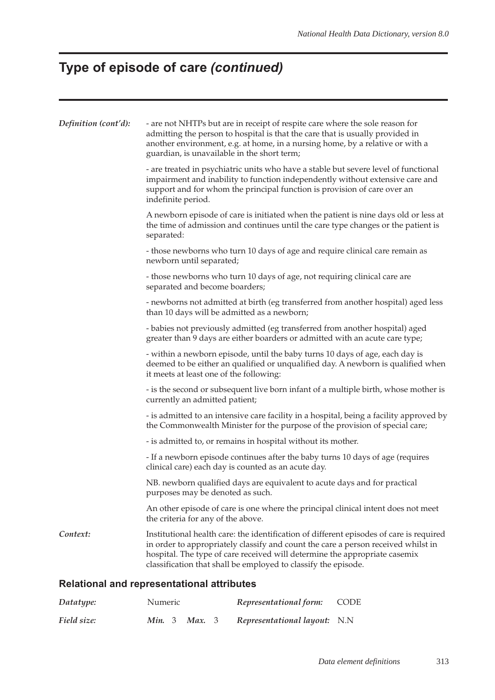# **Type of episode of care** *(continued)*

| Definition (cont'd):                              | - are not NHTPs but are in receipt of respite care where the sole reason for<br>admitting the person to hospital is that the care that is usually provided in<br>another environment, e.g. at home, in a nursing home, by a relative or with a<br>guardian, is unavailable in the short term;                                |  |  |  |  |
|---------------------------------------------------|------------------------------------------------------------------------------------------------------------------------------------------------------------------------------------------------------------------------------------------------------------------------------------------------------------------------------|--|--|--|--|
|                                                   | - are treated in psychiatric units who have a stable but severe level of functional<br>impairment and inability to function independently without extensive care and<br>support and for whom the principal function is provision of care over an<br>indefinite period.                                                       |  |  |  |  |
|                                                   | A newborn episode of care is initiated when the patient is nine days old or less at<br>the time of admission and continues until the care type changes or the patient is<br>separated:                                                                                                                                       |  |  |  |  |
|                                                   | - those newborns who turn 10 days of age and require clinical care remain as<br>newborn until separated;                                                                                                                                                                                                                     |  |  |  |  |
|                                                   | - those newborns who turn 10 days of age, not requiring clinical care are<br>separated and become boarders;                                                                                                                                                                                                                  |  |  |  |  |
|                                                   | - newborns not admitted at birth (eg transferred from another hospital) aged less<br>than 10 days will be admitted as a newborn;                                                                                                                                                                                             |  |  |  |  |
|                                                   | - babies not previously admitted (eg transferred from another hospital) aged<br>greater than 9 days are either boarders or admitted with an acute care type;                                                                                                                                                                 |  |  |  |  |
|                                                   | - within a newborn episode, until the baby turns 10 days of age, each day is<br>deemed to be either an qualified or unqualified day. A newborn is qualified when<br>it meets at least one of the following:                                                                                                                  |  |  |  |  |
|                                                   | - is the second or subsequent live born infant of a multiple birth, whose mother is<br>currently an admitted patient;                                                                                                                                                                                                        |  |  |  |  |
|                                                   | - is admitted to an intensive care facility in a hospital, being a facility approved by<br>the Commonwealth Minister for the purpose of the provision of special care;                                                                                                                                                       |  |  |  |  |
|                                                   | - is admitted to, or remains in hospital without its mother.                                                                                                                                                                                                                                                                 |  |  |  |  |
|                                                   | - If a newborn episode continues after the baby turns 10 days of age (requires<br>clinical care) each day is counted as an acute day.                                                                                                                                                                                        |  |  |  |  |
|                                                   | NB. newborn qualified days are equivalent to acute days and for practical<br>purposes may be denoted as such.                                                                                                                                                                                                                |  |  |  |  |
|                                                   | An other episode of care is one where the principal clinical intent does not meet<br>the criteria for any of the above.                                                                                                                                                                                                      |  |  |  |  |
| Context:                                          | Institutional health care: the identification of different episodes of care is required<br>in order to appropriately classify and count the care a person received whilst in<br>hospital. The type of care received will determine the appropriate casemix<br>classification that shall be employed to classify the episode. |  |  |  |  |
| <b>Relational and representational attributes</b> |                                                                                                                                                                                                                                                                                                                              |  |  |  |  |

| Datatype:   | Numeric                     | Representational form:       | CODE |
|-------------|-----------------------------|------------------------------|------|
| Field size: | <b>Min.</b> 3 <b>Max.</b> 3 | Representational layout: N.N |      |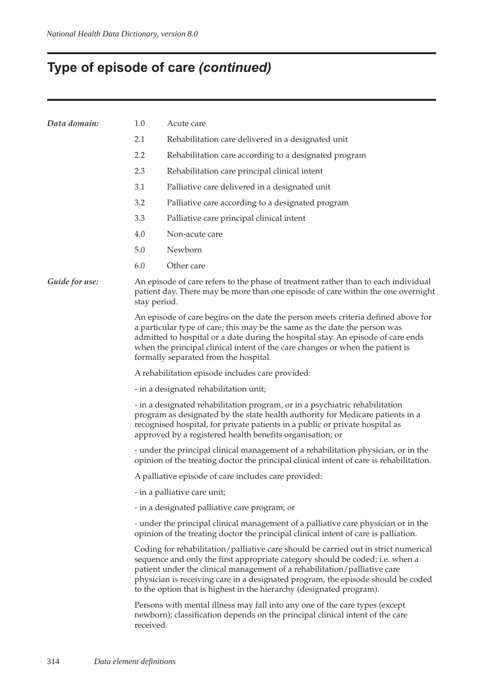# **Type of episode of care** *(continued)*

| Data domain:   | 1.0<br>Acute care                                                                                                                                                                                                                                                                                                                                                                                             |  |  |  |  |  |
|----------------|---------------------------------------------------------------------------------------------------------------------------------------------------------------------------------------------------------------------------------------------------------------------------------------------------------------------------------------------------------------------------------------------------------------|--|--|--|--|--|
|                | 2.1<br>Rehabilitation care delivered in a designated unit                                                                                                                                                                                                                                                                                                                                                     |  |  |  |  |  |
|                | 2.2<br>Rehabilitation care according to a designated program                                                                                                                                                                                                                                                                                                                                                  |  |  |  |  |  |
|                | 2.3<br>Rehabilitation care principal clinical intent                                                                                                                                                                                                                                                                                                                                                          |  |  |  |  |  |
|                | 3.1<br>Palliative care delivered in a designated unit                                                                                                                                                                                                                                                                                                                                                         |  |  |  |  |  |
|                | 3.2<br>Palliative care according to a designated program                                                                                                                                                                                                                                                                                                                                                      |  |  |  |  |  |
|                | 3.3<br>Palliative care principal clinical intent                                                                                                                                                                                                                                                                                                                                                              |  |  |  |  |  |
|                | 4.0<br>Non-acute care                                                                                                                                                                                                                                                                                                                                                                                         |  |  |  |  |  |
|                | 5.0<br>Newborn                                                                                                                                                                                                                                                                                                                                                                                                |  |  |  |  |  |
|                | 6.0<br>Other care                                                                                                                                                                                                                                                                                                                                                                                             |  |  |  |  |  |
| Guide for use: | An episode of care refers to the phase of treatment rather than to each individual<br>patient day. There may be more than one episode of care within the one overnight<br>stay period.                                                                                                                                                                                                                        |  |  |  |  |  |
|                | An episode of care begins on the date the person meets criteria defined above for<br>a particular type of care; this may be the same as the date the person was<br>admitted to hospital or a date during the hospital stay. An episode of care ends<br>when the principal clinical intent of the care changes or when the patient is<br>formally separated from the hospital.                                 |  |  |  |  |  |
|                | A rehabilitation episode includes care provided:                                                                                                                                                                                                                                                                                                                                                              |  |  |  |  |  |
|                | - in a designated rehabilitation unit;                                                                                                                                                                                                                                                                                                                                                                        |  |  |  |  |  |
|                | - in a designated rehabilitation program, or in a psychiatric rehabilitation<br>program as designated by the state health authority for Medicare patients in a<br>recognised hospital, for private patients in a public or private hospital as<br>approved by a registered health benefits organisation; or                                                                                                   |  |  |  |  |  |
|                | - under the principal clinical management of a rehabilitation physician, or in the<br>opinion of the treating doctor the principal clinical intent of care is rehabilitation.                                                                                                                                                                                                                                 |  |  |  |  |  |
|                | A palliative episode of care includes care provided:                                                                                                                                                                                                                                                                                                                                                          |  |  |  |  |  |
|                | - in a palliative care unit;                                                                                                                                                                                                                                                                                                                                                                                  |  |  |  |  |  |
|                | - in a designated palliative care program; or                                                                                                                                                                                                                                                                                                                                                                 |  |  |  |  |  |
|                | - under the principal clinical management of a palliative care physician or in the<br>opinion of the treating doctor the principal clinical intent of care is palliation.                                                                                                                                                                                                                                     |  |  |  |  |  |
|                | Coding for rehabilitation/palliative care should be carried out in strict numerical<br>sequence and only the first appropriate category should be coded; i.e. when a<br>patient under the clinical management of a rehabilitation/palliative care<br>physician is receiving care in a designated program, the episode should be coded<br>to the option that is highest in the hierarchy (designated program). |  |  |  |  |  |
|                | Persons with mental illness may fall into any one of the care types (except<br>newborn); classification depends on the principal clinical intent of the care<br>received.                                                                                                                                                                                                                                     |  |  |  |  |  |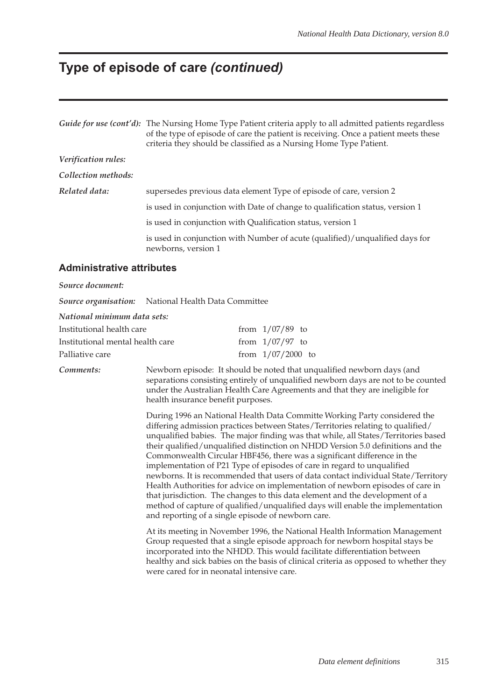### **Type of episode of care** *(continued)*

|                     | Guide for use (cont'd): The Nursing Home Type Patient criteria apply to all admitted patients regardless<br>of the type of episode of care the patient is receiving. Once a patient meets these<br>criteria they should be classified as a Nursing Home Type Patient. |
|---------------------|-----------------------------------------------------------------------------------------------------------------------------------------------------------------------------------------------------------------------------------------------------------------------|
| Verification rules: |                                                                                                                                                                                                                                                                       |
| Collection methods: |                                                                                                                                                                                                                                                                       |
| Related data:       | supersedes previous data element Type of episode of care, version 2                                                                                                                                                                                                   |
|                     | is used in conjunction with Date of change to qualification status, version 1                                                                                                                                                                                         |
|                     | is used in conjunction with Qualification status, version 1                                                                                                                                                                                                           |
|                     | is used in conjunction with Number of acute (qualified)/unqualified days for<br>newborns, version 1                                                                                                                                                                   |
|                     |                                                                                                                                                                                                                                                                       |

#### **Administrative attributes**

#### *Source document:*

*Source organisation:* National Health Data Committee

*National minimum data sets:*

| Institutional health care        | from $1/07/89$ to   |  |
|----------------------------------|---------------------|--|
| Institutional mental health care | from $1/07/97$ to   |  |
| Palliative care                  | from $1/07/2000$ to |  |

*Comments:* Newborn episode: It should be noted that unqualified newborn days (and separations consisting entirely of unqualified newborn days are not to be counted under the Australian Health Care Agreements and that they are ineligible for health insurance benefit purposes.

> During 1996 an National Health Data Committe Working Party considered the differing admission practices between States/Territories relating to qualified/ unqualified babies. The major finding was that while, all States/Territories based their qualified/unqualified distinction on NHDD Version 5.0 definitions and the Commonwealth Circular HBF456, there was a significant difference in the implementation of P21 Type of episodes of care in regard to unqualified newborns. It is recommended that users of data contact individual State/Territory Health Authorities for advice on implementation of newborn episodes of care in that jurisdiction. The changes to this data element and the development of a method of capture of qualified/unqualified days will enable the implementation and reporting of a single episode of newborn care.

> At its meeting in November 1996, the National Health Information Management Group requested that a single episode approach for newborn hospital stays be incorporated into the NHDD. This would facilitate differentiation between healthy and sick babies on the basis of clinical criteria as opposed to whether they were cared for in neonatal intensive care.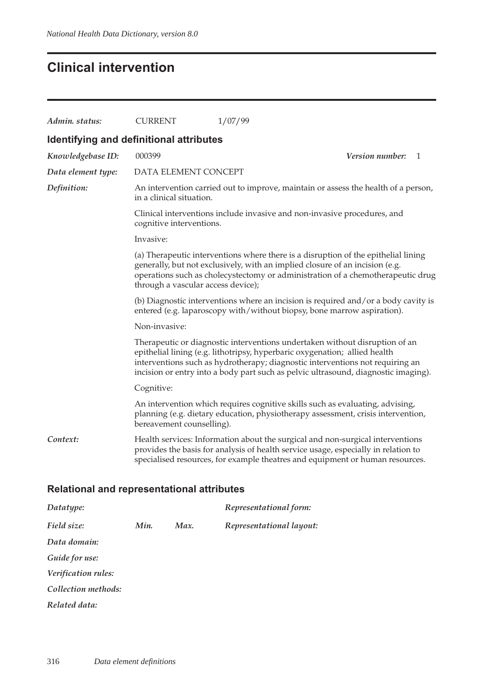## **Clinical intervention**

| Admin. status:                                    | <b>CURRENT</b>                                                                                                                                                                                                                                                                                                                   | 1/07/99                                                                                                                                                                                                                                               |                        |   |  |  |  |  |  |
|---------------------------------------------------|----------------------------------------------------------------------------------------------------------------------------------------------------------------------------------------------------------------------------------------------------------------------------------------------------------------------------------|-------------------------------------------------------------------------------------------------------------------------------------------------------------------------------------------------------------------------------------------------------|------------------------|---|--|--|--|--|--|
| <b>Identifying and definitional attributes</b>    |                                                                                                                                                                                                                                                                                                                                  |                                                                                                                                                                                                                                                       |                        |   |  |  |  |  |  |
| Knowledgebase ID:                                 | 000399                                                                                                                                                                                                                                                                                                                           |                                                                                                                                                                                                                                                       | <i>Version number:</i> | 1 |  |  |  |  |  |
| Data element type:                                | DATA ELEMENT CONCEPT                                                                                                                                                                                                                                                                                                             |                                                                                                                                                                                                                                                       |                        |   |  |  |  |  |  |
| Definition:                                       | in a clinical situation.                                                                                                                                                                                                                                                                                                         | An intervention carried out to improve, maintain or assess the health of a person,                                                                                                                                                                    |                        |   |  |  |  |  |  |
|                                                   | cognitive interventions.                                                                                                                                                                                                                                                                                                         | Clinical interventions include invasive and non-invasive procedures, and                                                                                                                                                                              |                        |   |  |  |  |  |  |
|                                                   | Invasive:                                                                                                                                                                                                                                                                                                                        |                                                                                                                                                                                                                                                       |                        |   |  |  |  |  |  |
|                                                   | (a) Therapeutic interventions where there is a disruption of the epithelial lining<br>generally, but not exclusively, with an implied closure of an incision (e.g.<br>operations such as cholecystectomy or administration of a chemotherapeutic drug<br>through a vascular access device);                                      |                                                                                                                                                                                                                                                       |                        |   |  |  |  |  |  |
|                                                   | (b) Diagnostic interventions where an incision is required and/or a body cavity is<br>entered (e.g. laparoscopy with/without biopsy, bone marrow aspiration).                                                                                                                                                                    |                                                                                                                                                                                                                                                       |                        |   |  |  |  |  |  |
|                                                   | Non-invasive:                                                                                                                                                                                                                                                                                                                    |                                                                                                                                                                                                                                                       |                        |   |  |  |  |  |  |
|                                                   | Therapeutic or diagnostic interventions undertaken without disruption of an<br>epithelial lining (e.g. lithotripsy, hyperbaric oxygenation; allied health<br>interventions such as hydrotherapy; diagnostic interventions not requiring an<br>incision or entry into a body part such as pelvic ultrasound, diagnostic imaging). |                                                                                                                                                                                                                                                       |                        |   |  |  |  |  |  |
|                                                   | Cognitive:                                                                                                                                                                                                                                                                                                                       |                                                                                                                                                                                                                                                       |                        |   |  |  |  |  |  |
|                                                   | bereavement counselling).                                                                                                                                                                                                                                                                                                        | An intervention which requires cognitive skills such as evaluating, advising,<br>planning (e.g. dietary education, physiotherapy assessment, crisis intervention,                                                                                     |                        |   |  |  |  |  |  |
| Context:                                          |                                                                                                                                                                                                                                                                                                                                  | Health services: Information about the surgical and non-surgical interventions<br>provides the basis for analysis of health service usage, especially in relation to<br>specialised resources, for example theatres and equipment or human resources. |                        |   |  |  |  |  |  |
| <b>Relational and representational attributes</b> |                                                                                                                                                                                                                                                                                                                                  |                                                                                                                                                                                                                                                       |                        |   |  |  |  |  |  |
| Datatype:                                         |                                                                                                                                                                                                                                                                                                                                  | Representational form:                                                                                                                                                                                                                                |                        |   |  |  |  |  |  |

*Field size: Min. Max. Representational layout: Data domain:*

*Guide for use:*

*Verification rules:*

*Collection methods:*

*Related data:*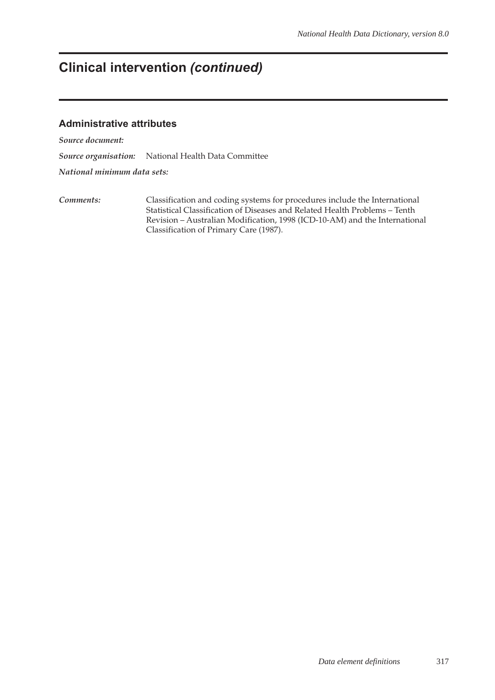## **Clinical intervention** *(continued)*

#### **Administrative attributes**

*Source document:*

*Source organisation:* National Health Data Committee

*National minimum data sets:*

*Comments:* Classification and coding systems for procedures include the International Statistical Classification of Diseases and Related Health Problems – Tenth Revision – Australian Modification, 1998 (ICD-10-AM) and the International Classification of Primary Care (1987).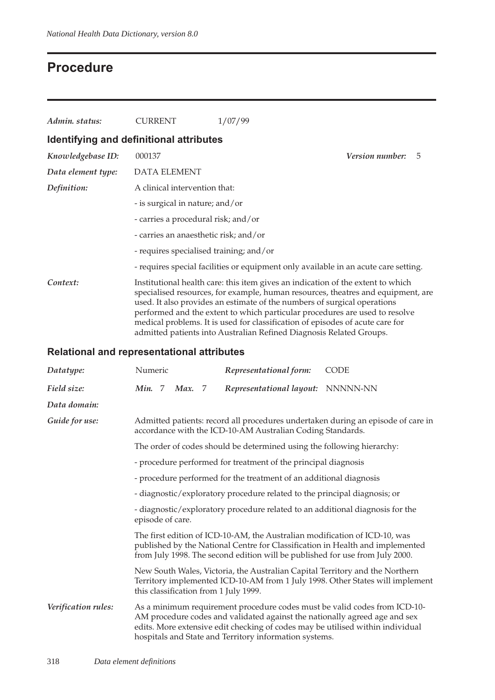## **Procedure**

| Admin. status:                          | <b>CURRENT</b>                          | 1/07/99                                                                                                                                                                                                                                                                                                                                                                                                                                                                                |                        |   |
|-----------------------------------------|-----------------------------------------|----------------------------------------------------------------------------------------------------------------------------------------------------------------------------------------------------------------------------------------------------------------------------------------------------------------------------------------------------------------------------------------------------------------------------------------------------------------------------------------|------------------------|---|
| Identifying and definitional attributes |                                         |                                                                                                                                                                                                                                                                                                                                                                                                                                                                                        |                        |   |
| Knowledgebase ID:                       | 000137                                  |                                                                                                                                                                                                                                                                                                                                                                                                                                                                                        | <i>Version number:</i> | 5 |
| Data element type:                      | <b>DATA ELEMENT</b>                     |                                                                                                                                                                                                                                                                                                                                                                                                                                                                                        |                        |   |
| Definition:                             | A clinical intervention that:           |                                                                                                                                                                                                                                                                                                                                                                                                                                                                                        |                        |   |
|                                         | - is surgical in nature; and/or         |                                                                                                                                                                                                                                                                                                                                                                                                                                                                                        |                        |   |
|                                         | - carries a procedural risk; and/or     |                                                                                                                                                                                                                                                                                                                                                                                                                                                                                        |                        |   |
|                                         | - carries an anaesthetic risk; and/or   |                                                                                                                                                                                                                                                                                                                                                                                                                                                                                        |                        |   |
|                                         | - requires specialised training; and/or |                                                                                                                                                                                                                                                                                                                                                                                                                                                                                        |                        |   |
|                                         |                                         | - requires special facilities or equipment only available in an acute care setting.                                                                                                                                                                                                                                                                                                                                                                                                    |                        |   |
| Context:                                |                                         | Institutional health care: this item gives an indication of the extent to which<br>specialised resources, for example, human resources, theatres and equipment, are<br>used. It also provides an estimate of the numbers of surgical operations<br>performed and the extent to which particular procedures are used to resolve<br>medical problems. It is used for classification of episodes of acute care for<br>admitted patients into Australian Refined Diagnosis Related Groups. |                        |   |

### **Relational and representational attributes**

| Datatype:           | Numeric                                                                                           |        |                                                                                                                                                                                                                                             | Representational form:                                                                                                                                                                                                 | <b>CODE</b>                                                                      |  |  |
|---------------------|---------------------------------------------------------------------------------------------------|--------|---------------------------------------------------------------------------------------------------------------------------------------------------------------------------------------------------------------------------------------------|------------------------------------------------------------------------------------------------------------------------------------------------------------------------------------------------------------------------|----------------------------------------------------------------------------------|--|--|
| Field size:         | Min. 7                                                                                            | Max. 7 |                                                                                                                                                                                                                                             | Representational layout: NNNNN-NN                                                                                                                                                                                      |                                                                                  |  |  |
| Data domain:        |                                                                                                   |        |                                                                                                                                                                                                                                             |                                                                                                                                                                                                                        |                                                                                  |  |  |
| Guide for use:      |                                                                                                   |        |                                                                                                                                                                                                                                             | accordance with the ICD-10-AM Australian Coding Standards.                                                                                                                                                             | Admitted patients: record all procedures undertaken during an episode of care in |  |  |
|                     |                                                                                                   |        |                                                                                                                                                                                                                                             | The order of codes should be determined using the following hierarchy:                                                                                                                                                 |                                                                                  |  |  |
|                     | - procedure performed for treatment of the principal diagnosis                                    |        |                                                                                                                                                                                                                                             |                                                                                                                                                                                                                        |                                                                                  |  |  |
|                     | - procedure performed for the treatment of an additional diagnosis                                |        |                                                                                                                                                                                                                                             |                                                                                                                                                                                                                        |                                                                                  |  |  |
|                     | - diagnostic/exploratory procedure related to the principal diagnosis; or                         |        |                                                                                                                                                                                                                                             |                                                                                                                                                                                                                        |                                                                                  |  |  |
|                     | - diagnostic/exploratory procedure related to an additional diagnosis for the<br>episode of care. |        |                                                                                                                                                                                                                                             |                                                                                                                                                                                                                        |                                                                                  |  |  |
|                     |                                                                                                   |        | The first edition of ICD-10-AM, the Australian modification of ICD-10, was<br>published by the National Centre for Classification in Health and implemented<br>from July 1998. The second edition will be published for use from July 2000. |                                                                                                                                                                                                                        |                                                                                  |  |  |
|                     |                                                                                                   |        |                                                                                                                                                                                                                                             | New South Wales, Victoria, the Australian Capital Territory and the Northern<br>this classification from 1 July 1999.                                                                                                  | Territory implemented ICD-10-AM from 1 July 1998. Other States will implement    |  |  |
| Verification rules: |                                                                                                   |        |                                                                                                                                                                                                                                             | AM procedure codes and validated against the nationally agreed age and sex<br>edits. More extensive edit checking of codes may be utilised within individual<br>hospitals and State and Territory information systems. | As a minimum requirement procedure codes must be valid codes from ICD-10-        |  |  |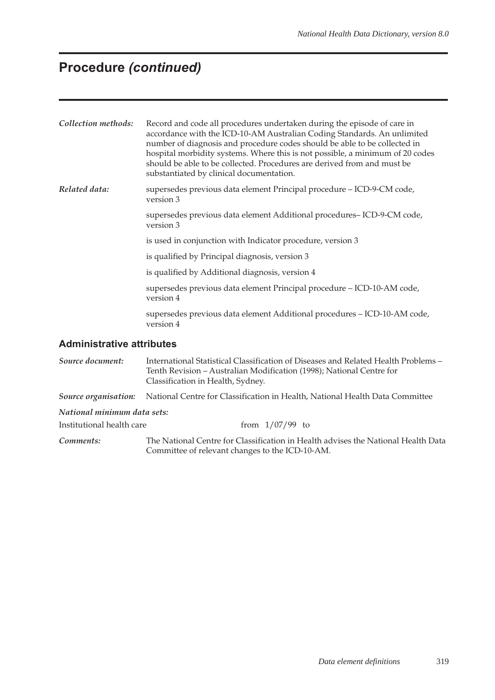## **Procedure** *(continued)*

| Collection methods:              | Record and code all procedures undertaken during the episode of care in<br>accordance with the ICD-10-AM Australian Coding Standards. An unlimited<br>number of diagnosis and procedure codes should be able to be collected in<br>hospital morbidity systems. Where this is not possible, a minimum of 20 codes<br>should be able to be collected. Procedures are derived from and must be<br>substantiated by clinical documentation. |  |  |  |  |  |
|----------------------------------|-----------------------------------------------------------------------------------------------------------------------------------------------------------------------------------------------------------------------------------------------------------------------------------------------------------------------------------------------------------------------------------------------------------------------------------------|--|--|--|--|--|
| Related data:                    | supersedes previous data element Principal procedure - ICD-9-CM code,<br>version 3                                                                                                                                                                                                                                                                                                                                                      |  |  |  |  |  |
|                                  | supersedes previous data element Additional procedures-ICD-9-CM code,<br>version 3                                                                                                                                                                                                                                                                                                                                                      |  |  |  |  |  |
|                                  | is used in conjunction with Indicator procedure, version 3                                                                                                                                                                                                                                                                                                                                                                              |  |  |  |  |  |
|                                  | is qualified by Principal diagnosis, version 3                                                                                                                                                                                                                                                                                                                                                                                          |  |  |  |  |  |
|                                  | is qualified by Additional diagnosis, version 4                                                                                                                                                                                                                                                                                                                                                                                         |  |  |  |  |  |
|                                  | supersedes previous data element Principal procedure - ICD-10-AM code,<br>version 4                                                                                                                                                                                                                                                                                                                                                     |  |  |  |  |  |
|                                  | supersedes previous data element Additional procedures - ICD-10-AM code,<br>version 4                                                                                                                                                                                                                                                                                                                                                   |  |  |  |  |  |
| <b>Administrative attributes</b> |                                                                                                                                                                                                                                                                                                                                                                                                                                         |  |  |  |  |  |

*Source document:* International Statistical Classification of Diseases and Related Health Problems – Tenth Revision – Australian Modification (1998); National Centre for Classification in Health, Sydney. *Source organisation:* National Centre for Classification in Health, National Health Data Committee *National minimum data sets:* Institutional health care  $\frac{1}{07/99}$  to *Comments:* The National Centre for Classification in Health advises the National Health Data

Committee of relevant changes to the ICD-10-AM.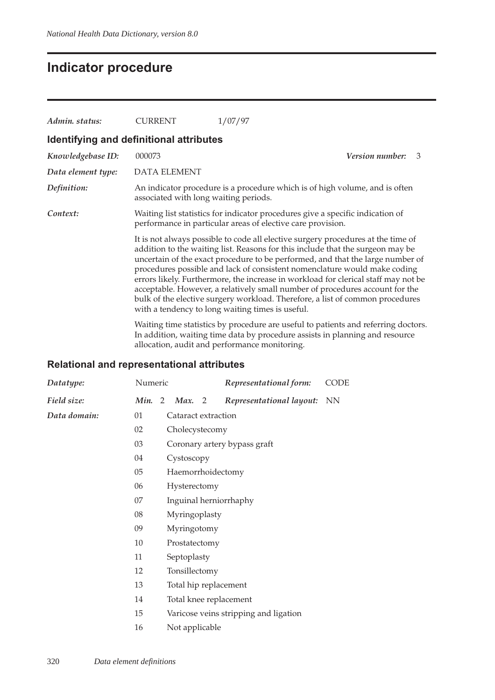## **Indicator procedure**

| Admin. status:                          | <b>CURRENT</b>                        | 1/07/97                                                                                                                                                                                                                                                                                                                                                                                                                                                                                                                                                                                                                                      |  |  |  |  |  |  |  |
|-----------------------------------------|---------------------------------------|----------------------------------------------------------------------------------------------------------------------------------------------------------------------------------------------------------------------------------------------------------------------------------------------------------------------------------------------------------------------------------------------------------------------------------------------------------------------------------------------------------------------------------------------------------------------------------------------------------------------------------------------|--|--|--|--|--|--|--|
| Identifying and definitional attributes |                                       |                                                                                                                                                                                                                                                                                                                                                                                                                                                                                                                                                                                                                                              |  |  |  |  |  |  |  |
| Knowledgebase ID:                       | 000073                                | <b>Version number:</b><br>3                                                                                                                                                                                                                                                                                                                                                                                                                                                                                                                                                                                                                  |  |  |  |  |  |  |  |
| Data element type:                      | <b>DATA ELEMENT</b>                   |                                                                                                                                                                                                                                                                                                                                                                                                                                                                                                                                                                                                                                              |  |  |  |  |  |  |  |
| Definition:                             | associated with long waiting periods. | An indicator procedure is a procedure which is of high volume, and is often                                                                                                                                                                                                                                                                                                                                                                                                                                                                                                                                                                  |  |  |  |  |  |  |  |
| Context:                                |                                       | Waiting list statistics for indicator procedures give a specific indication of<br>performance in particular areas of elective care provision.                                                                                                                                                                                                                                                                                                                                                                                                                                                                                                |  |  |  |  |  |  |  |
|                                         |                                       | It is not always possible to code all elective surgery procedures at the time of<br>addition to the waiting list. Reasons for this include that the surgeon may be<br>uncertain of the exact procedure to be performed, and that the large number of<br>procedures possible and lack of consistent nomenclature would make coding<br>errors likely. Furthermore, the increase in workload for clerical staff may not be<br>acceptable. However, a relatively small number of procedures account for the<br>bulk of the elective surgery workload. Therefore, a list of common procedures<br>with a tendency to long waiting times is useful. |  |  |  |  |  |  |  |
|                                         |                                       | Waiting time statistics by procedure are useful to patients and referring doctors.<br>In addition, waiting time data by procedure assists in planning and resource                                                                                                                                                                                                                                                                                                                                                                                                                                                                           |  |  |  |  |  |  |  |

allocation, audit and performance monitoring.

# **Relational and representational attributes**

| Datatype:               | Numeric |                        |  | Representational form:                | <b>CODE</b> |
|-------------------------|---------|------------------------|--|---------------------------------------|-------------|
| Field size:             | Min. 2  | Max. 2                 |  | Representational layout:              | <b>NN</b>   |
| Data domain:            | 01      | Cataract extraction    |  |                                       |             |
|                         | 02      | Cholecystecomy         |  |                                       |             |
|                         | 03      |                        |  | Coronary artery bypass graft          |             |
|                         | 04      | Cystoscopy             |  |                                       |             |
| 05<br>Haemorrhoidectomy |         |                        |  |                                       |             |
|                         | 06      | Hysterectomy           |  |                                       |             |
|                         | 07      | Inguinal herniorrhaphy |  |                                       |             |
|                         | 08      | Myringoplasty          |  |                                       |             |
|                         | 09      | Myringotomy            |  |                                       |             |
|                         | 10      | Prostatectomy          |  |                                       |             |
|                         | 11      | Septoplasty            |  |                                       |             |
|                         | 12      | Tonsillectomy          |  |                                       |             |
|                         | 13      | Total hip replacement  |  |                                       |             |
|                         | 14      | Total knee replacement |  |                                       |             |
|                         | 15      |                        |  | Varicose veins stripping and ligation |             |

16 Not applicable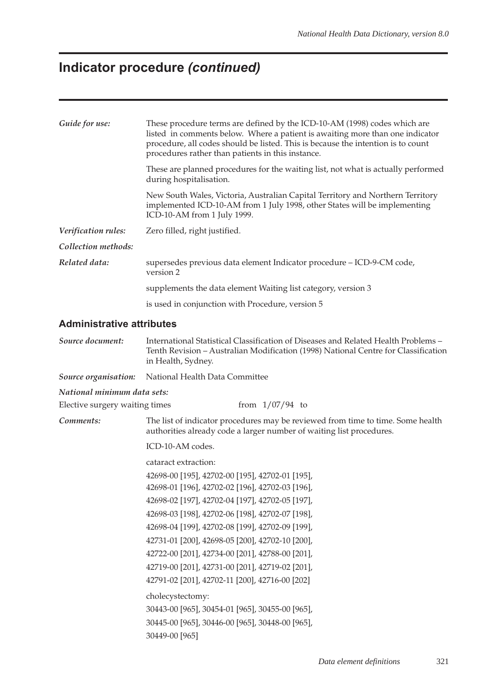## **Indicator procedure** *(continued)*

| Guide for use:                   | These procedure terms are defined by the ICD-10-AM (1998) codes which are<br>listed in comments below. Where a patient is awaiting more than one indicator<br>procedure, all codes should be listed. This is because the intention is to count<br>procedures rather than patients in this instance. |  |  |  |  |  |  |  |
|----------------------------------|-----------------------------------------------------------------------------------------------------------------------------------------------------------------------------------------------------------------------------------------------------------------------------------------------------|--|--|--|--|--|--|--|
|                                  | These are planned procedures for the waiting list, not what is actually performed<br>during hospitalisation.                                                                                                                                                                                        |  |  |  |  |  |  |  |
|                                  | New South Wales, Victoria, Australian Capital Territory and Northern Territory<br>implemented ICD-10-AM from 1 July 1998, other States will be implementing<br>ICD-10-AM from 1 July 1999.                                                                                                          |  |  |  |  |  |  |  |
| Verification rules:              | Zero filled, right justified.                                                                                                                                                                                                                                                                       |  |  |  |  |  |  |  |
| Collection methods:              |                                                                                                                                                                                                                                                                                                     |  |  |  |  |  |  |  |
| Related data:                    | supersedes previous data element Indicator procedure - ICD-9-CM code,<br>version 2                                                                                                                                                                                                                  |  |  |  |  |  |  |  |
|                                  | supplements the data element Waiting list category, version 3                                                                                                                                                                                                                                       |  |  |  |  |  |  |  |
|                                  | is used in conjunction with Procedure, version 5                                                                                                                                                                                                                                                    |  |  |  |  |  |  |  |
| <b>Administrative attributes</b> |                                                                                                                                                                                                                                                                                                     |  |  |  |  |  |  |  |
| Source document:                 | International Statistical Classification of Diseases and Related Health Problems -<br>Tenth Revision - Australian Modification (1998) National Centre for Classification<br>in Health, Sydney.                                                                                                      |  |  |  |  |  |  |  |
| Source organisation:             | National Health Data Committee                                                                                                                                                                                                                                                                      |  |  |  |  |  |  |  |
| National minimum data sets:      |                                                                                                                                                                                                                                                                                                     |  |  |  |  |  |  |  |
| Elective surgery waiting times   | from $1/07/94$ to                                                                                                                                                                                                                                                                                   |  |  |  |  |  |  |  |
| Comments:                        | The list of indicator procedures may be reviewed from time to time. Some health<br>authorities already code a larger number of waiting list procedures.                                                                                                                                             |  |  |  |  |  |  |  |
|                                  | ICD-10-AM codes.                                                                                                                                                                                                                                                                                    |  |  |  |  |  |  |  |
|                                  | cataract extraction:                                                                                                                                                                                                                                                                                |  |  |  |  |  |  |  |
|                                  | 42698-00 [195], 42702-00 [195], 42702-01 [195],                                                                                                                                                                                                                                                     |  |  |  |  |  |  |  |
|                                  | 42698-01 [196], 42702-02 [196], 42702-03 [196],                                                                                                                                                                                                                                                     |  |  |  |  |  |  |  |
|                                  | 42698-02 [197], 42702-04 [197], 42702-05 [197],                                                                                                                                                                                                                                                     |  |  |  |  |  |  |  |

42698-03 [198], 42702-06 [198], 42702-07 [198], 42698-04 [199], 42702-08 [199], 42702-09 [199], 42731-01 [200], 42698-05 [200], 42702-10 [200], 42722-00 [201], 42734-00 [201], 42788-00 [201], 42719-00 [201], 42731-00 [201], 42719-02 [201], 42791-02 [201], 42702-11 [200], 42716-00 [202]

30443-00 [965], 30454-01 [965], 30455-00 [965], 30445-00 [965], 30446-00 [965], 30448-00 [965],

cholecystectomy:

30449-00 [965]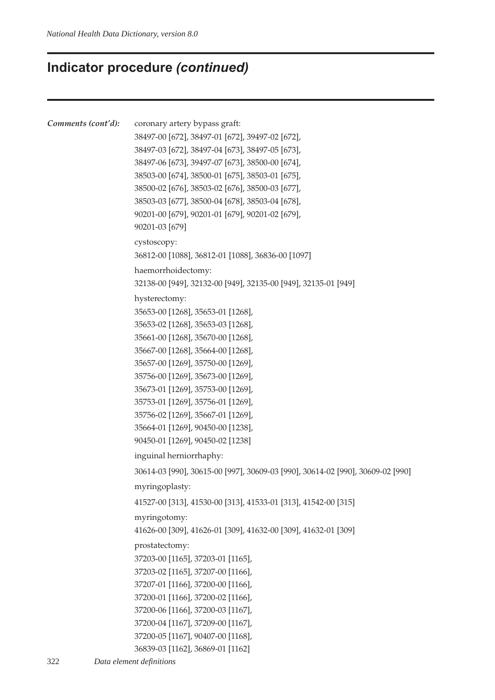### **Indicator procedure** *(continued)*

```
Comments (cont'd): coronary artery bypass graft:
            38497-00 [672], 38497-01 [672], 39497-02 [672],
            38497-03 [672], 38497-04 [673], 38497-05 [673],
            38497-06 [673], 39497-07 [673], 38500-00 [674],
            38503-00 [674], 38500-01 [675], 38503-01 [675],
            38500-02 [676], 38503-02 [676], 38500-03 [677],
            38503-03 [677], 38500-04 [678], 38503-04 [678],
            90201-00 [679], 90201-01 [679], 90201-02 [679],
            90201-03 [679]
            cystoscopy:
            36812-00 [1088], 36812-01 [1088], 36836-00 [1097]
            haemorrhoidectomy:
            32138-00 [949], 32132-00 [949], 32135-00 [949], 32135-01 [949]
            hysterectomy:
            35653-00 [1268], 35653-01 [1268],
            35653-02 [1268], 35653-03 [1268],
            35661-00 [1268], 35670-00 [1268],
            35667-00 [1268], 35664-00 [1268],
            35657-00 [1269], 35750-00 [1269],
            35756-00 [1269], 35673-00 [1269],
            35673-01 [1269], 35753-00 [1269],
            35753-01 [1269], 35756-01 [1269],
            35756-02 [1269], 35667-01 [1269],
            35664-01 [1269], 90450-00 [1238],
            90450-01 [1269], 90450-02 [1238]
            inguinal herniorrhaphy:
            30614-03 [990], 30615-00 [997], 30609-03 [990], 30614-02 [990], 30609-02 [990]
            myringoplasty:
            41527-00 [313], 41530-00 [313], 41533-01 [313], 41542-00 [315]
            myringotomy:
            41626-00 [309], 41626-01 [309], 41632-00 [309], 41632-01 [309]
            prostatectomy:
            37203-00 [1165], 37203-01 [1165],
            37203-02 [1165], 37207-00 [1166],
            37207-01 [1166], 37200-00 [1166],
            37200-01 [1166], 37200-02 [1166],
            37200-06 [1166], 37200-03 [1167],
            37200-04 [1167], 37209-00 [1167],
            37200-05 [1167], 90407-00 [1168],
            36839-03 [1162], 36869-01 [1162]
```
322 *Data element definitions*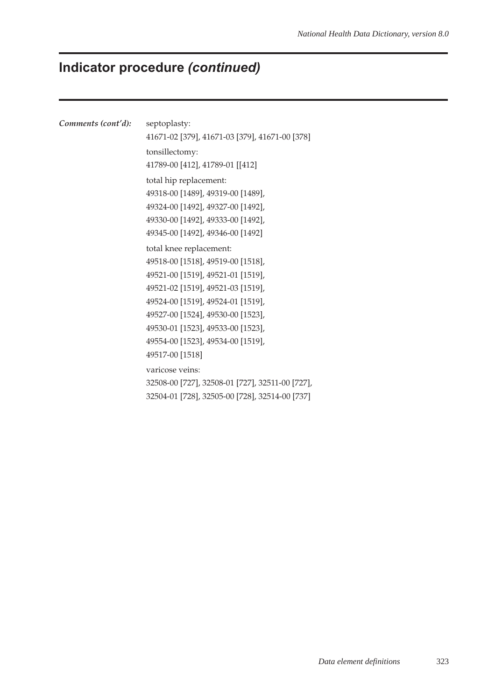# **Indicator procedure** *(continued)*

| Comments (cont'd): | septoplasty:                                    |  |  |  |  |  |  |
|--------------------|-------------------------------------------------|--|--|--|--|--|--|
|                    | 41671-02 [379], 41671-03 [379], 41671-00 [378]  |  |  |  |  |  |  |
|                    | tonsillectomy:                                  |  |  |  |  |  |  |
|                    | 41789-00 [412], 41789-01 [[412]                 |  |  |  |  |  |  |
|                    | total hip replacement:                          |  |  |  |  |  |  |
|                    | 49318-00 [1489], 49319-00 [1489],               |  |  |  |  |  |  |
|                    | 49324-00 [1492], 49327-00 [1492],               |  |  |  |  |  |  |
|                    | 49330-00 [1492], 49333-00 [1492],               |  |  |  |  |  |  |
|                    | 49345-00 [1492], 49346-00 [1492]                |  |  |  |  |  |  |
|                    | total knee replacement:                         |  |  |  |  |  |  |
|                    | 49518-00 [1518], 49519-00 [1518],               |  |  |  |  |  |  |
|                    | 49521-00 [1519], 49521-01 [1519],               |  |  |  |  |  |  |
|                    | 49521-02 [1519], 49521-03 [1519],               |  |  |  |  |  |  |
|                    | 49524-00 [1519], 49524-01 [1519],               |  |  |  |  |  |  |
|                    | 49527-00 [1524], 49530-00 [1523],               |  |  |  |  |  |  |
|                    | 49530-01 [1523], 49533-00 [1523],               |  |  |  |  |  |  |
|                    | 49554-00 [1523], 49534-00 [1519],               |  |  |  |  |  |  |
|                    | 49517-00 [1518]                                 |  |  |  |  |  |  |
|                    | varicose veins:                                 |  |  |  |  |  |  |
|                    | 32508-00 [727], 32508-01 [727], 32511-00 [727], |  |  |  |  |  |  |
|                    | 32504-01 [728], 32505-00 [728], 32514-00 [737]  |  |  |  |  |  |  |
|                    |                                                 |  |  |  |  |  |  |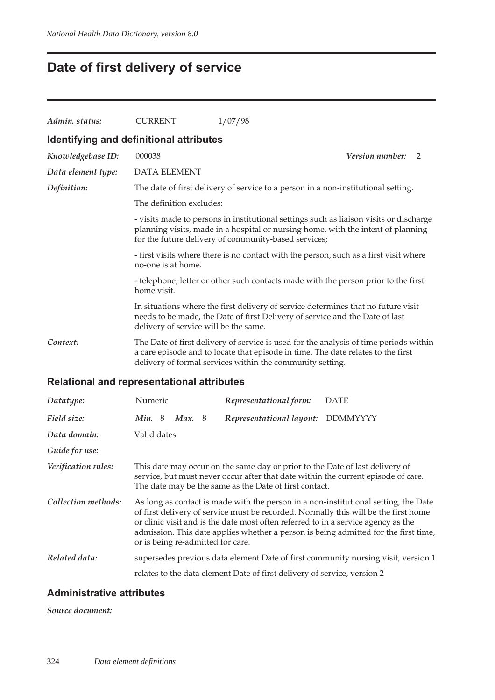# **Date of first delivery of service**

| Admin. status:                          | <b>CURRENT</b>                                                                                                                                                                                                                                                                                                                                                                                                                                                                     | 1/07/98                                                                                                                                                                                                                                |  |  |  |  |  |
|-----------------------------------------|------------------------------------------------------------------------------------------------------------------------------------------------------------------------------------------------------------------------------------------------------------------------------------------------------------------------------------------------------------------------------------------------------------------------------------------------------------------------------------|----------------------------------------------------------------------------------------------------------------------------------------------------------------------------------------------------------------------------------------|--|--|--|--|--|
| Identifying and definitional attributes |                                                                                                                                                                                                                                                                                                                                                                                                                                                                                    |                                                                                                                                                                                                                                        |  |  |  |  |  |
| Knowledgebase ID:                       | 000038                                                                                                                                                                                                                                                                                                                                                                                                                                                                             | <b>Version number:</b><br>2                                                                                                                                                                                                            |  |  |  |  |  |
| Data element type:                      | <b>DATA ELEMENT</b>                                                                                                                                                                                                                                                                                                                                                                                                                                                                |                                                                                                                                                                                                                                        |  |  |  |  |  |
| Definition:                             | The date of first delivery of service to a person in a non-institutional setting.                                                                                                                                                                                                                                                                                                                                                                                                  |                                                                                                                                                                                                                                        |  |  |  |  |  |
|                                         | The definition excludes:<br>- visits made to persons in institutional settings such as liaison visits or discharge<br>planning visits, made in a hospital or nursing home, with the intent of planning<br>for the future delivery of community-based services;<br>- first visits where there is no contact with the person, such as a first visit where<br>no-one is at home.<br>- telephone, letter or other such contacts made with the person prior to the first<br>home visit. |                                                                                                                                                                                                                                        |  |  |  |  |  |
|                                         |                                                                                                                                                                                                                                                                                                                                                                                                                                                                                    |                                                                                                                                                                                                                                        |  |  |  |  |  |
|                                         |                                                                                                                                                                                                                                                                                                                                                                                                                                                                                    |                                                                                                                                                                                                                                        |  |  |  |  |  |
|                                         |                                                                                                                                                                                                                                                                                                                                                                                                                                                                                    |                                                                                                                                                                                                                                        |  |  |  |  |  |
|                                         | delivery of service will be the same.                                                                                                                                                                                                                                                                                                                                                                                                                                              | In situations where the first delivery of service determines that no future visit<br>needs to be made, the Date of first Delivery of service and the Date of last                                                                      |  |  |  |  |  |
| Context:                                |                                                                                                                                                                                                                                                                                                                                                                                                                                                                                    | The Date of first delivery of service is used for the analysis of time periods within<br>a care episode and to locate that episode in time. The date relates to the first<br>delivery of formal services within the community setting. |  |  |  |  |  |
|                                         | Deletianel and renresentetianel ettributes                                                                                                                                                                                                                                                                                                                                                                                                                                         |                                                                                                                                                                                                                                        |  |  |  |  |  |

#### **Relational and representational attributes**

| Datatype:           | Numeric                                                                                                                                                                                                                                                                                                                                                                                     |  |       |  | Representational form:                                                                                                                 | <b>DATE</b>                                                                       |
|---------------------|---------------------------------------------------------------------------------------------------------------------------------------------------------------------------------------------------------------------------------------------------------------------------------------------------------------------------------------------------------------------------------------------|--|-------|--|----------------------------------------------------------------------------------------------------------------------------------------|-----------------------------------------------------------------------------------|
| Field size:         | Min.8                                                                                                                                                                                                                                                                                                                                                                                       |  | Max.8 |  | Representational layout:                                                                                                               | <b>DDMMYYYY</b>                                                                   |
| Data domain:        | Valid dates                                                                                                                                                                                                                                                                                                                                                                                 |  |       |  |                                                                                                                                        |                                                                                   |
| Guide for use:      |                                                                                                                                                                                                                                                                                                                                                                                             |  |       |  |                                                                                                                                        |                                                                                   |
| Verification rules: |                                                                                                                                                                                                                                                                                                                                                                                             |  |       |  | This date may occur on the same day or prior to the Date of last delivery of<br>The date may be the same as the Date of first contact. | service, but must never occur after that date within the current episode of care. |
| Collection methods: | As long as contact is made with the person in a non-institutional setting, the Date<br>of first delivery of service must be recorded. Normally this will be the first home<br>or clinic visit and is the date most often referred to in a service agency as the<br>admission. This date applies whether a person is being admitted for the first time,<br>or is being re-admitted for care. |  |       |  |                                                                                                                                        |                                                                                   |
| Related data:       |                                                                                                                                                                                                                                                                                                                                                                                             |  |       |  |                                                                                                                                        | supersedes previous data element Date of first community nursing visit, version 1 |
|                     |                                                                                                                                                                                                                                                                                                                                                                                             |  |       |  | relates to the data element Date of first delivery of service, version 2                                                               |                                                                                   |

#### **Administrative attributes**

*Source document:*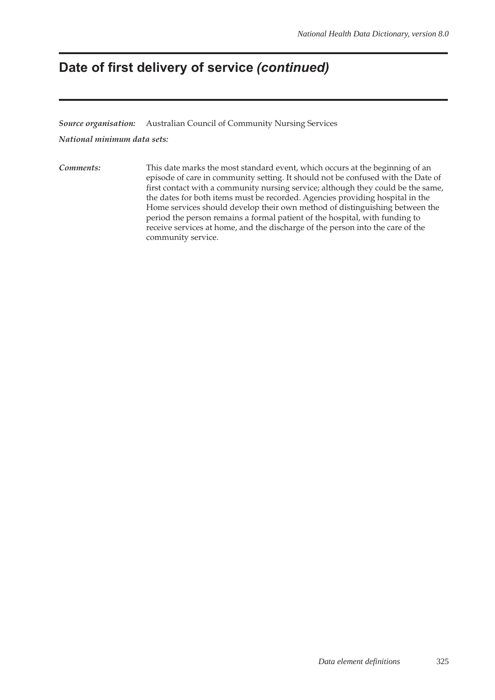## **Date of first delivery of service** *(continued)*

*Source organisation:* Australian Council of Community Nursing Services

*National minimum data sets:*

*Comments:* This date marks the most standard event, which occurs at the beginning of an episode of care in community setting. It should not be confused with the Date of first contact with a community nursing service; although they could be the same, the dates for both items must be recorded. Agencies providing hospital in the Home services should develop their own method of distinguishing between the period the person remains a formal patient of the hospital, with funding to receive services at home, and the discharge of the person into the care of the community service.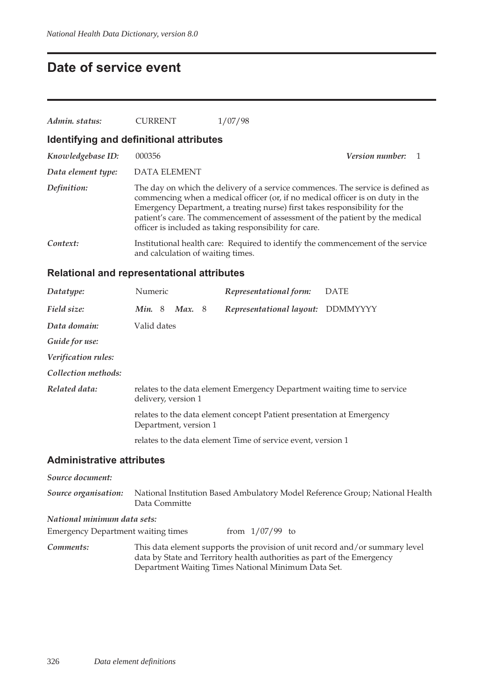### **Date of service event**

| Admin. status:                          | <b>CURRENT</b>                    | 1/07/98                                                                                                                                                                                                                                                                                                                                                                                   |                        |  |
|-----------------------------------------|-----------------------------------|-------------------------------------------------------------------------------------------------------------------------------------------------------------------------------------------------------------------------------------------------------------------------------------------------------------------------------------------------------------------------------------------|------------------------|--|
| Identifying and definitional attributes |                                   |                                                                                                                                                                                                                                                                                                                                                                                           |                        |  |
| Knowledgebase ID:                       | 000356                            |                                                                                                                                                                                                                                                                                                                                                                                           | <b>Version number:</b> |  |
| Data element type:                      | <b>DATA ELEMENT</b>               |                                                                                                                                                                                                                                                                                                                                                                                           |                        |  |
| Definition:                             |                                   | The day on which the delivery of a service commences. The service is defined as<br>commencing when a medical officer (or, if no medical officer is on duty in the<br>Emergency Department, a treating nurse) first takes responsibility for the<br>patient's care. The commencement of assessment of the patient by the medical<br>officer is included as taking responsibility for care. |                        |  |
| Context:                                | and calculation of waiting times. | Institutional health care: Required to identify the commencement of the service                                                                                                                                                                                                                                                                                                           |                        |  |

#### **Relational and representational attributes**

| Datatype:                        | Numeric               |          | Representational form:                                                   | <b>DATE</b>     |
|----------------------------------|-----------------------|----------|--------------------------------------------------------------------------|-----------------|
| Field size:                      | Min. $8$              | Max. $8$ | Representational layout:                                                 | <b>DDMMYYYY</b> |
| Data domain:                     | Valid dates           |          |                                                                          |                 |
| Guide for use:                   |                       |          |                                                                          |                 |
| <i>Verification rules:</i>       |                       |          |                                                                          |                 |
| Collection methods:              |                       |          |                                                                          |                 |
| Related data:                    | delivery, version 1   |          | relates to the data element Emergency Department waiting time to service |                 |
|                                  | Department, version 1 |          | relates to the data element concept Patient presentation at Emergency    |                 |
|                                  |                       |          | relates to the data element Time of service event, version 1             |                 |
| <b>Administrative attributes</b> |                       |          |                                                                          |                 |

*Source document:*

*Source organisation:* National Institution Based Ambulatory Model Reference Group; National Health Data Committe

#### *National minimum data sets:*

Emergency Department waiting times from  $1/07/99$  to

*Comments:* This data element supports the provision of unit record and/or summary level data by State and Territory health authorities as part of the Emergency Department Waiting Times National Minimum Data Set.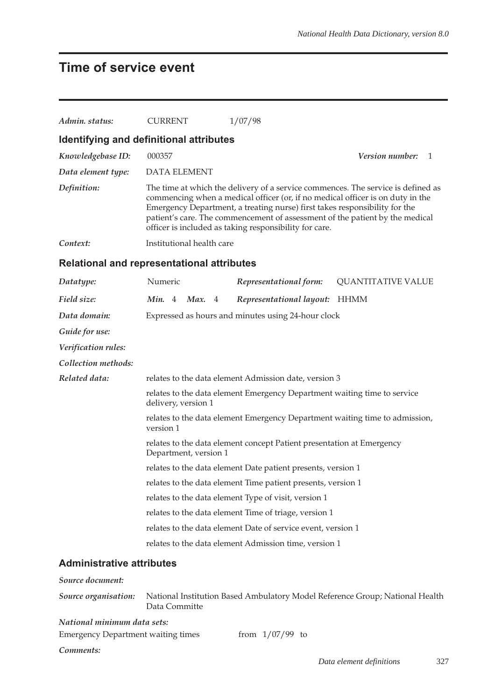## **Time of service event**

| Admin. status:                                                           | <b>CURRENT</b>                                                                                  | 1/07/98                                                                                                                                                                                                                                                                                                                                                                                    |                           |     |  |  |  |  |
|--------------------------------------------------------------------------|-------------------------------------------------------------------------------------------------|--------------------------------------------------------------------------------------------------------------------------------------------------------------------------------------------------------------------------------------------------------------------------------------------------------------------------------------------------------------------------------------------|---------------------------|-----|--|--|--|--|
|                                                                          | Identifying and definitional attributes                                                         |                                                                                                                                                                                                                                                                                                                                                                                            |                           |     |  |  |  |  |
| Knowledgebase ID:                                                        | 000357                                                                                          |                                                                                                                                                                                                                                                                                                                                                                                            | Version number:           | - 1 |  |  |  |  |
| Data element type:                                                       | <b>DATA ELEMENT</b>                                                                             |                                                                                                                                                                                                                                                                                                                                                                                            |                           |     |  |  |  |  |
| Definition:                                                              |                                                                                                 | The time at which the delivery of a service commences. The service is defined as<br>commencing when a medical officer (or, if no medical officer is on duty in the<br>Emergency Department, a treating nurse) first takes responsibility for the<br>patient's care. The commencement of assessment of the patient by the medical<br>officer is included as taking responsibility for care. |                           |     |  |  |  |  |
| Context:                                                                 | Institutional health care                                                                       |                                                                                                                                                                                                                                                                                                                                                                                            |                           |     |  |  |  |  |
|                                                                          | Relational and representational attributes                                                      |                                                                                                                                                                                                                                                                                                                                                                                            |                           |     |  |  |  |  |
| Datatype:                                                                | Numeric                                                                                         | Representational form:                                                                                                                                                                                                                                                                                                                                                                     | <b>QUANTITATIVE VALUE</b> |     |  |  |  |  |
| Field size:                                                              | Min. $4$<br>Max. $4$                                                                            | Representational layout: HHMM                                                                                                                                                                                                                                                                                                                                                              |                           |     |  |  |  |  |
| Data domain:                                                             |                                                                                                 | Expressed as hours and minutes using 24-hour clock                                                                                                                                                                                                                                                                                                                                         |                           |     |  |  |  |  |
| Guide for use:                                                           |                                                                                                 |                                                                                                                                                                                                                                                                                                                                                                                            |                           |     |  |  |  |  |
| Verification rules:                                                      |                                                                                                 |                                                                                                                                                                                                                                                                                                                                                                                            |                           |     |  |  |  |  |
| Collection methods:                                                      |                                                                                                 |                                                                                                                                                                                                                                                                                                                                                                                            |                           |     |  |  |  |  |
| Related data:                                                            | relates to the data element Admission date, version 3                                           |                                                                                                                                                                                                                                                                                                                                                                                            |                           |     |  |  |  |  |
|                                                                          | relates to the data element Emergency Department waiting time to service<br>delivery, version 1 |                                                                                                                                                                                                                                                                                                                                                                                            |                           |     |  |  |  |  |
|                                                                          | version 1                                                                                       | relates to the data element Emergency Department waiting time to admission,                                                                                                                                                                                                                                                                                                                |                           |     |  |  |  |  |
|                                                                          | Department, version 1                                                                           | relates to the data element concept Patient presentation at Emergency                                                                                                                                                                                                                                                                                                                      |                           |     |  |  |  |  |
|                                                                          |                                                                                                 | relates to the data element Date patient presents, version 1                                                                                                                                                                                                                                                                                                                               |                           |     |  |  |  |  |
|                                                                          |                                                                                                 | relates to the data element Time patient presents, version 1                                                                                                                                                                                                                                                                                                                               |                           |     |  |  |  |  |
|                                                                          |                                                                                                 | relates to the data element Type of visit, version 1                                                                                                                                                                                                                                                                                                                                       |                           |     |  |  |  |  |
|                                                                          |                                                                                                 | relates to the data element Time of triage, version 1                                                                                                                                                                                                                                                                                                                                      |                           |     |  |  |  |  |
|                                                                          |                                                                                                 | relates to the data element Date of service event, version 1                                                                                                                                                                                                                                                                                                                               |                           |     |  |  |  |  |
|                                                                          |                                                                                                 | relates to the data element Admission time, version 1                                                                                                                                                                                                                                                                                                                                      |                           |     |  |  |  |  |
| <b>Administrative attributes</b>                                         |                                                                                                 |                                                                                                                                                                                                                                                                                                                                                                                            |                           |     |  |  |  |  |
| Source document:                                                         |                                                                                                 |                                                                                                                                                                                                                                                                                                                                                                                            |                           |     |  |  |  |  |
| Source organisation:                                                     | Data Committe                                                                                   | National Institution Based Ambulatory Model Reference Group; National Health                                                                                                                                                                                                                                                                                                               |                           |     |  |  |  |  |
| National minimum data sets:<br><b>Emergency Department waiting times</b> |                                                                                                 | from $1/07/99$ to                                                                                                                                                                                                                                                                                                                                                                          |                           |     |  |  |  |  |
| Comments:                                                                |                                                                                                 |                                                                                                                                                                                                                                                                                                                                                                                            | Data element definitions  | 327 |  |  |  |  |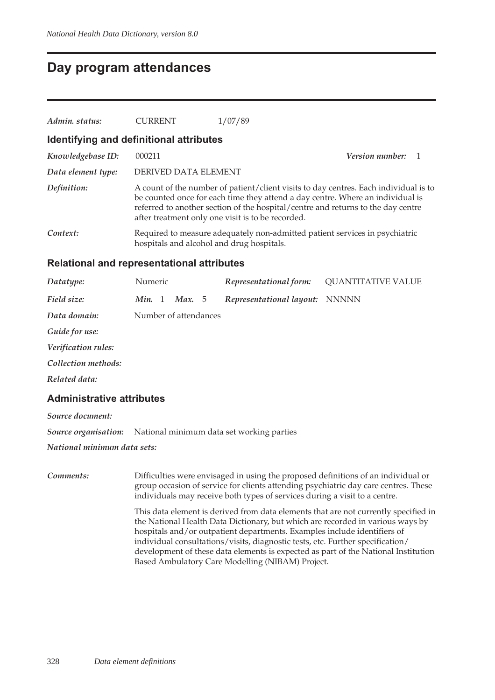### **Day program attendances**

| Admin. status:                                    | <b>CURRENT</b>                            | 1/07/89                                                                                                                                                                                                                                                                                                         |                        |  |  |  |
|---------------------------------------------------|-------------------------------------------|-----------------------------------------------------------------------------------------------------------------------------------------------------------------------------------------------------------------------------------------------------------------------------------------------------------------|------------------------|--|--|--|
|                                                   | Identifying and definitional attributes   |                                                                                                                                                                                                                                                                                                                 |                        |  |  |  |
| Knowledgebase ID:                                 | 000211                                    |                                                                                                                                                                                                                                                                                                                 | <i>Version number:</i> |  |  |  |
| Data element type:                                | DERIVED DATA ELEMENT                      |                                                                                                                                                                                                                                                                                                                 |                        |  |  |  |
| Definition:                                       |                                           | A count of the number of patient/client visits to day centres. Each individual is to<br>be counted once for each time they attend a day centre. Where an individual is<br>referred to another section of the hospital/centre and returns to the day centre<br>after treatment only one visit is to be recorded. |                        |  |  |  |
| Context:                                          | hospitals and alcohol and drug hospitals. | Required to measure adequately non-admitted patient services in psychiatric                                                                                                                                                                                                                                     |                        |  |  |  |
| <b>Relational and representational attributes</b> |                                           |                                                                                                                                                                                                                                                                                                                 |                        |  |  |  |

| Datatype:           | Numeric |                       | Representational form:         | <b>QUANTITATIVE VALUE</b> |
|---------------------|---------|-----------------------|--------------------------------|---------------------------|
| Field size:         | Min. 1  | <b>Max.</b> 5         | Representational layout: NNNNN |                           |
| Data domain:        |         | Number of attendances |                                |                           |
| Guide for use:      |         |                       |                                |                           |
| Verification rules: |         |                       |                                |                           |
| Collection methods: |         |                       |                                |                           |
| Related data:       |         |                       |                                |                           |
|                     |         |                       |                                |                           |

#### **Administrative attributes**

*Source document: Source organisation:* National minimum data set working parties

*National minimum data sets:*

*Comments:* Difficulties were envisaged in using the proposed definitions of an individual or group occasion of service for clients attending psychiatric day care centres. These individuals may receive both types of services during a visit to a centre. This data element is derived from data elements that are not currently specified in the National Health Data Dictionary, but which are recorded in various ways by hospitals and/or outpatient departments. Examples include identifiers of individual consultations/visits, diagnostic tests, etc. Further specification/ development of these data elements is expected as part of the National Institution Based Ambulatory Care Modelling (NIBAM) Project.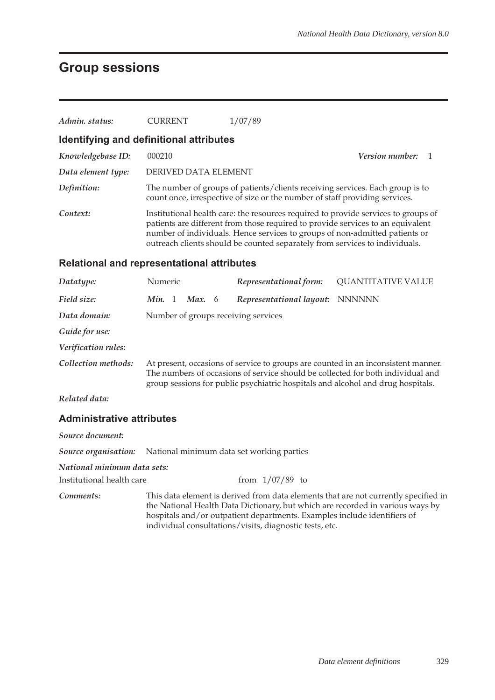## **Group sessions**

| Admin. status:                                    | <b>CURRENT</b>                                                                                                                                                                                                                                                                                                                      |                                     | 1/07/89                                                                                                                                                      |                           |  |  |  |  |
|---------------------------------------------------|-------------------------------------------------------------------------------------------------------------------------------------------------------------------------------------------------------------------------------------------------------------------------------------------------------------------------------------|-------------------------------------|--------------------------------------------------------------------------------------------------------------------------------------------------------------|---------------------------|--|--|--|--|
| Identifying and definitional attributes           |                                                                                                                                                                                                                                                                                                                                     |                                     |                                                                                                                                                              |                           |  |  |  |  |
| Knowledgebase ID:                                 | 000210                                                                                                                                                                                                                                                                                                                              | Version number:<br>1                |                                                                                                                                                              |                           |  |  |  |  |
| Data element type:                                | DERIVED DATA ELEMENT                                                                                                                                                                                                                                                                                                                |                                     |                                                                                                                                                              |                           |  |  |  |  |
| Definition:                                       |                                                                                                                                                                                                                                                                                                                                     |                                     | The number of groups of patients/clients receiving services. Each group is to<br>count once, irrespective of size or the number of staff providing services. |                           |  |  |  |  |
| Context:                                          | Institutional health care: the resources required to provide services to groups of<br>patients are different from those required to provide services to an equivalent<br>number of individuals. Hence services to groups of non-admitted patients or<br>outreach clients should be counted separately from services to individuals. |                                     |                                                                                                                                                              |                           |  |  |  |  |
| <b>Relational and representational attributes</b> |                                                                                                                                                                                                                                                                                                                                     |                                     |                                                                                                                                                              |                           |  |  |  |  |
| Datatype:                                         | Numeric                                                                                                                                                                                                                                                                                                                             |                                     | Representational form:                                                                                                                                       | <b>QUANTITATIVE VALUE</b> |  |  |  |  |
| Field size:                                       | Min. 1<br>Max. $6$                                                                                                                                                                                                                                                                                                                  |                                     | Representational layout: NNNNNN                                                                                                                              |                           |  |  |  |  |
| Data domain:                                      |                                                                                                                                                                                                                                                                                                                                     | Number of groups receiving services |                                                                                                                                                              |                           |  |  |  |  |
| Guide for use:                                    |                                                                                                                                                                                                                                                                                                                                     |                                     |                                                                                                                                                              |                           |  |  |  |  |
| Verification rules:                               |                                                                                                                                                                                                                                                                                                                                     |                                     |                                                                                                                                                              |                           |  |  |  |  |
| Collection methods:                               | At present, occasions of service to groups are counted in an inconsistent manner.<br>The numbers of occasions of service should be collected for both individual and<br>group sessions for public psychiatric hospitals and alcohol and drug hospitals.                                                                             |                                     |                                                                                                                                                              |                           |  |  |  |  |
| Related data:                                     |                                                                                                                                                                                                                                                                                                                                     |                                     |                                                                                                                                                              |                           |  |  |  |  |
| <b>Administrative attributes</b>                  |                                                                                                                                                                                                                                                                                                                                     |                                     |                                                                                                                                                              |                           |  |  |  |  |
| Source document:                                  |                                                                                                                                                                                                                                                                                                                                     |                                     |                                                                                                                                                              |                           |  |  |  |  |
| Source organisation:                              |                                                                                                                                                                                                                                                                                                                                     |                                     | National minimum data set working parties                                                                                                                    |                           |  |  |  |  |
| National minimum data sets:                       |                                                                                                                                                                                                                                                                                                                                     |                                     |                                                                                                                                                              |                           |  |  |  |  |
| Institutional health care                         |                                                                                                                                                                                                                                                                                                                                     |                                     | from $1/07/89$ to                                                                                                                                            |                           |  |  |  |  |
| Comments:                                         | This data element is derived from data elements that are not currently specified in<br>the National Health Data Dictionary, but which are recorded in various ways by                                                                                                                                                               |                                     |                                                                                                                                                              |                           |  |  |  |  |

hospitals and/or outpatient departments. Examples include identifiers of

individual consultations/visits, diagnostic tests, etc.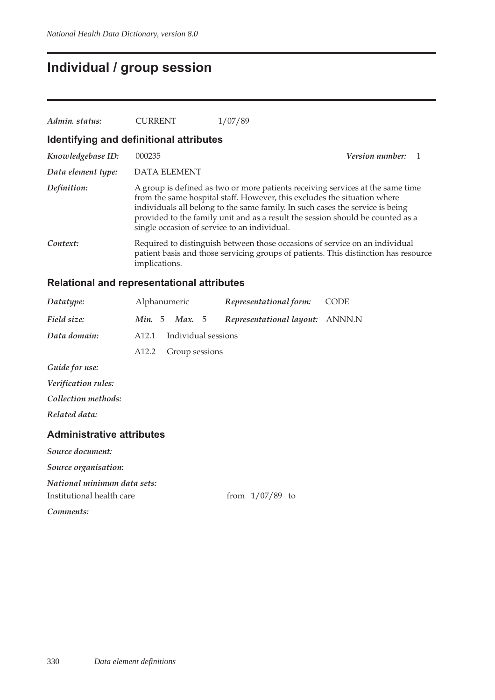## **Individual / group session**

| Admin. status:                          | <b>CURRENT</b>                               | 1/07/89                                                                                                                                                                                                                                                                                                                       |  |  |  |  |  |
|-----------------------------------------|----------------------------------------------|-------------------------------------------------------------------------------------------------------------------------------------------------------------------------------------------------------------------------------------------------------------------------------------------------------------------------------|--|--|--|--|--|
| Identifying and definitional attributes |                                              |                                                                                                                                                                                                                                                                                                                               |  |  |  |  |  |
| Knowledgebase ID:                       | 000235                                       | <i>Version number:</i>                                                                                                                                                                                                                                                                                                        |  |  |  |  |  |
| Data element type:                      | DATA ELEMENT                                 |                                                                                                                                                                                                                                                                                                                               |  |  |  |  |  |
| Definition:                             | single occasion of service to an individual. | A group is defined as two or more patients receiving services at the same time<br>from the same hospital staff. However, this excludes the situation where<br>individuals all belong to the same family. In such cases the service is being<br>provided to the family unit and as a result the session should be counted as a |  |  |  |  |  |
| Context:                                | implications.                                | Required to distinguish between those occasions of service on an individual<br>patient basis and those servicing groups of patients. This distinction has resource                                                                                                                                                            |  |  |  |  |  |

#### **Relational and representational attributes**

| Datatype:           |                   | Alphanumeric        | Representational form:                 | <b>CODE</b> |
|---------------------|-------------------|---------------------|----------------------------------------|-------------|
| Field size:         | Min. 5            | Max. $5$            | <i>Representational layout: ANNN.N</i> |             |
| Data domain:        | A <sub>12.1</sub> | Individual sessions |                                        |             |
|                     | A <sub>12.2</sub> | Group sessions      |                                        |             |
| Guide for use:      |                   |                     |                                        |             |
| Verification rules: |                   |                     |                                        |             |
| Collection methods: |                   |                     |                                        |             |
| Related data:       |                   |                     |                                        |             |

#### **Administrative attributes**

*Source document: Source organisation: National minimum data sets:* Institutional health care from  $1/07/89$  to *Comments:*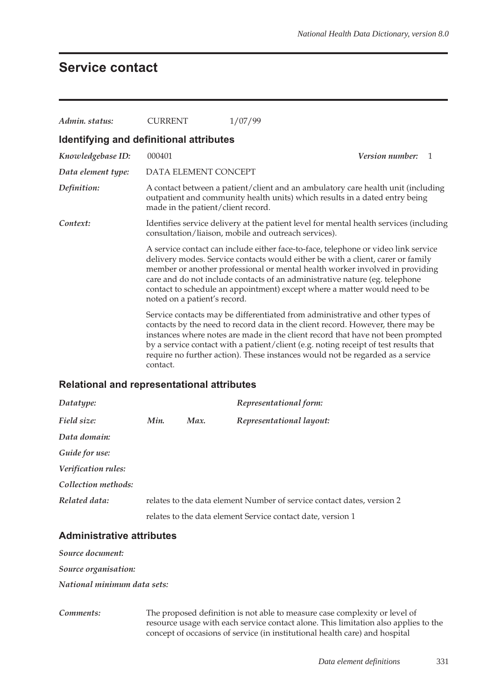### **Service contact**

| Admin. status:                          | <b>CURRENT</b>                                                                                                                                                                                                                                                                                                                                                                                                                                     | 1/07/99                                                                                                                                                                                                                                                                                                                                                                                                                       |  |  |  |  |
|-----------------------------------------|----------------------------------------------------------------------------------------------------------------------------------------------------------------------------------------------------------------------------------------------------------------------------------------------------------------------------------------------------------------------------------------------------------------------------------------------------|-------------------------------------------------------------------------------------------------------------------------------------------------------------------------------------------------------------------------------------------------------------------------------------------------------------------------------------------------------------------------------------------------------------------------------|--|--|--|--|
| Identifying and definitional attributes |                                                                                                                                                                                                                                                                                                                                                                                                                                                    |                                                                                                                                                                                                                                                                                                                                                                                                                               |  |  |  |  |
| Knowledgebase ID:                       | 000401                                                                                                                                                                                                                                                                                                                                                                                                                                             | <b>Version number:</b><br>1                                                                                                                                                                                                                                                                                                                                                                                                   |  |  |  |  |
| Data element type:                      | DATA ELEMENT CONCEPT                                                                                                                                                                                                                                                                                                                                                                                                                               |                                                                                                                                                                                                                                                                                                                                                                                                                               |  |  |  |  |
| Definition:                             | A contact between a patient/client and an ambulatory care health unit (including<br>outpatient and community health units) which results in a dated entry being<br>made in the patient/client record.                                                                                                                                                                                                                                              |                                                                                                                                                                                                                                                                                                                                                                                                                               |  |  |  |  |
| Context:                                | Identifies service delivery at the patient level for mental health services (including<br>consultation/liaison, mobile and outreach services).                                                                                                                                                                                                                                                                                                     |                                                                                                                                                                                                                                                                                                                                                                                                                               |  |  |  |  |
|                                         | A service contact can include either face-to-face, telephone or video link service<br>delivery modes. Service contacts would either be with a client, carer or family<br>member or another professional or mental health worker involved in providing<br>care and do not include contacts of an administrative nature (eg. telephone<br>contact to schedule an appointment) except where a matter would need to be<br>noted on a patient's record. |                                                                                                                                                                                                                                                                                                                                                                                                                               |  |  |  |  |
|                                         | contact.                                                                                                                                                                                                                                                                                                                                                                                                                                           | Service contacts may be differentiated from administrative and other types of<br>contacts by the need to record data in the client record. However, there may be<br>instances where notes are made in the client record that have not been prompted<br>by a service contact with a patient/client (e.g. noting receipt of test results that<br>require no further action). These instances would not be regarded as a service |  |  |  |  |

#### **Relational and representational attributes**

| Datatype:           |      |      | Representational form:                                                 |
|---------------------|------|------|------------------------------------------------------------------------|
| Field size:         | Min. | Max. | Representational layout:                                               |
| Data domain:        |      |      |                                                                        |
| Guide for use:      |      |      |                                                                        |
| Verification rules: |      |      |                                                                        |
| Collection methods: |      |      |                                                                        |
| Related data:       |      |      | relates to the data element Number of service contact dates, version 2 |
|                     |      |      | relates to the data element Service contact date, version 1            |

#### **Administrative attributes**

*Source document:*

*Source organisation:*

*National minimum data sets:*

*Comments:* The proposed definition is not able to measure case complexity or level of resource usage with each service contact alone. This limitation also applies to the concept of occasions of service (in institutional health care) and hospital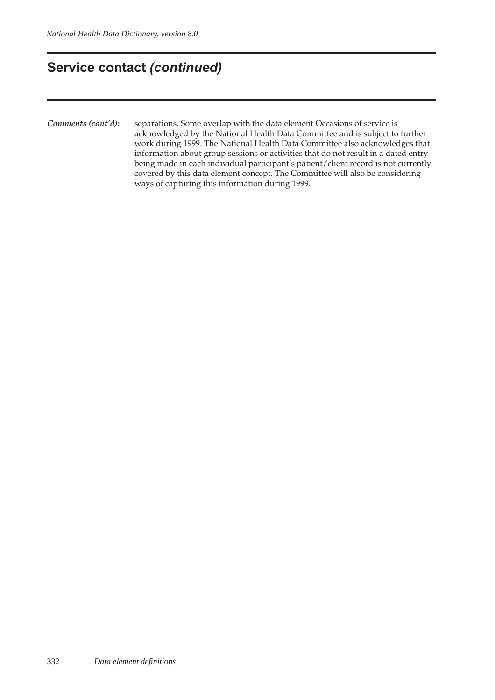### **Service contact** *(continued)*

*Comments (cont'd):* separations. Some overlap with the data element Occasions of service is acknowledged by the National Health Data Committee and is subject to further work during 1999. The National Health Data Committee also acknowledges that information about group sessions or activities that do not result in a dated entry being made in each individual participant's patient/client record is not currently covered by this data element concept. The Committee will also be considering ways of capturing this information during 1999.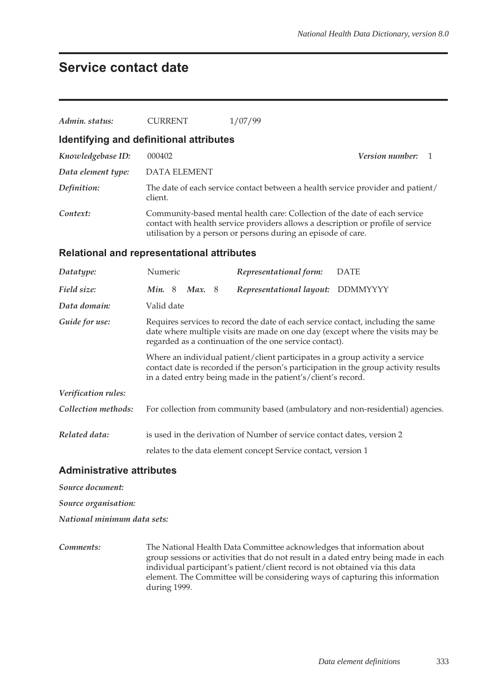### **Service contact date**

| Admin. status:                          | <b>CURRENT</b>                                                                                                                                                                                                                         | 1/07/99                                                                 |                                                                                 |  |  |  |  |  |
|-----------------------------------------|----------------------------------------------------------------------------------------------------------------------------------------------------------------------------------------------------------------------------------------|-------------------------------------------------------------------------|---------------------------------------------------------------------------------|--|--|--|--|--|
| Identifying and definitional attributes |                                                                                                                                                                                                                                        |                                                                         |                                                                                 |  |  |  |  |  |
| Knowledgebase ID:                       | 000402                                                                                                                                                                                                                                 | Version number:<br>1                                                    |                                                                                 |  |  |  |  |  |
| Data element type:                      | <b>DATA ELEMENT</b>                                                                                                                                                                                                                    |                                                                         |                                                                                 |  |  |  |  |  |
| Definition:                             | client.                                                                                                                                                                                                                                |                                                                         | The date of each service contact between a health service provider and patient/ |  |  |  |  |  |
| Context:                                | Community-based mental health care: Collection of the date of each service<br>contact with health service providers allows a description or profile of service<br>utilisation by a person or persons during an episode of care.        |                                                                         |                                                                                 |  |  |  |  |  |
|                                         | <b>Relational and representational attributes</b>                                                                                                                                                                                      |                                                                         |                                                                                 |  |  |  |  |  |
| Datatype:                               | Numeric                                                                                                                                                                                                                                | Representational form:                                                  | <b>DATE</b>                                                                     |  |  |  |  |  |
| Field size:                             | <b>Min.</b> 8<br><b>Max.</b> 8                                                                                                                                                                                                         | Representational layout:                                                | <b>DDMMYYYY</b>                                                                 |  |  |  |  |  |
| Data domain:                            | Valid date                                                                                                                                                                                                                             |                                                                         |                                                                                 |  |  |  |  |  |
| Guide for use:                          | Requires services to record the date of each service contact, including the same<br>date where multiple visits are made on one day (except where the visits may be<br>regarded as a continuation of the one service contact).          |                                                                         |                                                                                 |  |  |  |  |  |
|                                         | Where an individual patient/client participates in a group activity a service<br>contact date is recorded if the person's participation in the group activity results<br>in a dated entry being made in the patient's/client's record. |                                                                         |                                                                                 |  |  |  |  |  |
| Verification rules:                     |                                                                                                                                                                                                                                        |                                                                         |                                                                                 |  |  |  |  |  |
| Collection methods:                     |                                                                                                                                                                                                                                        |                                                                         | For collection from community based (ambulatory and non-residential) agencies.  |  |  |  |  |  |
| Related data:                           |                                                                                                                                                                                                                                        | is used in the derivation of Number of service contact dates, version 2 |                                                                                 |  |  |  |  |  |
|                                         |                                                                                                                                                                                                                                        | relates to the data element concept Service contact, version 1          |                                                                                 |  |  |  |  |  |

#### **Administrative attributes**

*Source document:*

*Source organisation:*

*National minimum data sets:*

*Comments:* The National Health Data Committee acknowledges that information about group sessions or activities that do not result in a dated entry being made in each individual participant's patient/client record is not obtained via this data element. The Committee will be considering ways of capturing this information during 1999.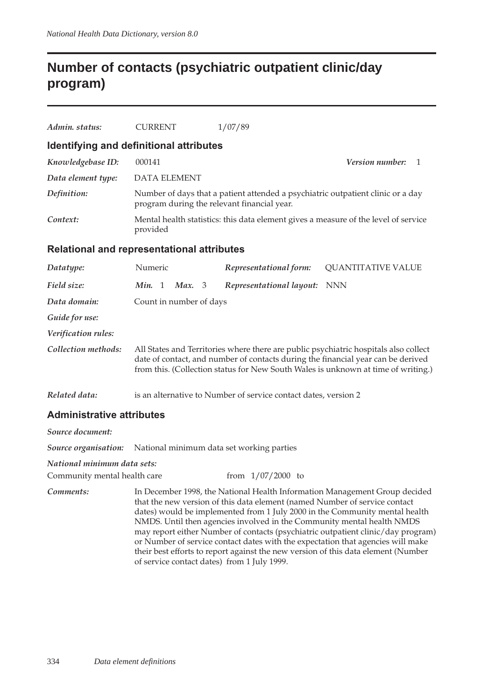## **Number of contacts (psychiatric outpatient clinic/day program)**

| Admin, status:     | <b>CURRENT</b>                          | 1/07/89                                                                                                                        |
|--------------------|-----------------------------------------|--------------------------------------------------------------------------------------------------------------------------------|
|                    | Identifying and definitional attributes |                                                                                                                                |
| Knowledgebase ID:  | 000141                                  | <i>Version number:</i>                                                                                                         |
| Data element type: | <b>DATA ELEMENT</b>                     |                                                                                                                                |
| Definition:        |                                         | Number of days that a patient attended a psychiatric outpatient clinic or a day<br>program during the relevant financial year. |
| Context:           | provided                                | Mental health statistics: this data element gives a measure of the level of service                                            |

#### **Relational and representational attributes**

| Datatype:           | Numeric |              |                         | Representational form:                                          | <b>QUANTITATIVE VALUE</b>                                                                                                                                                                                                                                     |
|---------------------|---------|--------------|-------------------------|-----------------------------------------------------------------|---------------------------------------------------------------------------------------------------------------------------------------------------------------------------------------------------------------------------------------------------------------|
| Field size:         | Min.    | <sup>1</sup> | Max. 3                  | Representational layout:                                        | <b>NNN</b>                                                                                                                                                                                                                                                    |
| Data domain:        |         |              | Count in number of days |                                                                 |                                                                                                                                                                                                                                                               |
| Guide for use:      |         |              |                         |                                                                 |                                                                                                                                                                                                                                                               |
| Verification rules: |         |              |                         |                                                                 |                                                                                                                                                                                                                                                               |
| Collection methods: |         |              |                         |                                                                 | All States and Territories where there are public psychiatric hospitals also collect<br>date of contact, and number of contacts during the financial year can be derived<br>from this. (Collection status for New South Wales is unknown at time of writing.) |
| Related data:       |         |              |                         | is an alternative to Number of service contact dates, version 2 |                                                                                                                                                                                                                                                               |

#### **Administrative attributes**

*Source document: Source organisation:* National minimum data set working parties *National minimum data sets:* Community mental health care from 1/07/2000 to *Comments:* In December 1998, the National Health Information Management Group decided that the new version of this data element (named Number of service contact dates) would be implemented from 1 July 2000 in the Community mental health NMDS. Until then agencies involved in the Community mental health NMDS may report either Number of contacts (psychiatric outpatient clinic/day program) or Number of service contact dates with the expectation that agencies will make their best efforts to report against the new version of this data element (Number of service contact dates) from 1 July 1999.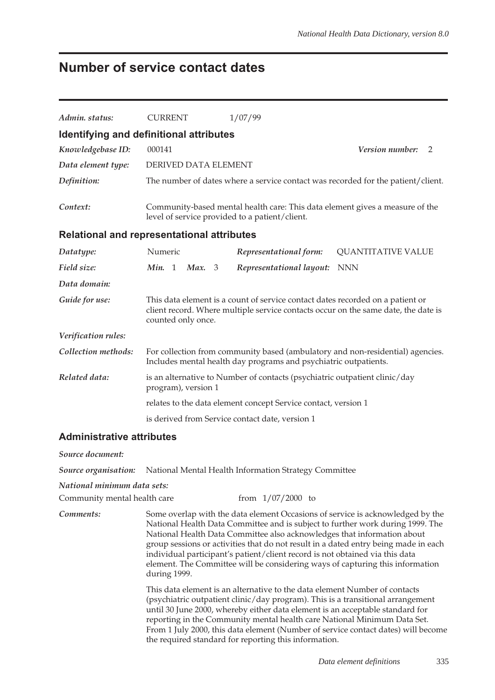## **Number of service contact dates**

| Admin. status:                   | <b>CURRENT</b>                                                                                                                                                                                                                                                                                                                                                                                                                                                                                                                                                                                    | 1/07/99                                                                                                                        |                                                                                  |  |  |  |  |
|----------------------------------|---------------------------------------------------------------------------------------------------------------------------------------------------------------------------------------------------------------------------------------------------------------------------------------------------------------------------------------------------------------------------------------------------------------------------------------------------------------------------------------------------------------------------------------------------------------------------------------------------|--------------------------------------------------------------------------------------------------------------------------------|----------------------------------------------------------------------------------|--|--|--|--|
|                                  | Identifying and definitional attributes                                                                                                                                                                                                                                                                                                                                                                                                                                                                                                                                                           |                                                                                                                                |                                                                                  |  |  |  |  |
| Knowledgebase ID:                | 000141                                                                                                                                                                                                                                                                                                                                                                                                                                                                                                                                                                                            |                                                                                                                                | Version number:<br>2                                                             |  |  |  |  |
| Data element type:               | DERIVED DATA ELEMENT                                                                                                                                                                                                                                                                                                                                                                                                                                                                                                                                                                              |                                                                                                                                |                                                                                  |  |  |  |  |
| Definition:                      |                                                                                                                                                                                                                                                                                                                                                                                                                                                                                                                                                                                                   |                                                                                                                                | The number of dates where a service contact was recorded for the patient/client. |  |  |  |  |
| Context:                         |                                                                                                                                                                                                                                                                                                                                                                                                                                                                                                                                                                                                   | Community-based mental health care: This data element gives a measure of the<br>level of service provided to a patient/client. |                                                                                  |  |  |  |  |
|                                  | Relational and representational attributes                                                                                                                                                                                                                                                                                                                                                                                                                                                                                                                                                        |                                                                                                                                |                                                                                  |  |  |  |  |
| Datatype:                        | Numeric                                                                                                                                                                                                                                                                                                                                                                                                                                                                                                                                                                                           | Representational form:                                                                                                         | <b>QUANTITATIVE VALUE</b>                                                        |  |  |  |  |
| Field size:                      | Min. 1<br>Max. 3                                                                                                                                                                                                                                                                                                                                                                                                                                                                                                                                                                                  | Representational layout:                                                                                                       | <b>NNN</b>                                                                       |  |  |  |  |
| Data domain:                     |                                                                                                                                                                                                                                                                                                                                                                                                                                                                                                                                                                                                   |                                                                                                                                |                                                                                  |  |  |  |  |
| Guide for use:                   | This data element is a count of service contact dates recorded on a patient or<br>client record. Where multiple service contacts occur on the same date, the date is<br>counted only once.                                                                                                                                                                                                                                                                                                                                                                                                        |                                                                                                                                |                                                                                  |  |  |  |  |
| Verification rules:              |                                                                                                                                                                                                                                                                                                                                                                                                                                                                                                                                                                                                   |                                                                                                                                |                                                                                  |  |  |  |  |
| Collection methods:              | For collection from community based (ambulatory and non-residential) agencies.<br>Includes mental health day programs and psychiatric outpatients.                                                                                                                                                                                                                                                                                                                                                                                                                                                |                                                                                                                                |                                                                                  |  |  |  |  |
| Related data:                    | is an alternative to Number of contacts (psychiatric outpatient clinic/day<br>program), version 1                                                                                                                                                                                                                                                                                                                                                                                                                                                                                                 |                                                                                                                                |                                                                                  |  |  |  |  |
|                                  |                                                                                                                                                                                                                                                                                                                                                                                                                                                                                                                                                                                                   | relates to the data element concept Service contact, version 1                                                                 |                                                                                  |  |  |  |  |
|                                  |                                                                                                                                                                                                                                                                                                                                                                                                                                                                                                                                                                                                   | is derived from Service contact date, version 1                                                                                |                                                                                  |  |  |  |  |
| <b>Administrative attributes</b> |                                                                                                                                                                                                                                                                                                                                                                                                                                                                                                                                                                                                   |                                                                                                                                |                                                                                  |  |  |  |  |
| Source document:                 |                                                                                                                                                                                                                                                                                                                                                                                                                                                                                                                                                                                                   |                                                                                                                                |                                                                                  |  |  |  |  |
| Source organisation:             |                                                                                                                                                                                                                                                                                                                                                                                                                                                                                                                                                                                                   | National Mental Health Information Strategy Committee                                                                          |                                                                                  |  |  |  |  |
| National minimum data sets:      |                                                                                                                                                                                                                                                                                                                                                                                                                                                                                                                                                                                                   |                                                                                                                                |                                                                                  |  |  |  |  |
| Community mental health care     |                                                                                                                                                                                                                                                                                                                                                                                                                                                                                                                                                                                                   | from $1/07/2000$ to                                                                                                            |                                                                                  |  |  |  |  |
| Comments:                        | Some overlap with the data element Occasions of service is acknowledged by the<br>National Health Data Committee and is subject to further work during 1999. The<br>National Health Data Committee also acknowledges that information about<br>group sessions or activities that do not result in a dated entry being made in each<br>individual participant's patient/client record is not obtained via this data<br>element. The Committee will be considering ways of capturing this information<br>during 1999.<br>This data element is an alternative to the data element Number of contacts |                                                                                                                                |                                                                                  |  |  |  |  |
|                                  | (psychiatric outpatient clinic/day program). This is a transitional arrangement<br>until 30 June 2000, whereby either data element is an acceptable standard for<br>reporting in the Community mental health care National Minimum Data Set.                                                                                                                                                                                                                                                                                                                                                      |                                                                                                                                |                                                                                  |  |  |  |  |

From 1 July 2000, this data element (Number of service contact dates) will become

the required standard for reporting this information.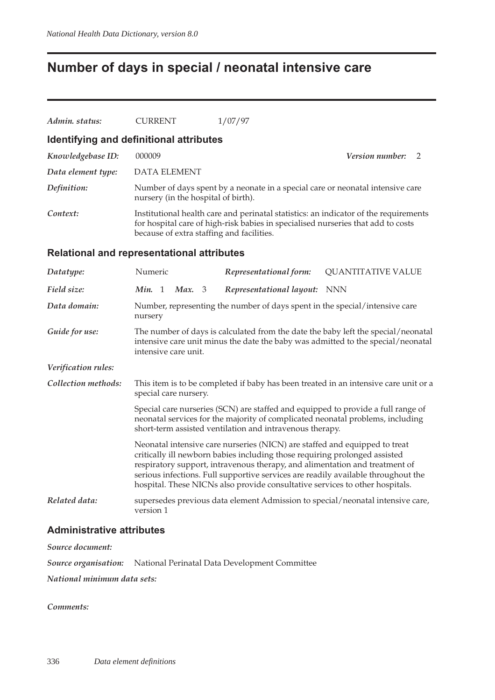## **Number of days in special / neonatal intensive care**

| Admin. status:                                    | <b>CURRENT</b>                                                                                                                                                                                                        | 1/07/97                                                                                                                                                                                                                                                                                                                                                                                                      |                                                                                      |  |  |  |  |
|---------------------------------------------------|-----------------------------------------------------------------------------------------------------------------------------------------------------------------------------------------------------------------------|--------------------------------------------------------------------------------------------------------------------------------------------------------------------------------------------------------------------------------------------------------------------------------------------------------------------------------------------------------------------------------------------------------------|--------------------------------------------------------------------------------------|--|--|--|--|
| Identifying and definitional attributes           |                                                                                                                                                                                                                       |                                                                                                                                                                                                                                                                                                                                                                                                              |                                                                                      |  |  |  |  |
| Knowledgebase ID:                                 | 000009                                                                                                                                                                                                                |                                                                                                                                                                                                                                                                                                                                                                                                              | <i>Version number:</i><br>2                                                          |  |  |  |  |
| Data element type:                                | <b>DATA ELEMENT</b>                                                                                                                                                                                                   |                                                                                                                                                                                                                                                                                                                                                                                                              |                                                                                      |  |  |  |  |
| Definition:                                       | nursery (in the hospital of birth).                                                                                                                                                                                   | Number of days spent by a neonate in a special care or neonatal intensive care                                                                                                                                                                                                                                                                                                                               |                                                                                      |  |  |  |  |
| Context:                                          | Institutional health care and perinatal statistics: an indicator of the requirements<br>for hospital care of high-risk babies in specialised nurseries that add to costs<br>because of extra staffing and facilities. |                                                                                                                                                                                                                                                                                                                                                                                                              |                                                                                      |  |  |  |  |
| <b>Relational and representational attributes</b> |                                                                                                                                                                                                                       |                                                                                                                                                                                                                                                                                                                                                                                                              |                                                                                      |  |  |  |  |
| Datatype:                                         | Numeric                                                                                                                                                                                                               | Representational form:                                                                                                                                                                                                                                                                                                                                                                                       | <b>QUANTITATIVE VALUE</b>                                                            |  |  |  |  |
| Field size:                                       | Min. 1<br>Max. 3                                                                                                                                                                                                      | Representational layout:                                                                                                                                                                                                                                                                                                                                                                                     | <b>NNN</b>                                                                           |  |  |  |  |
| Data domain:                                      | nursery                                                                                                                                                                                                               | Number, representing the number of days spent in the special/intensive care                                                                                                                                                                                                                                                                                                                                  |                                                                                      |  |  |  |  |
| Guide for use:                                    | The number of days is calculated from the date the baby left the special/neonatal<br>intensive care unit minus the date the baby was admitted to the special/neonatal<br>intensive care unit.                         |                                                                                                                                                                                                                                                                                                                                                                                                              |                                                                                      |  |  |  |  |
| Verification rules:                               |                                                                                                                                                                                                                       |                                                                                                                                                                                                                                                                                                                                                                                                              |                                                                                      |  |  |  |  |
| Collection methods:                               | special care nursery.                                                                                                                                                                                                 |                                                                                                                                                                                                                                                                                                                                                                                                              | This item is to be completed if baby has been treated in an intensive care unit or a |  |  |  |  |
|                                                   |                                                                                                                                                                                                                       | Special care nurseries (SCN) are staffed and equipped to provide a full range of<br>neonatal services for the majority of complicated neonatal problems, including<br>short-term assisted ventilation and intravenous therapy.                                                                                                                                                                               |                                                                                      |  |  |  |  |
|                                                   |                                                                                                                                                                                                                       | Neonatal intensive care nurseries (NICN) are staffed and equipped to treat<br>critically ill newborn babies including those requiring prolonged assisted<br>respiratory support, intravenous therapy, and alimentation and treatment of<br>serious infections. Full supportive services are readily available throughout the<br>hospital. These NICNs also provide consultative services to other hospitals. |                                                                                      |  |  |  |  |
| Related data:                                     | version 1                                                                                                                                                                                                             |                                                                                                                                                                                                                                                                                                                                                                                                              | supersedes previous data element Admission to special/neonatal intensive care,       |  |  |  |  |

#### **Administrative attributes**

*Source document:*

*Source organisation:* National Perinatal Data Development Committee

*National minimum data sets:*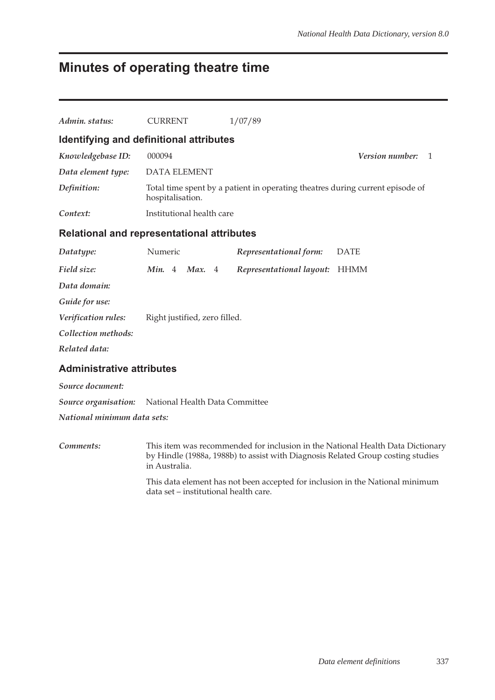## **Minutes of operating theatre time**

| Admin. status:                   | <b>CURRENT</b>                                             | 1/07/89                                                                       |                      |  |  |  |  |
|----------------------------------|------------------------------------------------------------|-------------------------------------------------------------------------------|----------------------|--|--|--|--|
|                                  | Identifying and definitional attributes                    |                                                                               |                      |  |  |  |  |
| Knowledgebase ID:                | 000094                                                     |                                                                               | Version number:<br>1 |  |  |  |  |
| Data element type:               | <b>DATA ELEMENT</b>                                        |                                                                               |                      |  |  |  |  |
| Definition:                      | hospitalisation.                                           | Total time spent by a patient in operating theatres during current episode of |                      |  |  |  |  |
| Context:                         |                                                            | Institutional health care                                                     |                      |  |  |  |  |
|                                  | <b>Relational and representational attributes</b>          |                                                                               |                      |  |  |  |  |
| Datatype:                        | Numeric                                                    | Representational form:                                                        | <b>DATE</b>          |  |  |  |  |
| Field size:                      | Min. 4<br>Max. $4$                                         | Representational layout:                                                      | <b>HHMM</b>          |  |  |  |  |
| Data domain:                     |                                                            |                                                                               |                      |  |  |  |  |
| Guide for use:                   |                                                            |                                                                               |                      |  |  |  |  |
| Verification rules:              | Right justified, zero filled.                              |                                                                               |                      |  |  |  |  |
| Collection methods:              |                                                            |                                                                               |                      |  |  |  |  |
| Related data:                    |                                                            |                                                                               |                      |  |  |  |  |
| <b>Administrative attributes</b> |                                                            |                                                                               |                      |  |  |  |  |
| Source document:                 |                                                            |                                                                               |                      |  |  |  |  |
|                                  | <b>Source organisation:</b> National Health Data Committee |                                                                               |                      |  |  |  |  |

*National minimum data sets:*

*Comments:* This item was recommended for inclusion in the National Health Data Dictionary by Hindle (1988a, 1988b) to assist with Diagnosis Related Group costing studies in Australia. This data element has not been accepted for inclusion in the National minimum

data set – institutional health care.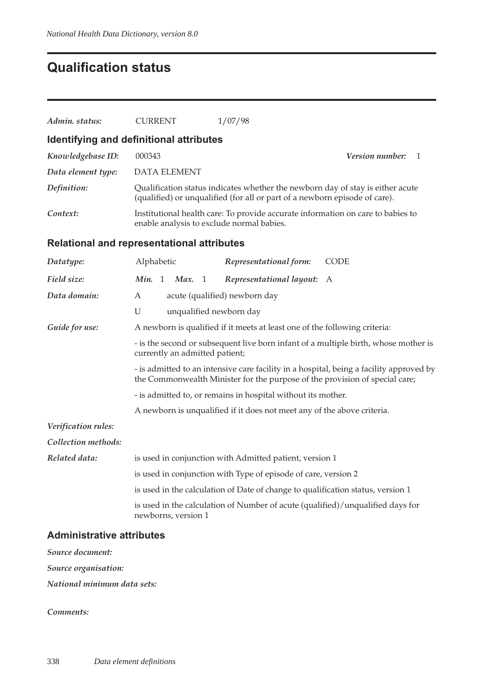## **Qualification status**

| Admin. status:      | <b>CURRENT</b>                                                                                                                                                         | 1/07/98                                                                                                                                                      |  |  |  |  |  |  |
|---------------------|------------------------------------------------------------------------------------------------------------------------------------------------------------------------|--------------------------------------------------------------------------------------------------------------------------------------------------------------|--|--|--|--|--|--|
|                     | Identifying and definitional attributes                                                                                                                                |                                                                                                                                                              |  |  |  |  |  |  |
| Knowledgebase ID:   | 000343                                                                                                                                                                 | <i>Version number:</i><br>1                                                                                                                                  |  |  |  |  |  |  |
| Data element type:  | <b>DATA ELEMENT</b>                                                                                                                                                    |                                                                                                                                                              |  |  |  |  |  |  |
| Definition:         |                                                                                                                                                                        | Qualification status indicates whether the newborn day of stay is either acute<br>(qualified) or unqualified (for all or part of a newborn episode of care). |  |  |  |  |  |  |
| Context:            |                                                                                                                                                                        | Institutional health care: To provide accurate information on care to babies to<br>enable analysis to exclude normal babies.                                 |  |  |  |  |  |  |
|                     | <b>Relational and representational attributes</b>                                                                                                                      |                                                                                                                                                              |  |  |  |  |  |  |
| Datatype:           | Alphabetic                                                                                                                                                             | Representational form:<br>CODE                                                                                                                               |  |  |  |  |  |  |
| Field size:         | Min. 1<br>- 1<br>Max.                                                                                                                                                  | Representational layout:<br>A                                                                                                                                |  |  |  |  |  |  |
| Data domain:        | A                                                                                                                                                                      | acute (qualified) newborn day                                                                                                                                |  |  |  |  |  |  |
|                     | U                                                                                                                                                                      | unqualified newborn day                                                                                                                                      |  |  |  |  |  |  |
| Guide for use:      | A newborn is qualified if it meets at least one of the following criteria:                                                                                             |                                                                                                                                                              |  |  |  |  |  |  |
|                     | - is the second or subsequent live born infant of a multiple birth, whose mother is<br>currently an admitted patient;                                                  |                                                                                                                                                              |  |  |  |  |  |  |
|                     | - is admitted to an intensive care facility in a hospital, being a facility approved by<br>the Commonwealth Minister for the purpose of the provision of special care; |                                                                                                                                                              |  |  |  |  |  |  |
|                     | - is admitted to, or remains in hospital without its mother.                                                                                                           |                                                                                                                                                              |  |  |  |  |  |  |
|                     |                                                                                                                                                                        | A newborn is unqualified if it does not meet any of the above criteria.                                                                                      |  |  |  |  |  |  |
| Verification rules: |                                                                                                                                                                        |                                                                                                                                                              |  |  |  |  |  |  |
| Collection methods: |                                                                                                                                                                        |                                                                                                                                                              |  |  |  |  |  |  |
| Related data:       |                                                                                                                                                                        | is used in conjunction with Admitted patient, version 1                                                                                                      |  |  |  |  |  |  |
|                     |                                                                                                                                                                        | is used in conjunction with Type of episode of care, version 2                                                                                               |  |  |  |  |  |  |
|                     |                                                                                                                                                                        | is used in the calculation of Date of change to qualification status, version 1                                                                              |  |  |  |  |  |  |
|                     | newborns, version 1                                                                                                                                                    | is used in the calculation of Number of acute (qualified)/unqualified days for                                                                               |  |  |  |  |  |  |

#### **Administrative attributes**

*Source document: Source organisation:*

*National minimum data sets:*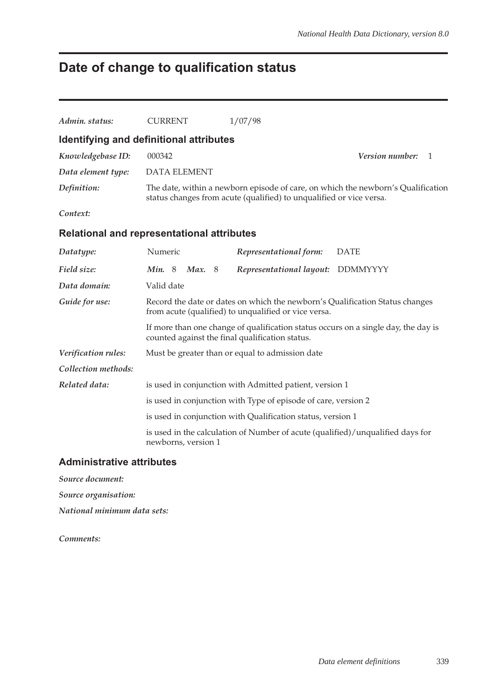# **Date of change to qualification status**

| Admin. status:                                    | <b>CURRENT</b>          | 1/07/98                                                                                                                               |                                                                                  |
|---------------------------------------------------|-------------------------|---------------------------------------------------------------------------------------------------------------------------------------|----------------------------------------------------------------------------------|
| Identifying and definitional attributes           |                         |                                                                                                                                       |                                                                                  |
| Knowledgebase ID:                                 | 000342                  |                                                                                                                                       | <i>Version number:</i><br>-1                                                     |
| Data element type:                                | <b>DATA ELEMENT</b>     |                                                                                                                                       |                                                                                  |
| Definition:                                       |                         | status changes from acute (qualified) to unqualified or vice versa.                                                                   | The date, within a newborn episode of care, on which the newborn's Qualification |
| Context:                                          |                         |                                                                                                                                       |                                                                                  |
| <b>Relational and representational attributes</b> |                         |                                                                                                                                       |                                                                                  |
| Datatype:                                         | Numeric                 | Representational form:                                                                                                                | <b>DATE</b>                                                                      |
| Field size:                                       | Min. 8<br><b>Max.</b> 8 | Representational layout: DDMMYYYY                                                                                                     |                                                                                  |
| Data domain:                                      | Valid date              |                                                                                                                                       |                                                                                  |
| Guide for use:                                    |                         | Record the date or dates on which the newborn's Qualification Status changes<br>from acute (qualified) to unqualified or vice versa.  |                                                                                  |
|                                                   |                         | If more than one change of qualification status occurs on a single day, the day is<br>counted against the final qualification status. |                                                                                  |
| Verification rules:                               |                         | Must be greater than or equal to admission date                                                                                       |                                                                                  |
| Collection methods:                               |                         |                                                                                                                                       |                                                                                  |
| Related data:                                     |                         | is used in conjunction with Admitted patient, version 1                                                                               |                                                                                  |
|                                                   |                         | is used in conjunction with Type of episode of care, version 2                                                                        |                                                                                  |
|                                                   |                         | is used in conjunction with Qualification status, version 1                                                                           |                                                                                  |
|                                                   | newborns, version 1     | is used in the calculation of Number of acute (qualified)/unqualified days for                                                        |                                                                                  |

#### **Administrative attributes**

*Source document:*

*Source organisation:*

*National minimum data sets:*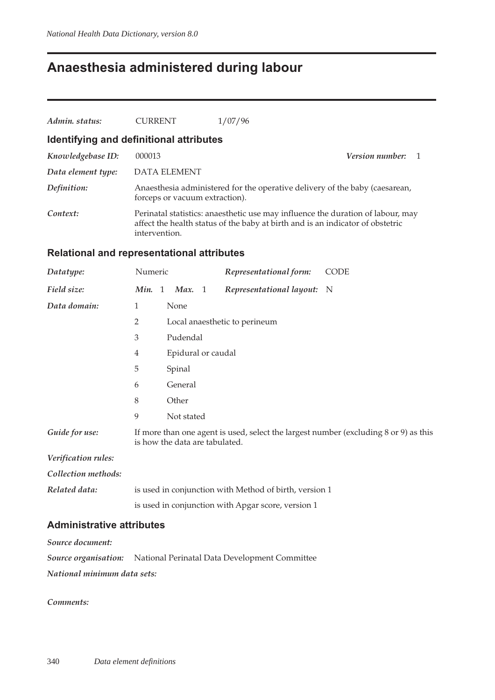## **Anaesthesia administered during labour**

| Admin. status:                          | <b>CURRENT</b>                 | 1/07/96 |                                                                                                                                                                   |
|-----------------------------------------|--------------------------------|---------|-------------------------------------------------------------------------------------------------------------------------------------------------------------------|
| Identifying and definitional attributes |                                |         |                                                                                                                                                                   |
| Knowledgebase ID:                       | 000013                         |         | Version number:                                                                                                                                                   |
| Data element type:                      | <b>DATA ELEMENT</b>            |         |                                                                                                                                                                   |
| Definition:                             | forceps or vacuum extraction). |         | Anaesthesia administered for the operative delivery of the baby (caesarean,                                                                                       |
| Context:                                | intervention.                  |         | Perinatal statistics: anaesthetic use may influence the duration of labour, may<br>affect the health status of the baby at birth and is an indicator of obstetric |

#### **Relational and representational attributes**

| Datatype:                        | Numeric        |                                | Representational form:                                 | <b>CODE</b>                                                                          |
|----------------------------------|----------------|--------------------------------|--------------------------------------------------------|--------------------------------------------------------------------------------------|
| Field size:                      | Min. 1         | Max. 1                         | Representational layout: N                             |                                                                                      |
| Data domain:                     | $\mathbf{1}$   | None                           |                                                        |                                                                                      |
|                                  | $\overline{2}$ |                                | Local anaesthetic to perineum                          |                                                                                      |
|                                  | 3              | Pudendal                       |                                                        |                                                                                      |
|                                  | 4              | Epidural or caudal             |                                                        |                                                                                      |
|                                  | 5              | Spinal                         |                                                        |                                                                                      |
|                                  | 6              | General                        |                                                        |                                                                                      |
|                                  | 8              | Other                          |                                                        |                                                                                      |
|                                  | 9              | Not stated                     |                                                        |                                                                                      |
| Guide for use:                   |                | is how the data are tabulated. |                                                        | If more than one agent is used, select the largest number (excluding 8 or 9) as this |
| Verification rules:              |                |                                |                                                        |                                                                                      |
| Collection methods:              |                |                                |                                                        |                                                                                      |
| Related data:                    |                |                                | is used in conjunction with Method of birth, version 1 |                                                                                      |
|                                  |                |                                | is used in conjunction with Apgar score, version 1     |                                                                                      |
| <b>Administrative attributes</b> |                |                                |                                                        |                                                                                      |
| Source document:                 |                |                                |                                                        |                                                                                      |

*Source organisation:* National Perinatal Data Development Committee *National minimum data sets:*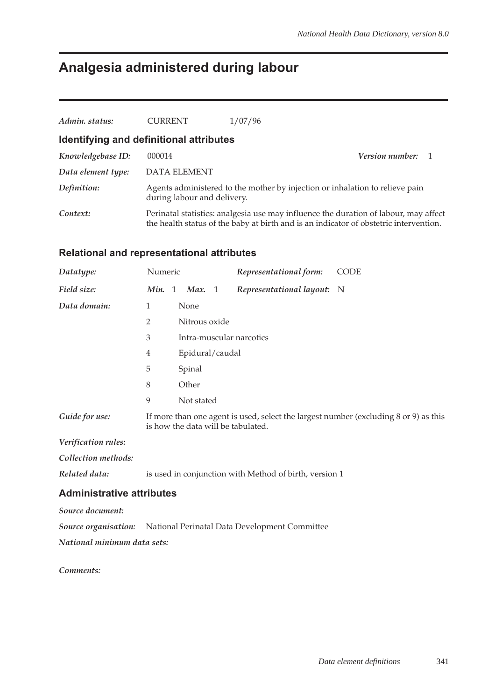# **Analgesia administered during labour**

| Admin. status:                          | <b>CURRENT</b>              | 1/07/96                                                                                                                                                                       |  |
|-----------------------------------------|-----------------------------|-------------------------------------------------------------------------------------------------------------------------------------------------------------------------------|--|
| Identifying and definitional attributes |                             |                                                                                                                                                                               |  |
| Knowledgebase ID:                       | 000014                      | <b>Version number:</b> 1                                                                                                                                                      |  |
| Data element type:                      | <b>DATA ELEMENT</b>         |                                                                                                                                                                               |  |
| Definition:                             | during labour and delivery. | Agents administered to the mother by injection or inhalation to relieve pain                                                                                                  |  |
| Context:                                |                             | Perinatal statistics: analgesia use may influence the duration of labour, may affect<br>the health status of the baby at birth and is an indicator of obstetric intervention. |  |

#### **Relational and representational attributes**

|                                                                                                                            |  |                                  |                                    | Representational form:                       | <b>CODE</b>                                                                                                                                            |
|----------------------------------------------------------------------------------------------------------------------------|--|----------------------------------|------------------------------------|----------------------------------------------|--------------------------------------------------------------------------------------------------------------------------------------------------------|
|                                                                                                                            |  |                                  |                                    | Representational layout: N                   |                                                                                                                                                        |
| 1                                                                                                                          |  |                                  |                                    |                                              |                                                                                                                                                        |
| $\overline{2}$                                                                                                             |  |                                  |                                    |                                              |                                                                                                                                                        |
| 3                                                                                                                          |  |                                  |                                    |                                              |                                                                                                                                                        |
| 4                                                                                                                          |  |                                  |                                    |                                              |                                                                                                                                                        |
| 5                                                                                                                          |  |                                  |                                    |                                              |                                                                                                                                                        |
| 8                                                                                                                          |  |                                  |                                    |                                              |                                                                                                                                                        |
| 9                                                                                                                          |  |                                  |                                    |                                              |                                                                                                                                                        |
| If more than one agent is used, select the largest number (excluding 8 or 9) as this<br>is how the data will be tabulated. |  |                                  |                                    |                                              |                                                                                                                                                        |
|                                                                                                                            |  |                                  |                                    |                                              |                                                                                                                                                        |
|                                                                                                                            |  |                                  |                                    |                                              |                                                                                                                                                        |
|                                                                                                                            |  |                                  |                                    |                                              |                                                                                                                                                        |
|                                                                                                                            |  |                                  |                                    |                                              |                                                                                                                                                        |
|                                                                                                                            |  |                                  |                                    |                                              |                                                                                                                                                        |
|                                                                                                                            |  |                                  |                                    |                                              |                                                                                                                                                        |
|                                                                                                                            |  | <b>Administrative attributes</b> | Numeric<br>None<br>Spinal<br>Other | Min. 1 Max. 1<br>Nitrous oxide<br>Not stated | Intra-muscular narcotics<br>Epidural/caudal<br>is used in conjunction with Method of birth, version 1<br>National Perinatal Data Development Committee |

*National minimum data sets:*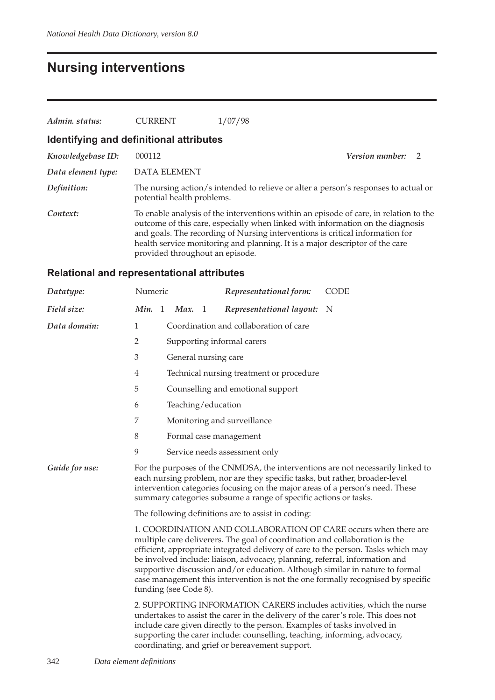## **Nursing interventions**

| Admin. status:     | <b>CURRENT</b>                          | 1/07/98                                                                                                                                                                                                                                                                                                                                  |                                  |  |
|--------------------|-----------------------------------------|------------------------------------------------------------------------------------------------------------------------------------------------------------------------------------------------------------------------------------------------------------------------------------------------------------------------------------------|----------------------------------|--|
|                    | Identifying and definitional attributes |                                                                                                                                                                                                                                                                                                                                          |                                  |  |
| Knowledgebase ID:  | 000112                                  |                                                                                                                                                                                                                                                                                                                                          | Version number:<br>$\mathcal{P}$ |  |
| Data element type: | <b>DATA ELEMENT</b>                     |                                                                                                                                                                                                                                                                                                                                          |                                  |  |
| Definition:        | potential health problems.              | The nursing action/s intended to relieve or alter a person's responses to actual or                                                                                                                                                                                                                                                      |                                  |  |
| Context:           | provided throughout an episode.         | To enable analysis of the interventions within an episode of care, in relation to the<br>outcome of this care, especially when linked with information on the diagnosis<br>and goals. The recording of Nursing interventions is critical information for<br>health service monitoring and planning. It is a major descriptor of the care |                                  |  |

### **Relational and representational attributes**

| Datatype:      | Numeric                                                                                                                                                                                                                                                                                                                                                                                                                                                                                                         |   |                      |    | Representational form:                                                                                                                                                                                                                                                                        | <b>CODE</b>                                                                     |  |
|----------------|-----------------------------------------------------------------------------------------------------------------------------------------------------------------------------------------------------------------------------------------------------------------------------------------------------------------------------------------------------------------------------------------------------------------------------------------------------------------------------------------------------------------|---|----------------------|----|-----------------------------------------------------------------------------------------------------------------------------------------------------------------------------------------------------------------------------------------------------------------------------------------------|---------------------------------------------------------------------------------|--|
| Field size:    | Min.                                                                                                                                                                                                                                                                                                                                                                                                                                                                                                            | 1 | Max.                 | -1 | Representational layout:                                                                                                                                                                                                                                                                      | N                                                                               |  |
| Data domain:   | 1                                                                                                                                                                                                                                                                                                                                                                                                                                                                                                               |   |                      |    | Coordination and collaboration of care                                                                                                                                                                                                                                                        |                                                                                 |  |
|                | $\overline{2}$                                                                                                                                                                                                                                                                                                                                                                                                                                                                                                  |   |                      |    | Supporting informal carers                                                                                                                                                                                                                                                                    |                                                                                 |  |
|                | $\ensuremath{\mathfrak{Z}}$                                                                                                                                                                                                                                                                                                                                                                                                                                                                                     |   | General nursing care |    |                                                                                                                                                                                                                                                                                               |                                                                                 |  |
|                | 4                                                                                                                                                                                                                                                                                                                                                                                                                                                                                                               |   |                      |    | Technical nursing treatment or procedure                                                                                                                                                                                                                                                      |                                                                                 |  |
|                | 5                                                                                                                                                                                                                                                                                                                                                                                                                                                                                                               |   |                      |    | Counselling and emotional support                                                                                                                                                                                                                                                             |                                                                                 |  |
|                | 6                                                                                                                                                                                                                                                                                                                                                                                                                                                                                                               |   | Teaching/education   |    |                                                                                                                                                                                                                                                                                               |                                                                                 |  |
|                | 7                                                                                                                                                                                                                                                                                                                                                                                                                                                                                                               |   |                      |    | Monitoring and surveillance                                                                                                                                                                                                                                                                   |                                                                                 |  |
|                | 8                                                                                                                                                                                                                                                                                                                                                                                                                                                                                                               |   |                      |    | Formal case management                                                                                                                                                                                                                                                                        |                                                                                 |  |
|                | 9                                                                                                                                                                                                                                                                                                                                                                                                                                                                                                               |   |                      |    | Service needs assessment only                                                                                                                                                                                                                                                                 |                                                                                 |  |
| Guide for use: |                                                                                                                                                                                                                                                                                                                                                                                                                                                                                                                 |   |                      |    | each nursing problem, nor are they specific tasks, but rather, broader-level<br>intervention categories focusing on the major areas of a person's need. These<br>summary categories subsume a range of specific actions or tasks.                                                             | For the purposes of the CNMDSA, the interventions are not necessarily linked to |  |
|                | The following definitions are to assist in coding:                                                                                                                                                                                                                                                                                                                                                                                                                                                              |   |                      |    |                                                                                                                                                                                                                                                                                               |                                                                                 |  |
|                | 1. COORDINATION AND COLLABORATION OF CARE occurs when there are<br>multiple care deliverers. The goal of coordination and collaboration is the<br>efficient, appropriate integrated delivery of care to the person. Tasks which may<br>be involved include: liaison, advocacy, planning, referral, information and<br>supportive discussion and/or education. Although similar in nature to formal<br>case management this intervention is not the one formally recognised by specific<br>funding (see Code 8). |   |                      |    |                                                                                                                                                                                                                                                                                               |                                                                                 |  |
|                |                                                                                                                                                                                                                                                                                                                                                                                                                                                                                                                 |   |                      |    | undertakes to assist the carer in the delivery of the carer's role. This does not<br>include care given directly to the person. Examples of tasks involved in<br>supporting the carer include: counselling, teaching, informing, advocacy,<br>coordinating, and grief or bereavement support. | 2. SUPPORTING INFORMATION CARERS includes activities, which the nurse           |  |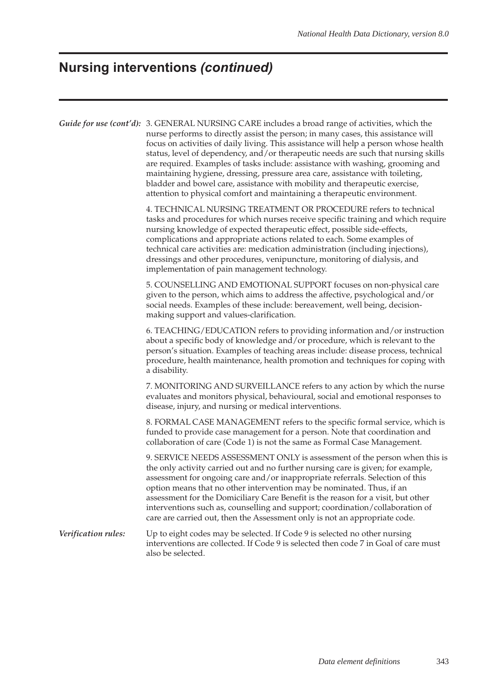# **Nursing interventions** *(continued)*

|                     | Guide for use (cont'd): 3. GENERAL NURSING CARE includes a broad range of activities, which the<br>nurse performs to directly assist the person; in many cases, this assistance will<br>focus on activities of daily living. This assistance will help a person whose health<br>status, level of dependency, and/or therapeutic needs are such that nursing skills<br>are required. Examples of tasks include: assistance with washing, grooming and<br>maintaining hygiene, dressing, pressure area care, assistance with toileting,<br>bladder and bowel care, assistance with mobility and therapeutic exercise,<br>attention to physical comfort and maintaining a therapeutic environment. |  |  |  |  |  |
|---------------------|-------------------------------------------------------------------------------------------------------------------------------------------------------------------------------------------------------------------------------------------------------------------------------------------------------------------------------------------------------------------------------------------------------------------------------------------------------------------------------------------------------------------------------------------------------------------------------------------------------------------------------------------------------------------------------------------------|--|--|--|--|--|
|                     | 4. TECHNICAL NURSING TREATMENT OR PROCEDURE refers to technical<br>tasks and procedures for which nurses receive specific training and which require<br>nursing knowledge of expected therapeutic effect, possible side-effects,<br>complications and appropriate actions related to each. Some examples of<br>technical care activities are: medication administration (including injections),<br>dressings and other procedures, venipuncture, monitoring of dialysis, and<br>implementation of pain management technology.                                                                                                                                                                   |  |  |  |  |  |
|                     | 5. COUNSELLING AND EMOTIONAL SUPPORT focuses on non-physical care<br>given to the person, which aims to address the affective, psychological and/or<br>social needs. Examples of these include: bereavement, well being, decision-<br>making support and values-clarification.                                                                                                                                                                                                                                                                                                                                                                                                                  |  |  |  |  |  |
|                     | 6. TEACHING/EDUCATION refers to providing information and/or instruction<br>about a specific body of knowledge and/or procedure, which is relevant to the<br>person's situation. Examples of teaching areas include: disease process, technical<br>procedure, health maintenance, health promotion and techniques for coping with<br>a disability.                                                                                                                                                                                                                                                                                                                                              |  |  |  |  |  |
|                     | 7. MONITORING AND SURVEILLANCE refers to any action by which the nurse<br>evaluates and monitors physical, behavioural, social and emotional responses to<br>disease, injury, and nursing or medical interventions.                                                                                                                                                                                                                                                                                                                                                                                                                                                                             |  |  |  |  |  |
|                     | 8. FORMAL CASE MANAGEMENT refers to the specific formal service, which is<br>funded to provide case management for a person. Note that coordination and<br>collaboration of care (Code 1) is not the same as Formal Case Management.                                                                                                                                                                                                                                                                                                                                                                                                                                                            |  |  |  |  |  |
|                     | 9. SERVICE NEEDS ASSESSMENT ONLY is assessment of the person when this is<br>the only activity carried out and no further nursing care is given; for example,<br>assessment for ongoing care and/or inappropriate referrals. Selection of this<br>option means that no other intervention may be nominated. Thus, if an<br>assessment for the Domiciliary Care Benefit is the reason for a visit, but other<br>interventions such as, counselling and support; coordination/collaboration of<br>care are carried out, then the Assessment only is not an appropriate code.                                                                                                                      |  |  |  |  |  |
| Verification rules: | Up to eight codes may be selected. If Code 9 is selected no other nursing<br>interventions are collected. If Code 9 is selected then code 7 in Goal of care must<br>also be selected.                                                                                                                                                                                                                                                                                                                                                                                                                                                                                                           |  |  |  |  |  |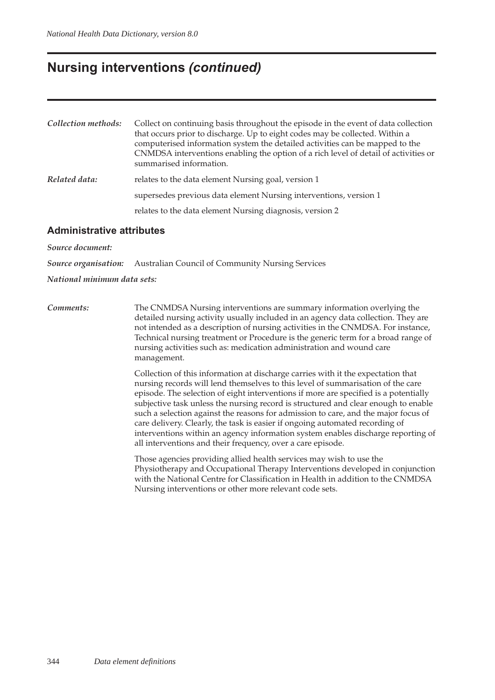### **Nursing interventions** *(continued)*

| Collection methods: | Collect on continuing basis throughout the episode in the event of data collection<br>that occurs prior to discharge. Up to eight codes may be collected. Within a<br>computerised information system the detailed activities can be mapped to the<br>CNMDSA interventions enabling the option of a rich level of detail of activities or<br>summarised information. |
|---------------------|----------------------------------------------------------------------------------------------------------------------------------------------------------------------------------------------------------------------------------------------------------------------------------------------------------------------------------------------------------------------|
| Related data:       | relates to the data element Nursing goal, version 1                                                                                                                                                                                                                                                                                                                  |
|                     | supersedes previous data element Nursing interventions, version 1                                                                                                                                                                                                                                                                                                    |
|                     | relates to the data element Nursing diagnosis, version 2                                                                                                                                                                                                                                                                                                             |

#### **Administrative attributes**

*Source document:*

*Source organisation:* Australian Council of Community Nursing Services

#### *National minimum data sets:*

*Comments:* The CNMDSA Nursing interventions are summary information overlying the detailed nursing activity usually included in an agency data collection. They are not intended as a description of nursing activities in the CNMDSA. For instance, Technical nursing treatment or Procedure is the generic term for a broad range of nursing activities such as: medication administration and wound care management.

> Collection of this information at discharge carries with it the expectation that nursing records will lend themselves to this level of summarisation of the care episode. The selection of eight interventions if more are specified is a potentially subjective task unless the nursing record is structured and clear enough to enable such a selection against the reasons for admission to care, and the major focus of care delivery. Clearly, the task is easier if ongoing automated recording of interventions within an agency information system enables discharge reporting of all interventions and their frequency, over a care episode.

> Those agencies providing allied health services may wish to use the Physiotherapy and Occupational Therapy Interventions developed in conjunction with the National Centre for Classification in Health in addition to the CNMDSA Nursing interventions or other more relevant code sets.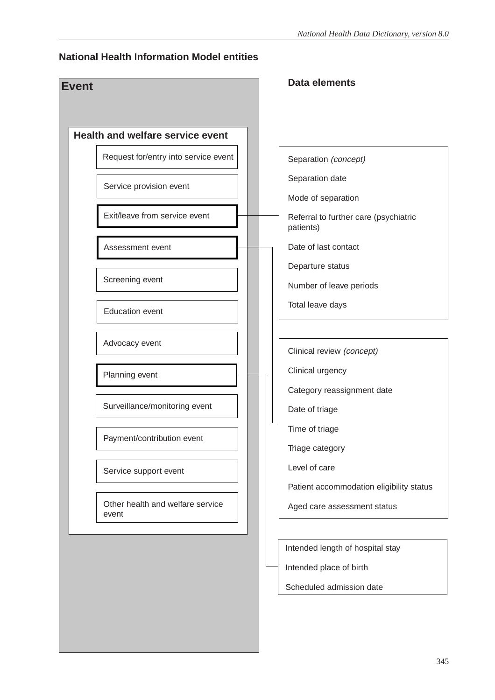#### **National Health Information Model entities**

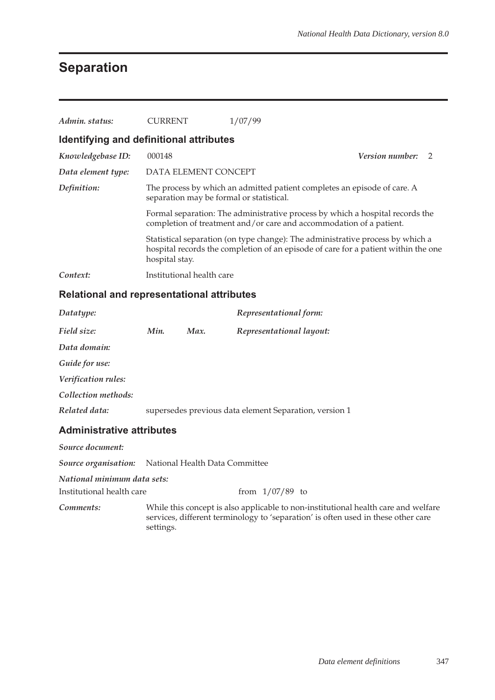# **Separation**

| Admin. status:                                                                                                                      | CURRENT                                                                                                                                              | 1/07/99                                                                                                                                                              |  |
|-------------------------------------------------------------------------------------------------------------------------------------|------------------------------------------------------------------------------------------------------------------------------------------------------|----------------------------------------------------------------------------------------------------------------------------------------------------------------------|--|
| Identifying and definitional attributes                                                                                             |                                                                                                                                                      |                                                                                                                                                                      |  |
| Knowledgebase ID:                                                                                                                   | 000148                                                                                                                                               | <b>Version number:</b><br>$\overline{2}$                                                                                                                             |  |
| Data element type:                                                                                                                  | DATA ELEMENT CONCEPT                                                                                                                                 |                                                                                                                                                                      |  |
| The process by which an admitted patient completes an episode of care. A<br>Definition:<br>separation may be formal or statistical. |                                                                                                                                                      |                                                                                                                                                                      |  |
|                                                                                                                                     | Formal separation: The administrative process by which a hospital records the<br>completion of treatment and/or care and accommodation of a patient. |                                                                                                                                                                      |  |
|                                                                                                                                     | hospital stay.                                                                                                                                       | Statistical separation (on type change): The administrative process by which a<br>hospital records the completion of an episode of care for a patient within the one |  |
| Context:                                                                                                                            | Institutional health care                                                                                                                            |                                                                                                                                                                      |  |

### **Relational and representational attributes**

| Datatype:                        |      |      | Representational form:                                 |
|----------------------------------|------|------|--------------------------------------------------------|
| Field size:                      | Min. | Max. | Representational layout:                               |
| Data domain:                     |      |      |                                                        |
| Guide for use:                   |      |      |                                                        |
| Verification rules:              |      |      |                                                        |
| Collection methods:              |      |      |                                                        |
| Related data:                    |      |      | supersedes previous data element Separation, version 1 |
| <b>Administrative attributes</b> |      |      |                                                        |

| Source document:                                         |                                                                                                                                                                                      |
|----------------------------------------------------------|--------------------------------------------------------------------------------------------------------------------------------------------------------------------------------------|
|                                                          | <b>Source organisation:</b> National Health Data Committee                                                                                                                           |
| National minimum data sets:<br>Institutional health care | from $1/07/89$ to                                                                                                                                                                    |
| Comments:                                                | While this concept is also applicable to non-institutional health care and welfare<br>services, different terminology to 'separation' is often used in these other care<br>settings. |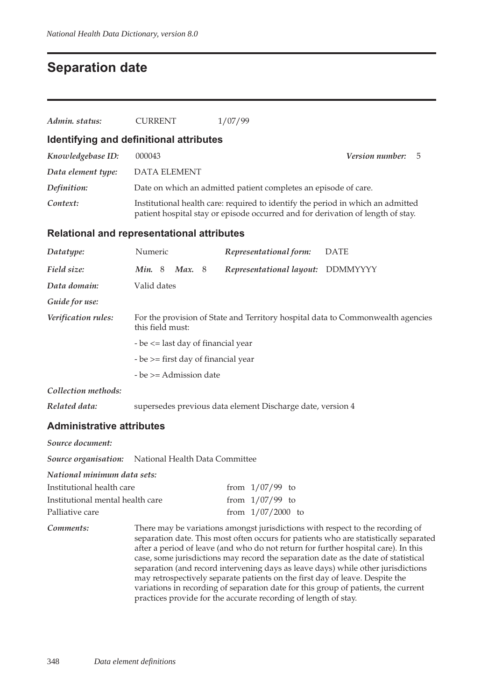## **Separation date**

| Admin. status:                             | <b>CURRENT</b>                                                                                                                                                     | 1/07/99                                                         |                                                                                 |  |
|--------------------------------------------|--------------------------------------------------------------------------------------------------------------------------------------------------------------------|-----------------------------------------------------------------|---------------------------------------------------------------------------------|--|
| Identifying and definitional attributes    |                                                                                                                                                                    |                                                                 |                                                                                 |  |
| Knowledgebase ID:                          | 000043                                                                                                                                                             |                                                                 | <i>Version number:</i><br>5                                                     |  |
| Data element type:                         | <b>DATA ELEMENT</b>                                                                                                                                                |                                                                 |                                                                                 |  |
| Definition:                                |                                                                                                                                                                    | Date on which an admitted patient completes an episode of care. |                                                                                 |  |
| Context:                                   | Institutional health care: required to identify the period in which an admitted<br>patient hospital stay or episode occurred and for derivation of length of stay. |                                                                 |                                                                                 |  |
| Relational and representational attributes |                                                                                                                                                                    |                                                                 |                                                                                 |  |
| Datatype:                                  | Numeric                                                                                                                                                            | Representational form:                                          | <b>DATE</b>                                                                     |  |
| Field size:                                | Min. 8<br>Max. $8$                                                                                                                                                 | Representational layout:                                        | <b>DDMMYYYY</b>                                                                 |  |
| Data domain:                               | Valid dates                                                                                                                                                        |                                                                 |                                                                                 |  |
| Guide for use:                             |                                                                                                                                                                    |                                                                 |                                                                                 |  |
| Verification rules:                        | this field must:                                                                                                                                                   |                                                                 | For the provision of State and Territory hospital data to Commonwealth agencies |  |

- be <= last day of financial year

- be >= first day of financial year

- be >= Admission date

*Collection methods:*

*Related data:* supersedes previous data element Discharge date, version 4

#### **Administrative attributes**

| Source document:                                    |                                                                                                                                                                                                                                                                                                                                                                                                                                                                                                                                                                                                              |
|-----------------------------------------------------|--------------------------------------------------------------------------------------------------------------------------------------------------------------------------------------------------------------------------------------------------------------------------------------------------------------------------------------------------------------------------------------------------------------------------------------------------------------------------------------------------------------------------------------------------------------------------------------------------------------|
| Source organisation: National Health Data Committee |                                                                                                                                                                                                                                                                                                                                                                                                                                                                                                                                                                                                              |
| National minimum data sets:                         |                                                                                                                                                                                                                                                                                                                                                                                                                                                                                                                                                                                                              |
| Institutional health care                           | from $1/07/99$ to                                                                                                                                                                                                                                                                                                                                                                                                                                                                                                                                                                                            |
| Institutional mental health care                    | from $1/07/99$ to                                                                                                                                                                                                                                                                                                                                                                                                                                                                                                                                                                                            |
| Palliative care                                     | from $1/07/2000$ to                                                                                                                                                                                                                                                                                                                                                                                                                                                                                                                                                                                          |
| Comments:                                           | There may be variations amongst jurisdictions with respect to the recording of<br>separation date. This most often occurs for patients who are statistically separated<br>after a period of leave (and who do not return for further hospital care). In this<br>case, some jurisdictions may record the separation date as the date of statistical<br>separation (and record intervening days as leave days) while other jurisdictions<br>may retrospectively separate patients on the first day of leave. Despite the<br>variations in recording of separation date for this group of patients, the current |

practices provide for the accurate recording of length of stay.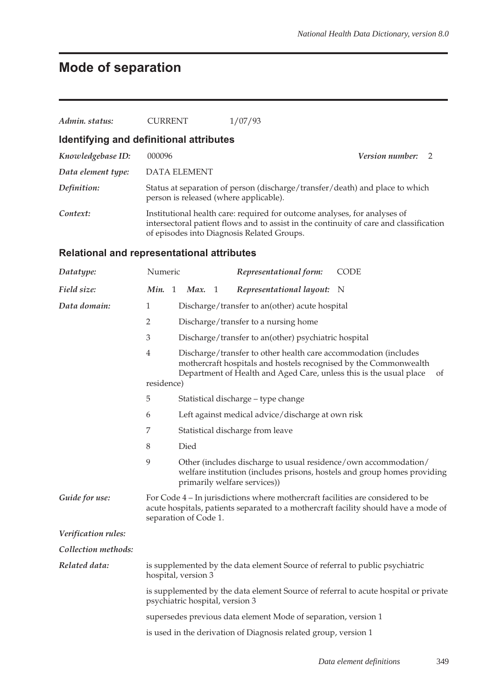# **Mode of separation**

| Admin. status:                                    | <b>CURRENT</b>                                                                                                                                                                                                       | 1/07/93                                                                                                                |                                                                          |  |  |  |
|---------------------------------------------------|----------------------------------------------------------------------------------------------------------------------------------------------------------------------------------------------------------------------|------------------------------------------------------------------------------------------------------------------------|--------------------------------------------------------------------------|--|--|--|
| Identifying and definitional attributes           |                                                                                                                                                                                                                      |                                                                                                                        |                                                                          |  |  |  |
| Knowledgebase ID:                                 | 000096                                                                                                                                                                                                               |                                                                                                                        | Version number:<br>2                                                     |  |  |  |
| Data element type:                                | <b>DATA ELEMENT</b>                                                                                                                                                                                                  |                                                                                                                        |                                                                          |  |  |  |
| Definition:                                       |                                                                                                                                                                                                                      | Status at separation of person (discharge/transfer/death) and place to which<br>person is released (where applicable). |                                                                          |  |  |  |
| Context:                                          | Institutional health care: required for outcome analyses, for analyses of<br>intersectoral patient flows and to assist in the continuity of care and classification<br>of episodes into Diagnosis Related Groups.    |                                                                                                                        |                                                                          |  |  |  |
| <b>Relational and representational attributes</b> |                                                                                                                                                                                                                      |                                                                                                                        |                                                                          |  |  |  |
| Datatype:                                         | Numeric                                                                                                                                                                                                              | Representational form:                                                                                                 | <b>CODE</b>                                                              |  |  |  |
| Field size:                                       | Min. 1<br>Max.<br>- 1                                                                                                                                                                                                | Representational layout:                                                                                               | $\mathbb N$                                                              |  |  |  |
| Data domain:                                      | 1                                                                                                                                                                                                                    | Discharge/transfer to an(other) acute hospital                                                                         |                                                                          |  |  |  |
|                                                   | 2                                                                                                                                                                                                                    | Discharge/transfer to a nursing home                                                                                   |                                                                          |  |  |  |
|                                                   | 3<br>Discharge/transfer to an(other) psychiatric hospital                                                                                                                                                            |                                                                                                                        |                                                                          |  |  |  |
|                                                   | 4<br>Discharge/transfer to other health care accommodation (includes<br>mothercraft hospitals and hostels recognised by the Commonwealth<br>Department of Health and Aged Care, unless this is the usual place<br>of |                                                                                                                        |                                                                          |  |  |  |
|                                                   | residence)                                                                                                                                                                                                           |                                                                                                                        |                                                                          |  |  |  |
|                                                   | 5<br>Statistical discharge - type change                                                                                                                                                                             |                                                                                                                        |                                                                          |  |  |  |
|                                                   | 6<br>Left against medical advice/discharge at own risk                                                                                                                                                               |                                                                                                                        |                                                                          |  |  |  |
|                                                   | 7<br>Statistical discharge from leave                                                                                                                                                                                |                                                                                                                        |                                                                          |  |  |  |
|                                                   | 8<br>Died                                                                                                                                                                                                            |                                                                                                                        |                                                                          |  |  |  |
|                                                   | 9                                                                                                                                                                                                                    | Other (includes discharge to usual residence/own accommodation/<br>primarily welfare services))                        | welfare institution (includes prisons, hostels and group homes providing |  |  |  |
| Guide for use:                                    | For Code 4 – In jurisdictions where mothercraft facilities are considered to be<br>acute hospitals, patients separated to a mothercraft facility should have a mode of<br>separation of Code 1.                      |                                                                                                                        |                                                                          |  |  |  |
| Verification rules:                               |                                                                                                                                                                                                                      |                                                                                                                        |                                                                          |  |  |  |
| Collection methods:                               |                                                                                                                                                                                                                      |                                                                                                                        |                                                                          |  |  |  |
| Related data:                                     | is supplemented by the data element Source of referral to public psychiatric<br>hospital, version 3                                                                                                                  |                                                                                                                        |                                                                          |  |  |  |
|                                                   |                                                                                                                                                                                                                      | is supplemented by the data element Source of referral to acute hospital or private<br>psychiatric hospital, version 3 |                                                                          |  |  |  |
|                                                   | supersedes previous data element Mode of separation, version 1                                                                                                                                                       |                                                                                                                        |                                                                          |  |  |  |
|                                                   | is used in the derivation of Diagnosis related group, version 1                                                                                                                                                      |                                                                                                                        |                                                                          |  |  |  |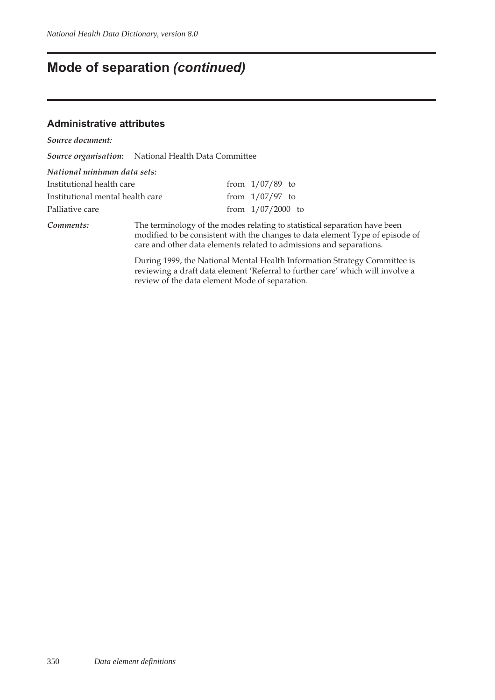# **Mode of separation** *(continued)*

#### **Administrative attributes**

| Source document:                 |                                                                                                                                                                                                                                   |  |                     |                                                                                                                                                             |
|----------------------------------|-----------------------------------------------------------------------------------------------------------------------------------------------------------------------------------------------------------------------------------|--|---------------------|-------------------------------------------------------------------------------------------------------------------------------------------------------------|
|                                  | Source organisation: National Health Data Committee                                                                                                                                                                               |  |                     |                                                                                                                                                             |
| National minimum data sets:      |                                                                                                                                                                                                                                   |  |                     |                                                                                                                                                             |
| Institutional health care        |                                                                                                                                                                                                                                   |  | from $1/07/89$ to   |                                                                                                                                                             |
| Institutional mental health care |                                                                                                                                                                                                                                   |  | from $1/07/97$ to   |                                                                                                                                                             |
| Palliative care                  |                                                                                                                                                                                                                                   |  | from $1/07/2000$ to |                                                                                                                                                             |
| Comments:                        | The terminology of the modes relating to statistical separation have been<br>modified to be consistent with the changes to data element Type of episode of<br>care and other data elements related to admissions and separations. |  |                     |                                                                                                                                                             |
|                                  |                                                                                                                                                                                                                                   |  |                     | During 1999, the National Mental Health Information Strategy Committee is<br>reviewing a draft data element 'Referral to further care' which will involve a |

review of the data element Mode of separation.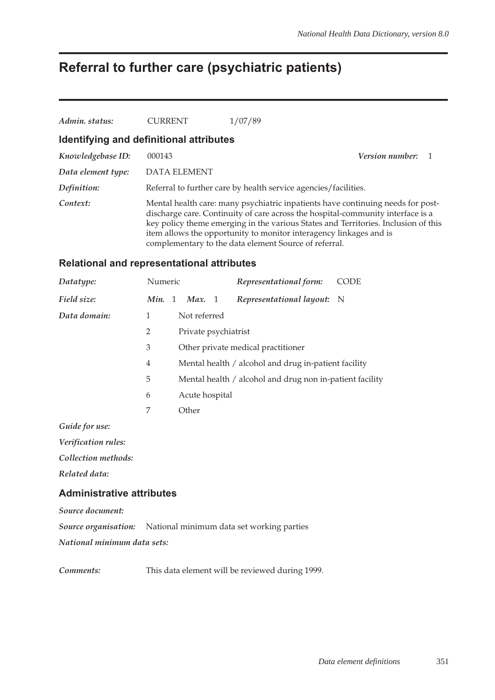# **Referral to further care (psychiatric patients)**

| Admin. status:                          | <b>CURRENT</b>      | 1/07/89                                                                                                                                                                                                                                                                                                                                                                                 |  |
|-----------------------------------------|---------------------|-----------------------------------------------------------------------------------------------------------------------------------------------------------------------------------------------------------------------------------------------------------------------------------------------------------------------------------------------------------------------------------------|--|
| Identifying and definitional attributes |                     |                                                                                                                                                                                                                                                                                                                                                                                         |  |
| Knowledgebase ID:                       | 000143              | <b>Version number:</b> 1                                                                                                                                                                                                                                                                                                                                                                |  |
| Data element type:                      | <b>DATA ELEMENT</b> |                                                                                                                                                                                                                                                                                                                                                                                         |  |
| Definition:                             |                     | Referral to further care by health service agencies/facilities.                                                                                                                                                                                                                                                                                                                         |  |
| Context:                                |                     | Mental health care: many psychiatric inpatients have continuing needs for post-<br>discharge care. Continuity of care across the hospital-community interface is a<br>key policy theme emerging in the various States and Territories. Inclusion of this<br>item allows the opportunity to monitor interagency linkages and is<br>complementary to the data element Source of referral. |  |

#### **Relational and representational attributes**

| Datatype:      | Numeric        |                                                          | Representational form:     | CODE |  |  |
|----------------|----------------|----------------------------------------------------------|----------------------------|------|--|--|
| Field size:    | Min. 1         | Max. $1$                                                 | Representational layout: N |      |  |  |
| Data domain:   | 1              | Not referred                                             |                            |      |  |  |
|                | 2              | Private psychiatrist                                     |                            |      |  |  |
|                | 3              | Other private medical practitioner                       |                            |      |  |  |
|                | $\overline{4}$ | Mental health / alcohol and drug in-patient facility     |                            |      |  |  |
|                | 5              | Mental health / alcohol and drug non in-patient facility |                            |      |  |  |
|                | 6              | Acute hospital                                           |                            |      |  |  |
|                | 7              | Other                                                    |                            |      |  |  |
| Guide for use: |                |                                                          |                            |      |  |  |

*Verification rules:*

*Collection methods:*

*Related data:*

#### **Administrative attributes**

*Source document:*

*Source organisation:* National minimum data set working parties

*National minimum data sets:*

*Comments:* This data element will be reviewed during 1999.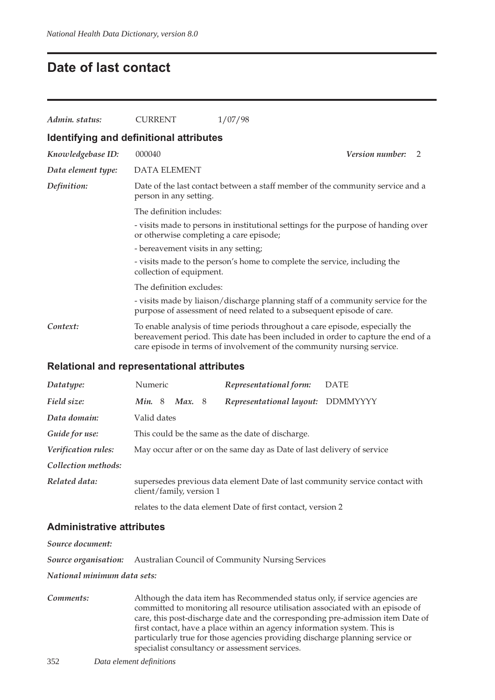### **Date of last contact**

| Admin. status:                          | <b>CURRENT</b>                                                                                                                                                                                                                                                                                             | 1/07/98                                                                                                                                                                                                                                    |  |
|-----------------------------------------|------------------------------------------------------------------------------------------------------------------------------------------------------------------------------------------------------------------------------------------------------------------------------------------------------------|--------------------------------------------------------------------------------------------------------------------------------------------------------------------------------------------------------------------------------------------|--|
| Identifying and definitional attributes |                                                                                                                                                                                                                                                                                                            |                                                                                                                                                                                                                                            |  |
| Knowledgebase ID:                       | 000040                                                                                                                                                                                                                                                                                                     | <i>Version number:</i><br>2                                                                                                                                                                                                                |  |
| Data element type:                      | <b>DATA ELEMENT</b>                                                                                                                                                                                                                                                                                        |                                                                                                                                                                                                                                            |  |
| Definition:                             | person in any setting.                                                                                                                                                                                                                                                                                     | Date of the last contact between a staff member of the community service and a                                                                                                                                                             |  |
|                                         | The definition includes:<br>- visits made to persons in institutional settings for the purpose of handing over<br>or otherwise completing a care episode;<br>- bereavement visits in any setting;<br>- visits made to the person's home to complete the service, including the<br>collection of equipment. |                                                                                                                                                                                                                                            |  |
|                                         |                                                                                                                                                                                                                                                                                                            |                                                                                                                                                                                                                                            |  |
|                                         |                                                                                                                                                                                                                                                                                                            |                                                                                                                                                                                                                                            |  |
|                                         |                                                                                                                                                                                                                                                                                                            |                                                                                                                                                                                                                                            |  |
|                                         | The definition excludes:                                                                                                                                                                                                                                                                                   |                                                                                                                                                                                                                                            |  |
|                                         |                                                                                                                                                                                                                                                                                                            | - visits made by liaison/discharge planning staff of a community service for the<br>purpose of assessment of need related to a subsequent episode of care.                                                                                 |  |
| Context:                                |                                                                                                                                                                                                                                                                                                            | To enable analysis of time periods throughout a care episode, especially the<br>bereavement period. This date has been included in order to capture the end of a<br>care episode in terms of involvement of the community nursing service. |  |
|                                         |                                                                                                                                                                                                                                                                                                            |                                                                                                                                                                                                                                            |  |

### **Relational and representational attributes**

| Datatype:           | Numeric                                                                                                  |          |  | Representational form:                                                 | <b>DATE</b> |
|---------------------|----------------------------------------------------------------------------------------------------------|----------|--|------------------------------------------------------------------------|-------------|
| Field size:         | Min.8                                                                                                    | Max. $8$ |  | Representational layout: DDMMYYYY                                      |             |
| Data domain:        | Valid dates                                                                                              |          |  |                                                                        |             |
| Guide for use:      |                                                                                                          |          |  | This could be the same as the date of discharge.                       |             |
| Verification rules: |                                                                                                          |          |  | May occur after or on the same day as Date of last delivery of service |             |
| Collection methods: |                                                                                                          |          |  |                                                                        |             |
| Related data:       | supersedes previous data element Date of last community service contact with<br>client/family, version 1 |          |  |                                                                        |             |
|                     |                                                                                                          |          |  | relates to the data element Date of first contact, version 2           |             |

#### **Administrative attributes**

*Source document: Source organisation:* Australian Council of Community Nursing Services

*National minimum data sets:*

| Comments: | Although the data item has Recommended status only, if service agencies are     |
|-----------|---------------------------------------------------------------------------------|
|           | committed to monitoring all resource utilisation associated with an episode of  |
|           | care, this post-discharge date and the corresponding pre-admission item Date of |
|           | first contact, have a place within an agency information system. This is        |
|           | particularly true for those agencies providing discharge planning service or    |
|           | specialist consultancy or assessment services.                                  |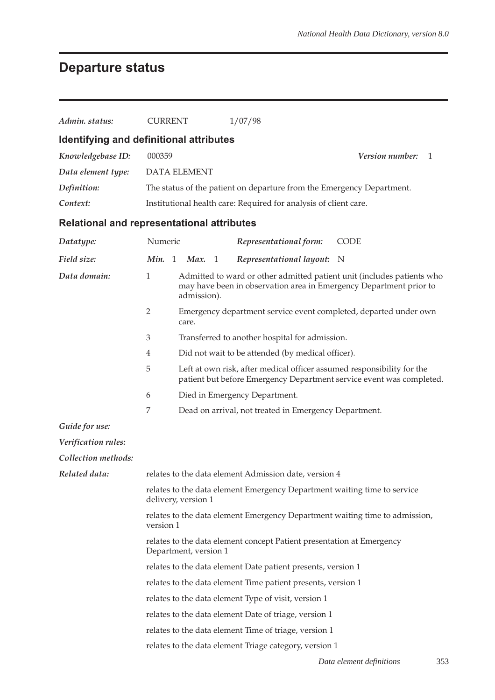# **Departure status**

| Admin. status:                                    | <b>CURRENT</b>                                                                                 |                                                                                                                                                | 1/07/98                                                                     |                                                                        |  |  |  |  |  |
|---------------------------------------------------|------------------------------------------------------------------------------------------------|------------------------------------------------------------------------------------------------------------------------------------------------|-----------------------------------------------------------------------------|------------------------------------------------------------------------|--|--|--|--|--|
| Identifying and definitional attributes           |                                                                                                |                                                                                                                                                |                                                                             |                                                                        |  |  |  |  |  |
| Knowledgebase ID:                                 | 000359                                                                                         | Version number:<br>1                                                                                                                           |                                                                             |                                                                        |  |  |  |  |  |
| Data element type:                                | <b>DATA ELEMENT</b>                                                                            |                                                                                                                                                |                                                                             |                                                                        |  |  |  |  |  |
| Definition:                                       |                                                                                                |                                                                                                                                                | The status of the patient on departure from the Emergency Department.       |                                                                        |  |  |  |  |  |
| Context:                                          |                                                                                                |                                                                                                                                                | Institutional health care: Required for analysis of client care.            |                                                                        |  |  |  |  |  |
| <b>Relational and representational attributes</b> |                                                                                                |                                                                                                                                                |                                                                             |                                                                        |  |  |  |  |  |
| Datatype:                                         | Numeric                                                                                        |                                                                                                                                                | Representational form:                                                      | <b>CODE</b>                                                            |  |  |  |  |  |
| Field size:                                       | Min. 1                                                                                         | Max. 1                                                                                                                                         | Representational layout:                                                    | N                                                                      |  |  |  |  |  |
| Data domain:                                      | $\mathbf{1}$                                                                                   | admission).                                                                                                                                    | may have been in observation area in Emergency Department prior to          | Admitted to ward or other admitted patient unit (includes patients who |  |  |  |  |  |
|                                                   | 2                                                                                              | care.                                                                                                                                          | Emergency department service event completed, departed under own            |                                                                        |  |  |  |  |  |
|                                                   | $\mathfrak{Z}$                                                                                 | Transferred to another hospital for admission.                                                                                                 |                                                                             |                                                                        |  |  |  |  |  |
|                                                   | $\overline{4}$                                                                                 | Did not wait to be attended (by medical officer).                                                                                              |                                                                             |                                                                        |  |  |  |  |  |
|                                                   | 5                                                                                              | Left at own risk, after medical officer assumed responsibility for the<br>patient but before Emergency Department service event was completed. |                                                                             |                                                                        |  |  |  |  |  |
|                                                   | 6                                                                                              | Died in Emergency Department.                                                                                                                  |                                                                             |                                                                        |  |  |  |  |  |
|                                                   | 7                                                                                              |                                                                                                                                                | Dead on arrival, not treated in Emergency Department.                       |                                                                        |  |  |  |  |  |
| Guide for use:                                    |                                                                                                |                                                                                                                                                |                                                                             |                                                                        |  |  |  |  |  |
| Verification rules:                               |                                                                                                |                                                                                                                                                |                                                                             |                                                                        |  |  |  |  |  |
| Collection methods:                               |                                                                                                |                                                                                                                                                |                                                                             |                                                                        |  |  |  |  |  |
| Related data:                                     |                                                                                                |                                                                                                                                                | relates to the data element Admission date, version 4                       |                                                                        |  |  |  |  |  |
|                                                   |                                                                                                | delivery, version 1                                                                                                                            | relates to the data element Emergency Department waiting time to service    |                                                                        |  |  |  |  |  |
|                                                   | version 1                                                                                      |                                                                                                                                                | relates to the data element Emergency Department waiting time to admission, |                                                                        |  |  |  |  |  |
|                                                   | relates to the data element concept Patient presentation at Emergency<br>Department, version 1 |                                                                                                                                                |                                                                             |                                                                        |  |  |  |  |  |
|                                                   |                                                                                                |                                                                                                                                                | relates to the data element Date patient presents, version 1                |                                                                        |  |  |  |  |  |
|                                                   |                                                                                                |                                                                                                                                                | relates to the data element Time patient presents, version 1                |                                                                        |  |  |  |  |  |
|                                                   |                                                                                                |                                                                                                                                                | relates to the data element Type of visit, version 1                        |                                                                        |  |  |  |  |  |
|                                                   |                                                                                                |                                                                                                                                                | relates to the data element Date of triage, version 1                       |                                                                        |  |  |  |  |  |
|                                                   |                                                                                                |                                                                                                                                                | relates to the data element Time of triage, version 1                       |                                                                        |  |  |  |  |  |
|                                                   |                                                                                                |                                                                                                                                                | relates to the data element Triage category, version 1                      |                                                                        |  |  |  |  |  |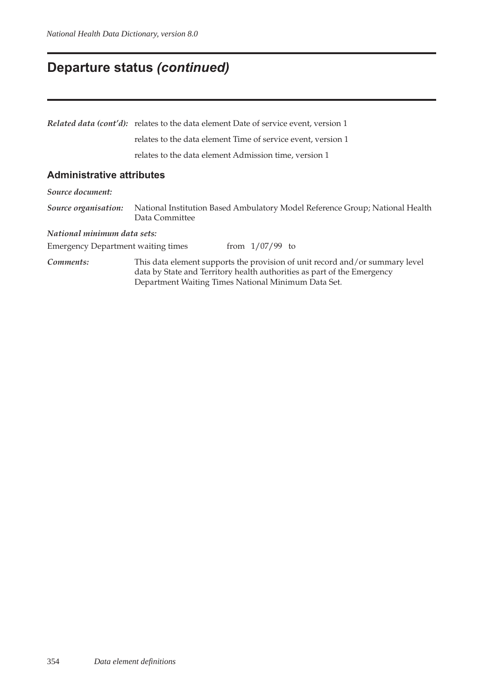# **Departure status** *(continued)*

|                                           | <b>Related data (cont'd):</b> relates to the data element Date of service event, version 1                                                                                                                     |  |  |  |  |  |  |
|-------------------------------------------|----------------------------------------------------------------------------------------------------------------------------------------------------------------------------------------------------------------|--|--|--|--|--|--|
|                                           | relates to the data element Time of service event, version 1                                                                                                                                                   |  |  |  |  |  |  |
|                                           | relates to the data element Admission time, version 1                                                                                                                                                          |  |  |  |  |  |  |
| <b>Administrative attributes</b>          |                                                                                                                                                                                                                |  |  |  |  |  |  |
| Source document:                          |                                                                                                                                                                                                                |  |  |  |  |  |  |
| Source organisation:                      | National Institution Based Ambulatory Model Reference Group; National Health<br>Data Committee                                                                                                                 |  |  |  |  |  |  |
| National minimum data sets:               |                                                                                                                                                                                                                |  |  |  |  |  |  |
| <b>Emergency Department waiting times</b> | from $1/07/99$ to                                                                                                                                                                                              |  |  |  |  |  |  |
| Comments:                                 | This data element supports the provision of unit record and/or summary level<br>data by State and Territory health authorities as part of the Emergency<br>Department Waiting Times National Minimum Data Set. |  |  |  |  |  |  |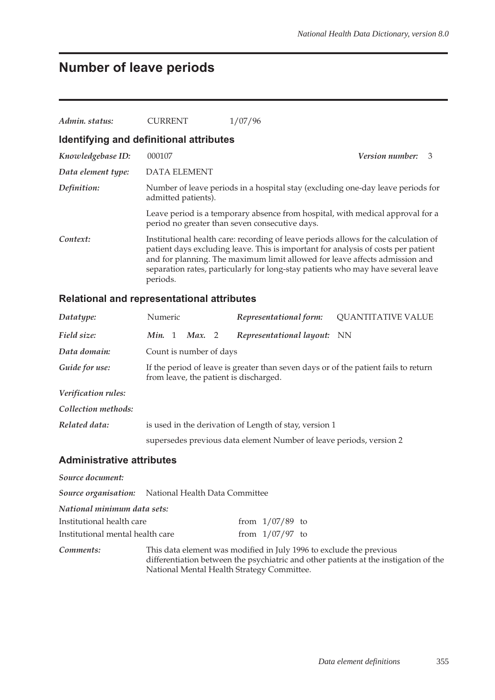# **Number of leave periods**

| Admin. status:                          | <b>CURRENT</b>      | 1/07/96                                                                                                                                                                                                                                                                                                                                     |  |
|-----------------------------------------|---------------------|---------------------------------------------------------------------------------------------------------------------------------------------------------------------------------------------------------------------------------------------------------------------------------------------------------------------------------------------|--|
| Identifying and definitional attributes |                     |                                                                                                                                                                                                                                                                                                                                             |  |
| Knowledgebase ID:                       | 000107              | Version number:<br>3                                                                                                                                                                                                                                                                                                                        |  |
| Data element type:                      | DATA ELEMENT        |                                                                                                                                                                                                                                                                                                                                             |  |
| Definition:                             | admitted patients). | Number of leave periods in a hospital stay (excluding one-day leave periods for                                                                                                                                                                                                                                                             |  |
|                                         |                     | Leave period is a temporary absence from hospital, with medical approval for a<br>period no greater than seven consecutive days.                                                                                                                                                                                                            |  |
| Context:                                | periods.            | Institutional health care: recording of leave periods allows for the calculation of<br>patient days excluding leave. This is important for analysis of costs per patient<br>and for planning. The maximum limit allowed for leave affects admission and<br>separation rates, particularly for long-stay patients who may have several leave |  |

## **Relational and representational attributes**

| Datatype:                        | Numeric                                                             |                                                                                                                               |                         |  | Representational form:   | <b>QUANTITATIVE VALUE</b> |  |
|----------------------------------|---------------------------------------------------------------------|-------------------------------------------------------------------------------------------------------------------------------|-------------------------|--|--------------------------|---------------------------|--|
| Field size:                      | Min. 1                                                              |                                                                                                                               | Max. 2                  |  | Representational layout: | - NN                      |  |
| Data domain:                     |                                                                     |                                                                                                                               | Count is number of days |  |                          |                           |  |
| Guide for use:                   |                                                                     | If the period of leave is greater than seven days or of the patient fails to return<br>from leave, the patient is discharged. |                         |  |                          |                           |  |
| Verification rules:              |                                                                     |                                                                                                                               |                         |  |                          |                           |  |
| Collection methods:              |                                                                     |                                                                                                                               |                         |  |                          |                           |  |
| Related data:                    | is used in the derivation of Length of stay, version 1              |                                                                                                                               |                         |  |                          |                           |  |
|                                  | supersedes previous data element Number of leave periods, version 2 |                                                                                                                               |                         |  |                          |                           |  |
| <b>Administrative attributes</b> |                                                                     |                                                                                                                               |                         |  |                          |                           |  |
| Source document:                 |                                                                     |                                                                                                                               |                         |  |                          |                           |  |
|                                  | <b>Source organisation:</b> National Health Data Committee          |                                                                                                                               |                         |  |                          |                           |  |
| National minimum data sets:      |                                                                     |                                                                                                                               |                         |  |                          |                           |  |

| Institutional health care        | from $1/07/89$ to |  |
|----------------------------------|-------------------|--|
| Institutional mental health care | from $1/07/97$ to |  |

*Comments:* This data element was modified in July 1996 to exclude the previous differentiation between the psychiatric and other patients at the instigation of the National Mental Health Strategy Committee.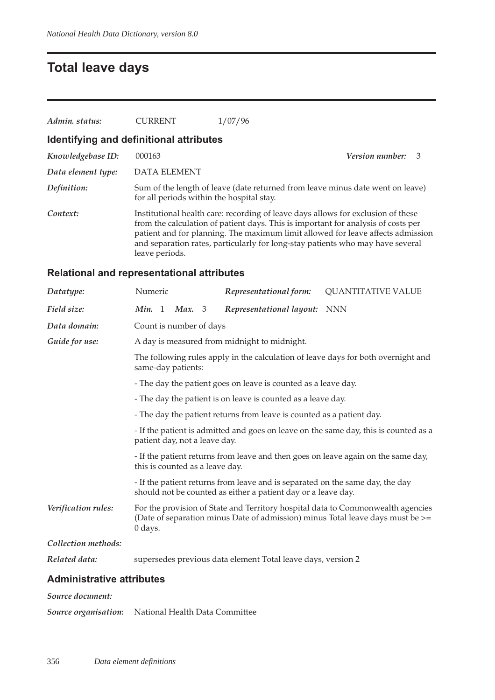## **Total leave days**

| Admin. status:                          | <b>CURRENT</b>                            | 1/07/96                                                                                                                                                                                                                                                                                                                                    |                 |    |
|-----------------------------------------|-------------------------------------------|--------------------------------------------------------------------------------------------------------------------------------------------------------------------------------------------------------------------------------------------------------------------------------------------------------------------------------------------|-----------------|----|
| Identifying and definitional attributes |                                           |                                                                                                                                                                                                                                                                                                                                            |                 |    |
| Knowledgebase ID:                       | 000163                                    |                                                                                                                                                                                                                                                                                                                                            | Version number: | -3 |
| Data element type:                      | DATA ELEMENT                              |                                                                                                                                                                                                                                                                                                                                            |                 |    |
| Definition:                             | for all periods within the hospital stay. | Sum of the length of leave (date returned from leave minus date went on leave)                                                                                                                                                                                                                                                             |                 |    |
| Context:                                | leave periods.                            | Institutional health care: recording of leave days allows for exclusion of these<br>from the calculation of patient days. This is important for analysis of costs per<br>patient and for planning. The maximum limit allowed for leave affects admission<br>and separation rates, particularly for long-stay patients who may have several |                 |    |

## **Relational and representational attributes**

| Datatype:           | Numeric                                                                                                                                                                      |                                                                                                                      |                         |  | Representational form:                                                                                                                         | <b>QUANTITATIVE VALUE</b> |
|---------------------|------------------------------------------------------------------------------------------------------------------------------------------------------------------------------|----------------------------------------------------------------------------------------------------------------------|-------------------------|--|------------------------------------------------------------------------------------------------------------------------------------------------|---------------------------|
| Field size:         | <b>Min.</b> 1                                                                                                                                                                |                                                                                                                      | Max. 3                  |  | Representational layout:                                                                                                                       | <b>NNN</b>                |
| Data domain:        |                                                                                                                                                                              |                                                                                                                      | Count is number of days |  |                                                                                                                                                |                           |
| Guide for use:      |                                                                                                                                                                              |                                                                                                                      |                         |  | A day is measured from midnight to midnight.                                                                                                   |                           |
|                     | The following rules apply in the calculation of leave days for both overnight and<br>same-day patients:                                                                      |                                                                                                                      |                         |  |                                                                                                                                                |                           |
|                     | - The day the patient goes on leave is counted as a leave day.                                                                                                               |                                                                                                                      |                         |  |                                                                                                                                                |                           |
|                     | - The day the patient is on leave is counted as a leave day.                                                                                                                 |                                                                                                                      |                         |  |                                                                                                                                                |                           |
|                     | - The day the patient returns from leave is counted as a patient day.                                                                                                        |                                                                                                                      |                         |  |                                                                                                                                                |                           |
|                     | - If the patient is admitted and goes on leave on the same day, this is counted as a<br>patient day, not a leave day.                                                        |                                                                                                                      |                         |  |                                                                                                                                                |                           |
|                     |                                                                                                                                                                              | - If the patient returns from leave and then goes on leave again on the same day,<br>this is counted as a leave day. |                         |  |                                                                                                                                                |                           |
|                     |                                                                                                                                                                              |                                                                                                                      |                         |  | - If the patient returns from leave and is separated on the same day, the day<br>should not be counted as either a patient day or a leave day. |                           |
| Verification rules: | For the provision of State and Territory hospital data to Commonwealth agencies<br>(Date of separation minus Date of admission) minus Total leave days must be >=<br>0 days. |                                                                                                                      |                         |  |                                                                                                                                                |                           |
| Collection methods: |                                                                                                                                                                              |                                                                                                                      |                         |  |                                                                                                                                                |                           |
| Related data:       |                                                                                                                                                                              |                                                                                                                      |                         |  | supersedes previous data element Total leave days, version 2                                                                                   |                           |

### **Administrative attributes**

#### *Source document:*

*Source organisation:* National Health Data Committee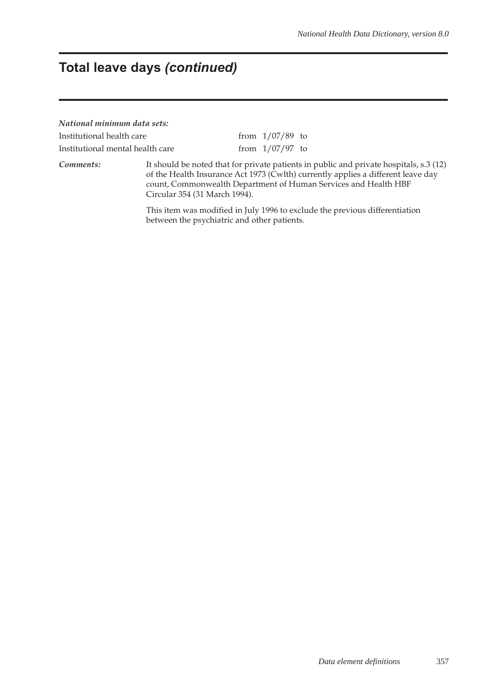# **Total leave days** *(continued)*

| National minimum data sets:      |  |                   |                                                                                                                                                                            |
|----------------------------------|--|-------------------|----------------------------------------------------------------------------------------------------------------------------------------------------------------------------|
| Institutional health care        |  | from $1/07/89$ to |                                                                                                                                                                            |
| Institutional mental health care |  | from $1/07/97$ to |                                                                                                                                                                            |
| Comments:                        |  |                   | It should be noted that for private patients in public and private hospitals, s.3 (12)<br>of the Health Insurance Act 1973 (Cwlth) currently applies a different leave day |

Circular 354 (31 March 1994). This item was modified in July 1996 to exclude the previous differentiation between the psychiatric and other patients.

count, Commonwealth Department of Human Services and Health HBF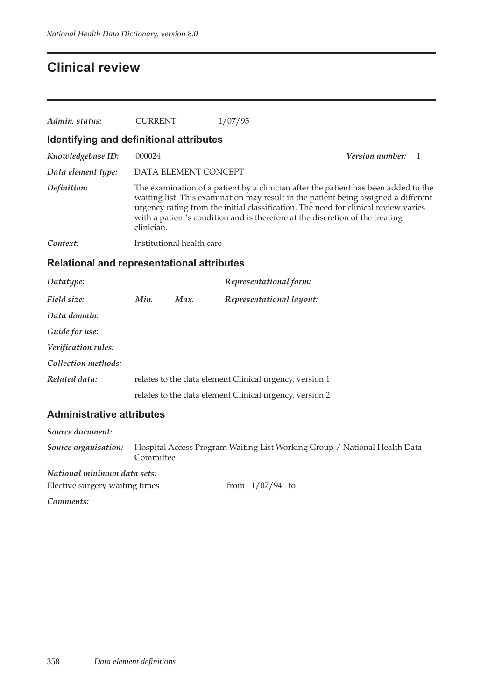# **Clinical review**

| Admin. status:                                    | <b>CURRENT</b>                                                                                                                                                                                                                                                                                                                                                   |  | 1/07/95                                                 |                        |   |
|---------------------------------------------------|------------------------------------------------------------------------------------------------------------------------------------------------------------------------------------------------------------------------------------------------------------------------------------------------------------------------------------------------------------------|--|---------------------------------------------------------|------------------------|---|
| Identifying and definitional attributes           |                                                                                                                                                                                                                                                                                                                                                                  |  |                                                         |                        |   |
| Knowledgebase ID:                                 | 000024                                                                                                                                                                                                                                                                                                                                                           |  |                                                         | <i>Version number:</i> | 1 |
| Data element type:                                | DATA ELEMENT CONCEPT                                                                                                                                                                                                                                                                                                                                             |  |                                                         |                        |   |
| Definition:                                       | The examination of a patient by a clinician after the patient has been added to the<br>waiting list. This examination may result in the patient being assigned a different<br>urgency rating from the initial classification. The need for clinical review varies<br>with a patient's condition and is therefore at the discretion of the treating<br>clinician. |  |                                                         |                        |   |
| Context:                                          | Institutional health care                                                                                                                                                                                                                                                                                                                                        |  |                                                         |                        |   |
| <b>Relational and representational attributes</b> |                                                                                                                                                                                                                                                                                                                                                                  |  |                                                         |                        |   |
| Datatype:                                         |                                                                                                                                                                                                                                                                                                                                                                  |  | Representational form:                                  |                        |   |
| Field size:                                       | Min.<br>Max.                                                                                                                                                                                                                                                                                                                                                     |  | Representational layout:                                |                        |   |
| Data domain:                                      |                                                                                                                                                                                                                                                                                                                                                                  |  |                                                         |                        |   |
| Guide for use:                                    |                                                                                                                                                                                                                                                                                                                                                                  |  |                                                         |                        |   |
| Verification rules:                               |                                                                                                                                                                                                                                                                                                                                                                  |  |                                                         |                        |   |
| Collection methods:                               |                                                                                                                                                                                                                                                                                                                                                                  |  |                                                         |                        |   |
| Related data:                                     |                                                                                                                                                                                                                                                                                                                                                                  |  | relates to the data element Clinical urgency, version 1 |                        |   |
|                                                   |                                                                                                                                                                                                                                                                                                                                                                  |  | relates to the data element Clinical urgency, version 2 |                        |   |

## **Administrative attributes**

| Source document:               |           |                                                                           |
|--------------------------------|-----------|---------------------------------------------------------------------------|
| Source organisation:           | Committee | Hospital Access Program Waiting List Working Group / National Health Data |
| National minimum data sets:    |           |                                                                           |
| Elective surgery waiting times |           | from $1/07/94$ to                                                         |
| Comments:                      |           |                                                                           |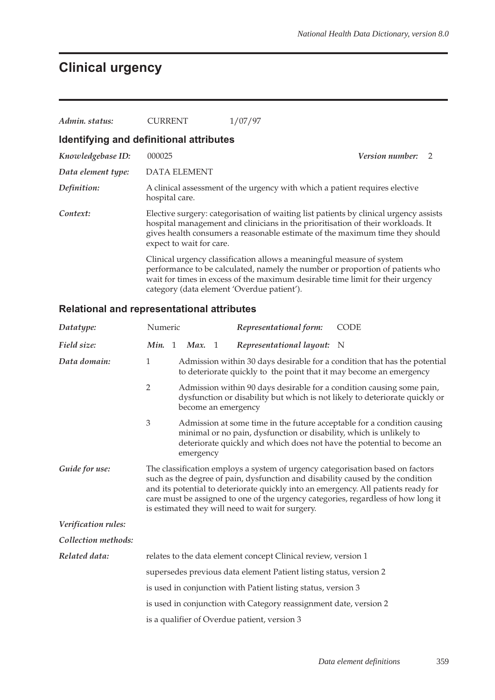# **Clinical urgency**

| Admin. status:     | <b>CURRENT</b>                          | 1/07/97                                                                                                                                                                                                                                                                                |  |
|--------------------|-----------------------------------------|----------------------------------------------------------------------------------------------------------------------------------------------------------------------------------------------------------------------------------------------------------------------------------------|--|
|                    | Identifying and definitional attributes |                                                                                                                                                                                                                                                                                        |  |
| Knowledgebase ID:  | 000025                                  | <i>Version number:</i><br>$\mathcal{D}$                                                                                                                                                                                                                                                |  |
| Data element type: | <b>DATA ELEMENT</b>                     |                                                                                                                                                                                                                                                                                        |  |
| Definition:        | hospital care.                          | A clinical assessment of the urgency with which a patient requires elective                                                                                                                                                                                                            |  |
| Context:           | expect to wait for care.                | Elective surgery: categorisation of waiting list patients by clinical urgency assists<br>hospital management and clinicians in the prioritisation of their workloads. It<br>gives health consumers a reasonable estimate of the maximum time they should                               |  |
|                    |                                         | Clinical urgency classification allows a meaningful measure of system<br>performance to be calculated, namely the number or proportion of patients who<br>wait for times in excess of the maximum desirable time limit for their urgency<br>category (data element 'Overdue patient'). |  |

## **Relational and representational attributes**

| Datatype:           | Numeric                                                                                                                                                                                                                                                                                                                                                                                         | Representational form:                                              | <b>CODE</b>                                                                                                                                          |  |
|---------------------|-------------------------------------------------------------------------------------------------------------------------------------------------------------------------------------------------------------------------------------------------------------------------------------------------------------------------------------------------------------------------------------------------|---------------------------------------------------------------------|------------------------------------------------------------------------------------------------------------------------------------------------------|--|
| Field size:         | Min. 1 Max. 1                                                                                                                                                                                                                                                                                                                                                                                   | Representational layout: N                                          |                                                                                                                                                      |  |
| Data domain:        | 1                                                                                                                                                                                                                                                                                                                                                                                               | to deteriorate quickly to the point that it may become an emergency | Admission within 30 days desirable for a condition that has the potential                                                                            |  |
|                     | $\overline{2}$<br>become an emergency                                                                                                                                                                                                                                                                                                                                                           |                                                                     | Admission within 90 days desirable for a condition causing some pain,<br>dysfunction or disability but which is not likely to deteriorate quickly or |  |
|                     | $\mathfrak{Z}$<br>emergency                                                                                                                                                                                                                                                                                                                                                                     | minimal or no pain, dysfunction or disability, which is unlikely to | Admission at some time in the future acceptable for a condition causing<br>deteriorate quickly and which does not have the potential to become an    |  |
| Guide for use:      | The classification employs a system of urgency categorisation based on factors<br>such as the degree of pain, dysfunction and disability caused by the condition<br>and its potential to deteriorate quickly into an emergency. All patients ready for<br>care must be assigned to one of the urgency categories, regardless of how long it<br>is estimated they will need to wait for surgery. |                                                                     |                                                                                                                                                      |  |
| Verification rules: |                                                                                                                                                                                                                                                                                                                                                                                                 |                                                                     |                                                                                                                                                      |  |
| Collection methods: |                                                                                                                                                                                                                                                                                                                                                                                                 |                                                                     |                                                                                                                                                      |  |
| Related data:       |                                                                                                                                                                                                                                                                                                                                                                                                 | relates to the data element concept Clinical review, version 1      |                                                                                                                                                      |  |
|                     |                                                                                                                                                                                                                                                                                                                                                                                                 | supersedes previous data element Patient listing status, version 2  |                                                                                                                                                      |  |
|                     |                                                                                                                                                                                                                                                                                                                                                                                                 | is used in conjunction with Patient listing status, version 3       |                                                                                                                                                      |  |
|                     |                                                                                                                                                                                                                                                                                                                                                                                                 | is used in conjunction with Category reassignment date, version 2   |                                                                                                                                                      |  |
|                     | is a qualifier of Overdue patient, version 3                                                                                                                                                                                                                                                                                                                                                    |                                                                     |                                                                                                                                                      |  |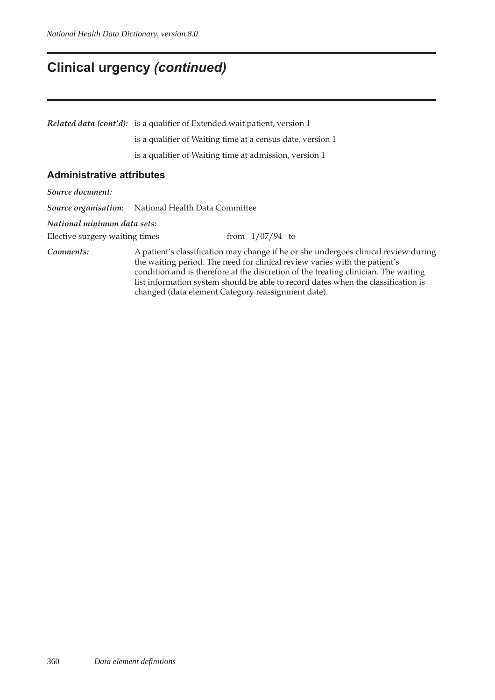## **Clinical urgency** *(continued)*

*Related data (cont'd):* is a qualifier of Extended wait patient, version 1

is a qualifier of Waiting time at a census date, version 1

is a qualifier of Waiting time at admission, version 1

#### **Administrative attributes**

*Source document:*

*Source organisation:* National Health Data Committee

*National minimum data sets:*

Elective surgery waiting times from  $1/07/94$  to

*Comments:* A patient's classification may change if he or she undergoes clinical review during the waiting period. The need for clinical review varies with the patient's condition and is therefore at the discretion of the treating clinician. The waiting list information system should be able to record dates when the classification is changed (data element Category reassignment date).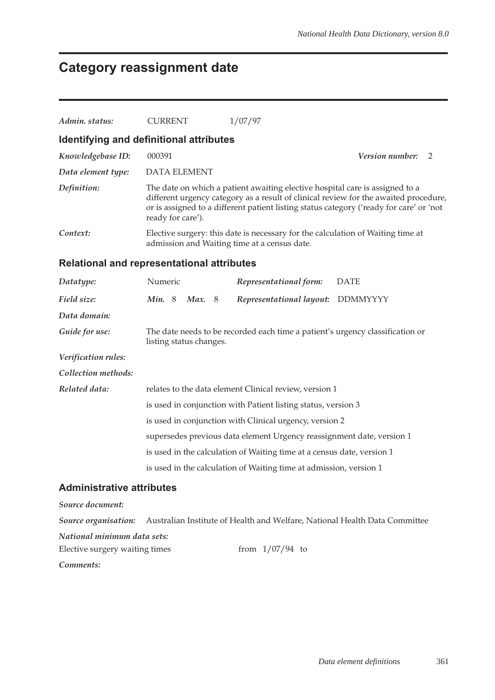# **Category reassignment date**

| Admin. status:                                    | <b>CURRENT</b>          | 1/07/97                                                                                                                                                                 |                                                                                      |
|---------------------------------------------------|-------------------------|-------------------------------------------------------------------------------------------------------------------------------------------------------------------------|--------------------------------------------------------------------------------------|
| Identifying and definitional attributes           |                         |                                                                                                                                                                         |                                                                                      |
| Knowledgebase ID:                                 | 000391                  |                                                                                                                                                                         | Version number:<br>2                                                                 |
| Data element type:                                | <b>DATA ELEMENT</b>     |                                                                                                                                                                         |                                                                                      |
| Definition:                                       | ready for care').       | The date on which a patient awaiting elective hospital care is assigned to a<br>or is assigned to a different patient listing status category ('ready for care' or 'not | different urgency category as a result of clinical review for the awaited procedure, |
| Context:                                          |                         | Elective surgery: this date is necessary for the calculation of Waiting time at<br>admission and Waiting time at a census date.                                         |                                                                                      |
| <b>Relational and representational attributes</b> |                         |                                                                                                                                                                         |                                                                                      |
| Datatype:                                         | Numeric                 | Representational form:                                                                                                                                                  | <b>DATE</b>                                                                          |
| Field size:                                       | Min. 8<br>Max. 8        | Representational layout: DDMMYYYY                                                                                                                                       |                                                                                      |
| Data domain:                                      |                         |                                                                                                                                                                         |                                                                                      |
| Guide for use:                                    | listing status changes. | The date needs to be recorded each time a patient's urgency classification or                                                                                           |                                                                                      |
| Verification rules:                               |                         |                                                                                                                                                                         |                                                                                      |
| Collection methods:                               |                         |                                                                                                                                                                         |                                                                                      |
| Related data:                                     |                         | relates to the data element Clinical review, version 1                                                                                                                  |                                                                                      |
|                                                   |                         | is used in conjunction with Patient listing status, version 3                                                                                                           |                                                                                      |
|                                                   |                         | is used in conjunction with Clinical urgency, version 2                                                                                                                 |                                                                                      |
|                                                   |                         | supersedes previous data element Urgency reassignment date, version 1                                                                                                   |                                                                                      |
|                                                   |                         | is used in the calculation of Waiting time at a census date, version 1                                                                                                  |                                                                                      |
|                                                   |                         | is used in the calculation of Waiting time at admission, version 1                                                                                                      |                                                                                      |
| <b>Administrative attributes</b>                  |                         |                                                                                                                                                                         |                                                                                      |
| Source document:                                  |                         |                                                                                                                                                                         |                                                                                      |
| Source organisation:                              |                         | Australian Institute of Health and Welfare, National Health Data Committee                                                                                              |                                                                                      |
| National minimum data sets:                       |                         |                                                                                                                                                                         |                                                                                      |
| Elective surgery waiting times                    |                         | from $1/07/94$ to                                                                                                                                                       |                                                                                      |

*Comments:*

*Data element definitions* 361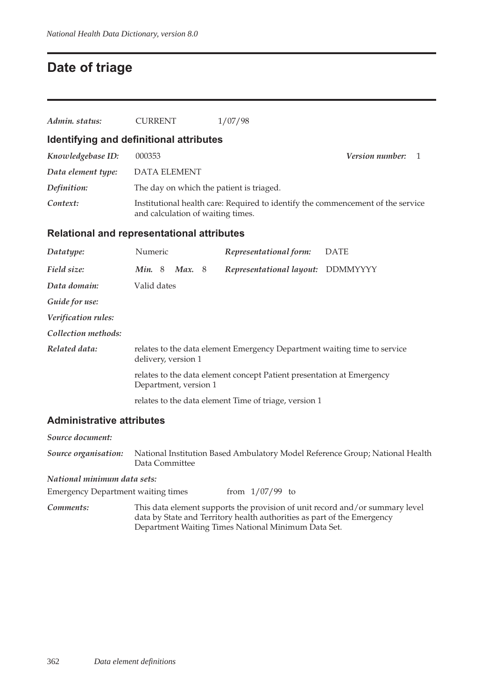# **Date of triage**

| Admin. status:                                    | CURRENT     |                             | 1/07/98                                  |                                                                                 |
|---------------------------------------------------|-------------|-----------------------------|------------------------------------------|---------------------------------------------------------------------------------|
| Identifying and definitional attributes           |             |                             |                                          |                                                                                 |
| Knowledgebase ID:                                 | 000353      |                             |                                          | <i>Version number:</i><br>-1                                                    |
| Data element type:                                |             | <b>DATA ELEMENT</b>         |                                          |                                                                                 |
| Definition:                                       |             |                             | The day on which the patient is triaged. |                                                                                 |
| Context:                                          |             |                             | and calculation of waiting times.        | Institutional health care: Required to identify the commencement of the service |
| <b>Relational and representational attributes</b> |             |                             |                                          |                                                                                 |
| Datatype:                                         | Numeric     |                             | Representational form:                   | <b>DATE</b>                                                                     |
| Field size:                                       |             | <i>Min.</i> 8 <i>Max.</i> 8 | Representational layout:                 | DDMMYYYY                                                                        |
| Data domain:                                      | Valid dates |                             |                                          |                                                                                 |
| Guide for use:                                    |             |                             |                                          |                                                                                 |
| Verification rules:                               |             |                             |                                          |                                                                                 |
| Collection methods:                               |             |                             |                                          |                                                                                 |

| Related data: | relates to the data element Emergency Department waiting time to service<br>delivery, version 1 |  |  |
|---------------|-------------------------------------------------------------------------------------------------|--|--|
|               | relates to the data element concept Patient presentation at Emergency<br>Department, version 1  |  |  |
|               | relates to the data element Time of triage, version 1                                           |  |  |

## **Administrative attributes**

| Source document:                          |                                                                                                                                                                                                                |  |  |  |
|-------------------------------------------|----------------------------------------------------------------------------------------------------------------------------------------------------------------------------------------------------------------|--|--|--|
| Source organisation:                      | National Institution Based Ambulatory Model Reference Group; National Health<br>Data Committee                                                                                                                 |  |  |  |
| National minimum data sets:               |                                                                                                                                                                                                                |  |  |  |
| <b>Emergency Department waiting times</b> | from $1/07/99$ to                                                                                                                                                                                              |  |  |  |
| Comments:                                 | This data element supports the provision of unit record and/or summary level<br>data by State and Territory health authorities as part of the Emergency<br>Department Waiting Times National Minimum Data Set. |  |  |  |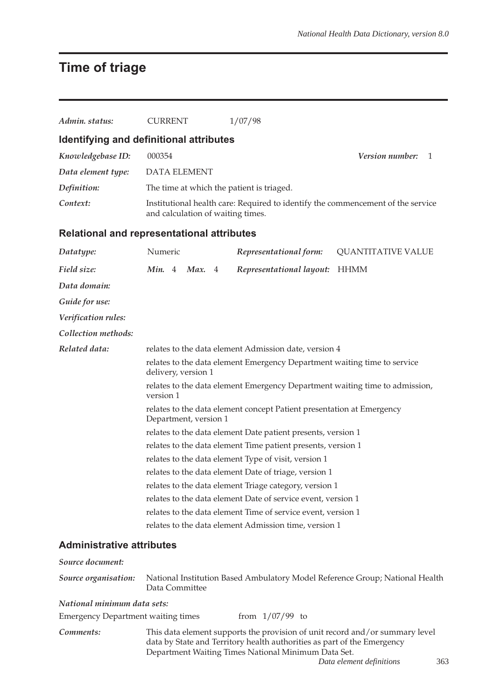# **Time of triage**

| Admin. status:                                    | <b>CURRENT</b>                                                                                  |  | 1/07/98                                                                                                                                                                                                        |                                                                              |  |  |  |
|---------------------------------------------------|-------------------------------------------------------------------------------------------------|--|----------------------------------------------------------------------------------------------------------------------------------------------------------------------------------------------------------------|------------------------------------------------------------------------------|--|--|--|
| Identifying and definitional attributes           |                                                                                                 |  |                                                                                                                                                                                                                |                                                                              |  |  |  |
| Knowledgebase ID:                                 | 000354                                                                                          |  |                                                                                                                                                                                                                | Version number:<br>1                                                         |  |  |  |
| Data element type:                                | <b>DATA ELEMENT</b>                                                                             |  |                                                                                                                                                                                                                |                                                                              |  |  |  |
| Definition:                                       |                                                                                                 |  | The time at which the patient is triaged.                                                                                                                                                                      |                                                                              |  |  |  |
| Context:                                          | and calculation of waiting times.                                                               |  | Institutional health care: Required to identify the commencement of the service                                                                                                                                |                                                                              |  |  |  |
| <b>Relational and representational attributes</b> |                                                                                                 |  |                                                                                                                                                                                                                |                                                                              |  |  |  |
| Datatype:                                         | Numeric                                                                                         |  | Representational form:                                                                                                                                                                                         | <b>QUANTITATIVE VALUE</b>                                                    |  |  |  |
| Field size:                                       | Min. 4<br>Max. $4$                                                                              |  | Representational layout:                                                                                                                                                                                       | HHMM                                                                         |  |  |  |
| Data domain:                                      |                                                                                                 |  |                                                                                                                                                                                                                |                                                                              |  |  |  |
| Guide for use:                                    |                                                                                                 |  |                                                                                                                                                                                                                |                                                                              |  |  |  |
| Verification rules:                               |                                                                                                 |  |                                                                                                                                                                                                                |                                                                              |  |  |  |
| Collection methods:                               |                                                                                                 |  |                                                                                                                                                                                                                |                                                                              |  |  |  |
| Related data:                                     | relates to the data element Admission date, version 4                                           |  |                                                                                                                                                                                                                |                                                                              |  |  |  |
|                                                   | relates to the data element Emergency Department waiting time to service<br>delivery, version 1 |  |                                                                                                                                                                                                                |                                                                              |  |  |  |
|                                                   | relates to the data element Emergency Department waiting time to admission,<br>version 1        |  |                                                                                                                                                                                                                |                                                                              |  |  |  |
|                                                   | relates to the data element concept Patient presentation at Emergency<br>Department, version 1  |  |                                                                                                                                                                                                                |                                                                              |  |  |  |
|                                                   | relates to the data element Date patient presents, version 1                                    |  |                                                                                                                                                                                                                |                                                                              |  |  |  |
|                                                   | relates to the data element Time patient presents, version 1                                    |  |                                                                                                                                                                                                                |                                                                              |  |  |  |
|                                                   | relates to the data element Type of visit, version 1                                            |  |                                                                                                                                                                                                                |                                                                              |  |  |  |
|                                                   | relates to the data element Date of triage, version 1                                           |  |                                                                                                                                                                                                                |                                                                              |  |  |  |
|                                                   | relates to the data element Triage category, version 1                                          |  |                                                                                                                                                                                                                |                                                                              |  |  |  |
|                                                   | relates to the data element Date of service event, version 1                                    |  |                                                                                                                                                                                                                |                                                                              |  |  |  |
|                                                   |                                                                                                 |  | relates to the data element Time of service event, version 1                                                                                                                                                   |                                                                              |  |  |  |
|                                                   |                                                                                                 |  | relates to the data element Admission time, version 1                                                                                                                                                          |                                                                              |  |  |  |
| <b>Administrative attributes</b>                  |                                                                                                 |  |                                                                                                                                                                                                                |                                                                              |  |  |  |
| Source document:                                  |                                                                                                 |  |                                                                                                                                                                                                                |                                                                              |  |  |  |
| Source organisation:                              | Data Committee                                                                                  |  |                                                                                                                                                                                                                | National Institution Based Ambulatory Model Reference Group; National Health |  |  |  |
| National minimum data sets:                       |                                                                                                 |  |                                                                                                                                                                                                                |                                                                              |  |  |  |
| <b>Emergency Department waiting times</b>         |                                                                                                 |  | from $1/07/99$ to                                                                                                                                                                                              |                                                                              |  |  |  |
| Comments:                                         |                                                                                                 |  | This data element supports the provision of unit record and/or summary level<br>data by State and Territory health authorities as part of the Emergency<br>Department Waiting Times National Minimum Data Set. | Data element definitions<br>363                                              |  |  |  |
|                                                   |                                                                                                 |  |                                                                                                                                                                                                                |                                                                              |  |  |  |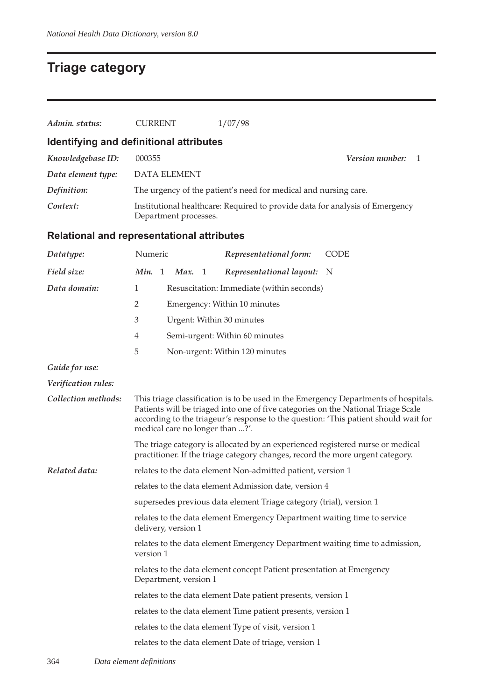## **Triage category**

| Admin. status:      | <b>CURRENT</b>                                                      | 1/07/98                                                                                                                                                                                                                                                         |  |  |  |  |  |
|---------------------|---------------------------------------------------------------------|-----------------------------------------------------------------------------------------------------------------------------------------------------------------------------------------------------------------------------------------------------------------|--|--|--|--|--|
|                     | Identifying and definitional attributes                             |                                                                                                                                                                                                                                                                 |  |  |  |  |  |
| Knowledgebase ID:   | 000355                                                              | Version number:<br>1                                                                                                                                                                                                                                            |  |  |  |  |  |
| Data element type:  | <b>DATA ELEMENT</b>                                                 |                                                                                                                                                                                                                                                                 |  |  |  |  |  |
| Definition:         |                                                                     | The urgency of the patient's need for medical and nursing care.                                                                                                                                                                                                 |  |  |  |  |  |
| Context:            |                                                                     | Institutional healthcare: Required to provide data for analysis of Emergency<br>Department processes.                                                                                                                                                           |  |  |  |  |  |
|                     | <b>Relational and representational attributes</b>                   |                                                                                                                                                                                                                                                                 |  |  |  |  |  |
| Datatype:           | Numeric                                                             | Representational form:<br><b>CODE</b>                                                                                                                                                                                                                           |  |  |  |  |  |
| Field size:         | Min. 1<br>Max.<br>- 1                                               | Representational layout: N                                                                                                                                                                                                                                      |  |  |  |  |  |
| Data domain:        | $\mathbf{1}$                                                        | Resuscitation: Immediate (within seconds)                                                                                                                                                                                                                       |  |  |  |  |  |
|                     | 2                                                                   | Emergency: Within 10 minutes                                                                                                                                                                                                                                    |  |  |  |  |  |
|                     | 3                                                                   | Urgent: Within 30 minutes                                                                                                                                                                                                                                       |  |  |  |  |  |
|                     | $\overline{4}$                                                      | Semi-urgent: Within 60 minutes                                                                                                                                                                                                                                  |  |  |  |  |  |
|                     | 5                                                                   | Non-urgent: Within 120 minutes                                                                                                                                                                                                                                  |  |  |  |  |  |
| Guide for use:      |                                                                     |                                                                                                                                                                                                                                                                 |  |  |  |  |  |
| Verification rules: |                                                                     |                                                                                                                                                                                                                                                                 |  |  |  |  |  |
| Collection methods: | medical care no longer than ?'.                                     | This triage classification is to be used in the Emergency Departments of hospitals.<br>Patients will be triaged into one of five categories on the National Triage Scale<br>according to the triageur's response to the question: 'This patient should wait for |  |  |  |  |  |
|                     |                                                                     | The triage category is allocated by an experienced registered nurse or medical<br>practitioner. If the triage category changes, record the more urgent category.                                                                                                |  |  |  |  |  |
| Related data:       |                                                                     | relates to the data element Non-admitted patient, version 1                                                                                                                                                                                                     |  |  |  |  |  |
|                     |                                                                     | relates to the data element Admission date, version 4                                                                                                                                                                                                           |  |  |  |  |  |
|                     | supersedes previous data element Triage category (trial), version 1 |                                                                                                                                                                                                                                                                 |  |  |  |  |  |
|                     | delivery, version 1                                                 | relates to the data element Emergency Department waiting time to service                                                                                                                                                                                        |  |  |  |  |  |
|                     | version 1                                                           | relates to the data element Emergency Department waiting time to admission,                                                                                                                                                                                     |  |  |  |  |  |
|                     | Department, version 1                                               | relates to the data element concept Patient presentation at Emergency                                                                                                                                                                                           |  |  |  |  |  |

relates to the data element Date patient presents, version 1

- relates to the data element Time patient presents, version 1
- relates to the data element Type of visit, version 1
- relates to the data element Date of triage, version 1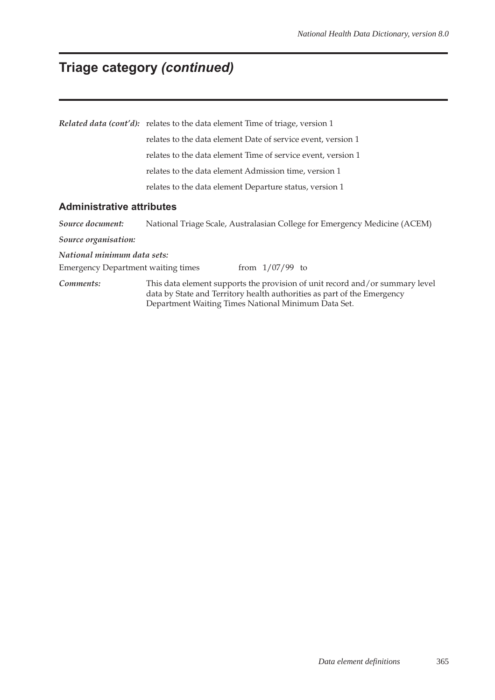# **Triage category** *(continued)*

|                                           | <b>Related data (cont'd):</b> relates to the data element Time of triage, version 1                                                                                                                            |  |  |  |  |  |  |
|-------------------------------------------|----------------------------------------------------------------------------------------------------------------------------------------------------------------------------------------------------------------|--|--|--|--|--|--|
|                                           | relates to the data element Date of service event, version 1                                                                                                                                                   |  |  |  |  |  |  |
|                                           | relates to the data element Time of service event, version 1                                                                                                                                                   |  |  |  |  |  |  |
|                                           | relates to the data element Admission time, version 1                                                                                                                                                          |  |  |  |  |  |  |
|                                           | relates to the data element Departure status, version 1                                                                                                                                                        |  |  |  |  |  |  |
| <b>Administrative attributes</b>          |                                                                                                                                                                                                                |  |  |  |  |  |  |
| Source document:                          | National Triage Scale, Australasian College for Emergency Medicine (ACEM)                                                                                                                                      |  |  |  |  |  |  |
| Source organisation:                      |                                                                                                                                                                                                                |  |  |  |  |  |  |
| National minimum data sets:               |                                                                                                                                                                                                                |  |  |  |  |  |  |
| <b>Emergency Department waiting times</b> | from $1/07/99$ to                                                                                                                                                                                              |  |  |  |  |  |  |
| Comments:                                 | This data element supports the provision of unit record and/or summary level<br>data by State and Territory health authorities as part of the Emergency<br>Department Waiting Times National Minimum Data Set. |  |  |  |  |  |  |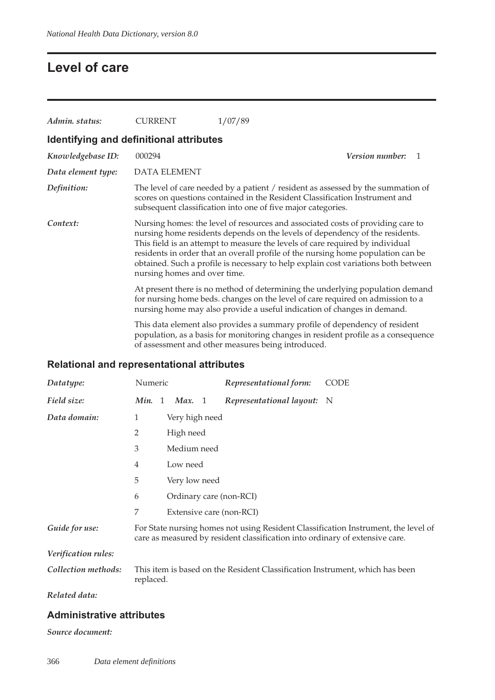## **Level of care**

| Admin. status:                          | <b>CURRENT</b>               | 1/07/89                                                                                                                                                                                                                                                                                                                                                                                                                    |
|-----------------------------------------|------------------------------|----------------------------------------------------------------------------------------------------------------------------------------------------------------------------------------------------------------------------------------------------------------------------------------------------------------------------------------------------------------------------------------------------------------------------|
| Identifying and definitional attributes |                              |                                                                                                                                                                                                                                                                                                                                                                                                                            |
| Knowledgebase ID:                       | 000294                       | <b>Version number:</b><br>1                                                                                                                                                                                                                                                                                                                                                                                                |
| Data element type:                      | <b>DATA ELEMENT</b>          |                                                                                                                                                                                                                                                                                                                                                                                                                            |
| Definition:                             |                              | The level of care needed by a patient / resident as assessed by the summation of<br>scores on questions contained in the Resident Classification Instrument and<br>subsequent classification into one of five major categories.                                                                                                                                                                                            |
| Context:                                | nursing homes and over time. | Nursing homes: the level of resources and associated costs of providing care to<br>nursing home residents depends on the levels of dependency of the residents.<br>This field is an attempt to measure the levels of care required by individual<br>residents in order that an overall profile of the nursing home population can be<br>obtained. Such a profile is necessary to help explain cost variations both between |
|                                         |                              | At present there is no method of determining the underlying population demand<br>for nursing home beds. changes on the level of care required on admission to a<br>nursing home may also provide a useful indication of changes in demand.                                                                                                                                                                                 |
|                                         |                              | This data element also provides a summary profile of dependency of resident<br>population, as a basis for monitoring changes in resident profile as a consequence<br>of assessment and other measures being introduced.                                                                                                                                                                                                    |

## **Relational and representational attributes**

| Datatype:           | Numeric   |           |                | Representational form:                                                       | <b>CODE</b>                                                                        |
|---------------------|-----------|-----------|----------------|------------------------------------------------------------------------------|------------------------------------------------------------------------------------|
| Field size:         | Min. 1    | Max. 1    |                | Representational layout: N                                                   |                                                                                    |
| Data domain:        | 1         |           | Very high need |                                                                              |                                                                                    |
|                     | 2         | High need |                |                                                                              |                                                                                    |
|                     | 3         |           | Medium need    |                                                                              |                                                                                    |
|                     | 4         | Low need  |                |                                                                              |                                                                                    |
|                     | 5         |           | Very low need  |                                                                              |                                                                                    |
|                     | 6         |           |                | Ordinary care (non-RCI)                                                      |                                                                                    |
|                     | 7         |           |                | Extensive care (non-RCI)                                                     |                                                                                    |
| Guide for use:      |           |           |                | care as measured by resident classification into ordinary of extensive care. | For State nursing homes not using Resident Classification Instrument, the level of |
| Verification rules: |           |           |                |                                                                              |                                                                                    |
| Collection methods: | replaced. |           |                | This item is based on the Resident Classification Instrument, which has been |                                                                                    |
| Related data:       |           |           |                |                                                                              |                                                                                    |

#### **Administrative attributes**

#### *Source document:*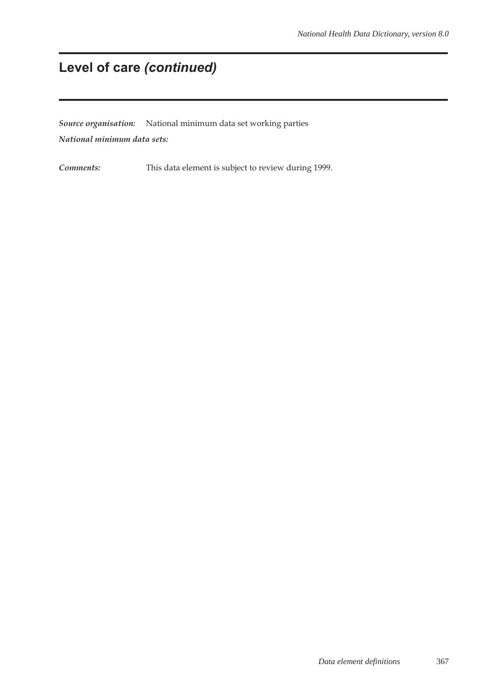# **Level of care** *(continued)*

*Source organisation:* National minimum data set working parties *National minimum data sets:*

*Comments:* This data element is subject to review during 1999.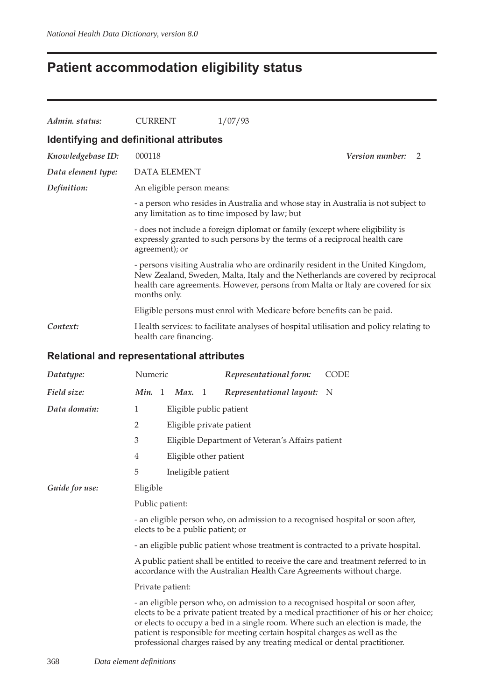## **Patient accommodation eligibility status**

| Admin. status:     | <b>CURRENT</b>                          | 1/07/93                                                                                                                                                                                                                                                |   |
|--------------------|-----------------------------------------|--------------------------------------------------------------------------------------------------------------------------------------------------------------------------------------------------------------------------------------------------------|---|
|                    | Identifying and definitional attributes |                                                                                                                                                                                                                                                        |   |
| Knowledgebase ID:  | 000118                                  | <i>Version number:</i>                                                                                                                                                                                                                                 | 2 |
| Data element type: | <b>DATA ELEMENT</b>                     |                                                                                                                                                                                                                                                        |   |
| Definition:        | An eligible person means:               |                                                                                                                                                                                                                                                        |   |
|                    |                                         | - a person who resides in Australia and whose stay in Australia is not subject to<br>any limitation as to time imposed by law; but                                                                                                                     |   |
|                    | agreement); or                          | - does not include a foreign diplomat or family (except where eligibility is<br>expressly granted to such persons by the terms of a reciprocal health care                                                                                             |   |
|                    | months only.                            | - persons visiting Australia who are ordinarily resident in the United Kingdom,<br>New Zealand, Sweden, Malta, Italy and the Netherlands are covered by reciprocal<br>health care agreements. However, persons from Malta or Italy are covered for six |   |
|                    |                                         | Eligible persons must enrol with Medicare before benefits can be paid.                                                                                                                                                                                 |   |
| Context:           | health care financing.                  | Health services: to facilitate analyses of hospital utilisation and policy relating to                                                                                                                                                                 |   |

## **Relational and representational attributes**

| Datatype:      | Numeric<br>CODE<br>Representational form:                                                                                                                                                                                                                                                                                                                                                                                |  |  |  |  |  |
|----------------|--------------------------------------------------------------------------------------------------------------------------------------------------------------------------------------------------------------------------------------------------------------------------------------------------------------------------------------------------------------------------------------------------------------------------|--|--|--|--|--|
| Field size:    | Representational layout: N<br>Min. 1<br>Max. 1                                                                                                                                                                                                                                                                                                                                                                           |  |  |  |  |  |
| Data domain:   | $\mathbf{1}$<br>Eligible public patient                                                                                                                                                                                                                                                                                                                                                                                  |  |  |  |  |  |
|                | $\overline{2}$<br>Eligible private patient                                                                                                                                                                                                                                                                                                                                                                               |  |  |  |  |  |
|                | 3<br>Eligible Department of Veteran's Affairs patient                                                                                                                                                                                                                                                                                                                                                                    |  |  |  |  |  |
|                | 4<br>Eligible other patient                                                                                                                                                                                                                                                                                                                                                                                              |  |  |  |  |  |
|                | 5<br>Ineligible patient                                                                                                                                                                                                                                                                                                                                                                                                  |  |  |  |  |  |
| Guide for use: | Eligible                                                                                                                                                                                                                                                                                                                                                                                                                 |  |  |  |  |  |
|                | Public patient:                                                                                                                                                                                                                                                                                                                                                                                                          |  |  |  |  |  |
|                | - an eligible person who, on admission to a recognised hospital or soon after,<br>elects to be a public patient; or                                                                                                                                                                                                                                                                                                      |  |  |  |  |  |
|                | - an eligible public patient whose treatment is contracted to a private hospital.                                                                                                                                                                                                                                                                                                                                        |  |  |  |  |  |
|                | A public patient shall be entitled to receive the care and treatment referred to in<br>accordance with the Australian Health Care Agreements without charge.                                                                                                                                                                                                                                                             |  |  |  |  |  |
|                | Private patient:                                                                                                                                                                                                                                                                                                                                                                                                         |  |  |  |  |  |
|                | - an eligible person who, on admission to a recognised hospital or soon after,<br>elects to be a private patient treated by a medical practitioner of his or her choice;<br>or elects to occupy a bed in a single room. Where such an election is made, the<br>patient is responsible for meeting certain hospital charges as well as the<br>professional charges raised by any treating medical or dental practitioner. |  |  |  |  |  |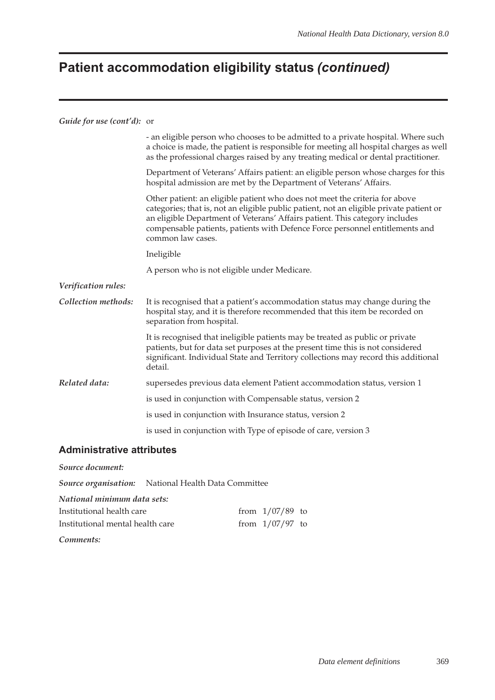# **Patient accommodation eligibility status** *(continued)*

#### *Guide for use (cont'd):* or

|                     | - an eligible person who chooses to be admitted to a private hospital. Where such<br>a choice is made, the patient is responsible for meeting all hospital charges as well<br>as the professional charges raised by any treating medical or dental practitioner.                                                                                           |
|---------------------|------------------------------------------------------------------------------------------------------------------------------------------------------------------------------------------------------------------------------------------------------------------------------------------------------------------------------------------------------------|
|                     | Department of Veterans' Affairs patient: an eligible person whose charges for this<br>hospital admission are met by the Department of Veterans' Affairs.                                                                                                                                                                                                   |
|                     | Other patient: an eligible patient who does not meet the criteria for above<br>categories; that is, not an eligible public patient, not an eligible private patient or<br>an eligible Department of Veterans' Affairs patient. This category includes<br>compensable patients, patients with Defence Force personnel entitlements and<br>common law cases. |
|                     | Ineligible                                                                                                                                                                                                                                                                                                                                                 |
|                     | A person who is not eligible under Medicare.                                                                                                                                                                                                                                                                                                               |
| Verification rules: |                                                                                                                                                                                                                                                                                                                                                            |
| Collection methods: | It is recognised that a patient's accommodation status may change during the<br>hospital stay, and it is therefore recommended that this item be recorded on<br>separation from hospital.                                                                                                                                                                  |
|                     | It is recognised that ineligible patients may be treated as public or private<br>patients, but for data set purposes at the present time this is not considered<br>significant. Individual State and Territory collections may record this additional<br>detail.                                                                                           |
| Related data:       | supersedes previous data element Patient accommodation status, version 1                                                                                                                                                                                                                                                                                   |
|                     | is used in conjunction with Compensable status, version 2                                                                                                                                                                                                                                                                                                  |
|                     | is used in conjunction with Insurance status, version 2                                                                                                                                                                                                                                                                                                    |
|                     | is used in conjunction with Type of episode of care, version 3                                                                                                                                                                                                                                                                                             |
|                     |                                                                                                                                                                                                                                                                                                                                                            |

#### **Administrative attributes**

*Source document:*

*Source organisation:* National Health Data Committee

*National minimum data sets:*

| Institutional health care        | from $1/07/89$ to |  |
|----------------------------------|-------------------|--|
| Institutional mental health care | from $1/07/97$ to |  |

*Comments:*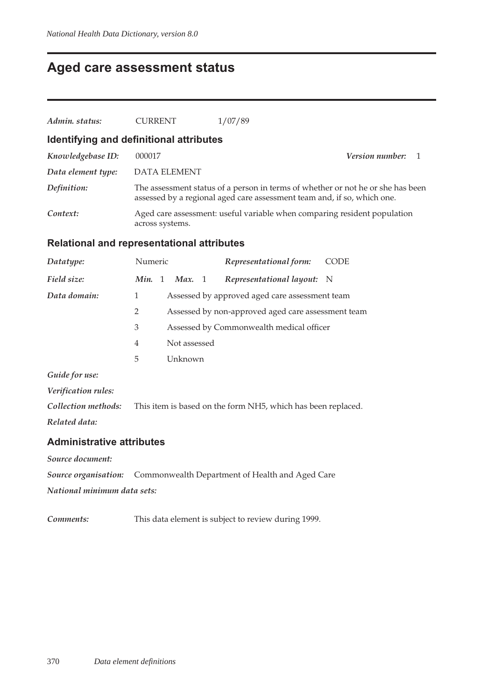## **Aged care assessment status**

| Admin. status:                          | <b>CURRENT</b>      | 1/07/89                                                                                                                                                    |                        |  |
|-----------------------------------------|---------------------|------------------------------------------------------------------------------------------------------------------------------------------------------------|------------------------|--|
| Identifying and definitional attributes |                     |                                                                                                                                                            |                        |  |
| Knowledgebase ID:                       | 000017              |                                                                                                                                                            | <i>Version number:</i> |  |
| Data element type:                      | <b>DATA ELEMENT</b> |                                                                                                                                                            |                        |  |
| Definition:                             |                     | The assessment status of a person in terms of whether or not he or she has been<br>assessed by a regional aged care assessment team and, if so, which one. |                        |  |
| Context:                                | across systems.     | Aged care assessment: useful variable when comparing resident population                                                                                   |                        |  |

#### **Relational and representational attributes**

| Datatype:                        | Numeric        |              | Representational form:                                       | <b>CODE</b> |
|----------------------------------|----------------|--------------|--------------------------------------------------------------|-------------|
| Field size:                      | Min. 1         | Max. 1       | Representational layout: N                                   |             |
| Data domain:                     | 1              |              | Assessed by approved aged care assessment team               |             |
|                                  | 2              |              | Assessed by non-approved aged care assessment team           |             |
|                                  | 3              |              | Assessed by Commonwealth medical officer                     |             |
|                                  | $\overline{4}$ | Not assessed |                                                              |             |
|                                  | 5              | Unknown      |                                                              |             |
| Guide for use:                   |                |              |                                                              |             |
| Verification rules:              |                |              |                                                              |             |
| Collection methods:              |                |              | This item is based on the form NH5, which has been replaced. |             |
| Related data:                    |                |              |                                                              |             |
| <b>Administrative attributes</b> |                |              |                                                              |             |
| Source document:                 |                |              |                                                              |             |

*Source organisation:* Commonwealth Department of Health and Aged Care

*National minimum data sets:*

*Comments:* This data element is subject to review during 1999.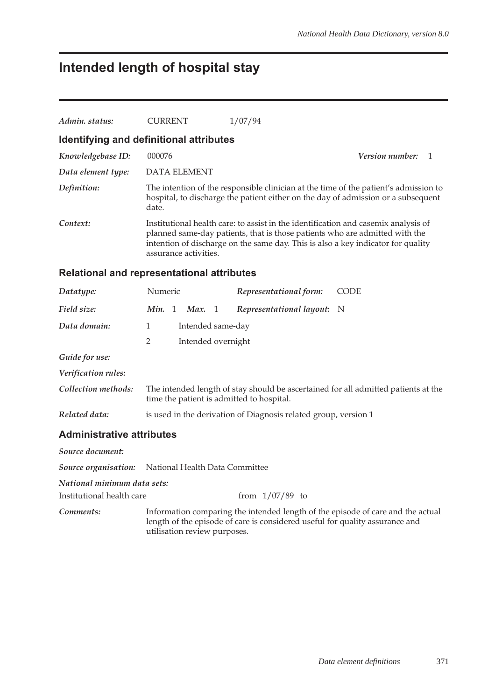# **Intended length of hospital stay**

| Admin. status:                          | <b>CURRENT</b>                                                  | 1/07/94                                                                                                                                                                                                                                               |                                                                                      |
|-----------------------------------------|-----------------------------------------------------------------|-------------------------------------------------------------------------------------------------------------------------------------------------------------------------------------------------------------------------------------------------------|--------------------------------------------------------------------------------------|
| Identifying and definitional attributes |                                                                 |                                                                                                                                                                                                                                                       |                                                                                      |
| Knowledgebase ID:                       | 000076                                                          |                                                                                                                                                                                                                                                       | <i>Version number:</i><br>1                                                          |
| Data element type:                      | <b>DATA ELEMENT</b>                                             |                                                                                                                                                                                                                                                       |                                                                                      |
| Definition:                             | date.                                                           | hospital, to discharge the patient either on the day of admission or a subsequent                                                                                                                                                                     | The intention of the responsible clinician at the time of the patient's admission to |
| Context:                                | assurance activities.                                           | Institutional health care: to assist in the identification and casemix analysis of<br>planned same-day patients, that is those patients who are admitted with the<br>intention of discharge on the same day. This is also a key indicator for quality |                                                                                      |
|                                         | <b>Relational and representational attributes</b>               |                                                                                                                                                                                                                                                       |                                                                                      |
| Datatype:                               | Numeric                                                         | Representational form:                                                                                                                                                                                                                                | <b>CODE</b>                                                                          |
| Field size:                             | Min. 1<br>Max. $1$                                              | Representational layout: N                                                                                                                                                                                                                            |                                                                                      |
| Data domain:                            | $\mathbf{1}$<br>Intended same-day                               |                                                                                                                                                                                                                                                       |                                                                                      |
|                                         | 2<br>Intended overnight                                         |                                                                                                                                                                                                                                                       |                                                                                      |
| Guide for use:                          |                                                                 |                                                                                                                                                                                                                                                       |                                                                                      |
| Verification rules:                     |                                                                 |                                                                                                                                                                                                                                                       |                                                                                      |
| Collection methods:                     | time the patient is admitted to hospital.                       |                                                                                                                                                                                                                                                       | The intended length of stay should be ascertained for all admitted patients at the   |
| Related data:                           | is used in the derivation of Diagnosis related group, version 1 |                                                                                                                                                                                                                                                       |                                                                                      |
| <b>Administrative attributes</b>        |                                                                 |                                                                                                                                                                                                                                                       |                                                                                      |
| Source document:                        |                                                                 |                                                                                                                                                                                                                                                       |                                                                                      |
| Source organisation:                    | National Health Data Committee                                  |                                                                                                                                                                                                                                                       |                                                                                      |
| National minimum data sets:             |                                                                 |                                                                                                                                                                                                                                                       |                                                                                      |
| Institutional health care               |                                                                 | from $1/07/89$ to                                                                                                                                                                                                                                     |                                                                                      |
| Comments:                               | utilisation review purposes.                                    | Information comparing the intended length of the episode of care and the actual<br>length of the episode of care is considered useful for quality assurance and                                                                                       |                                                                                      |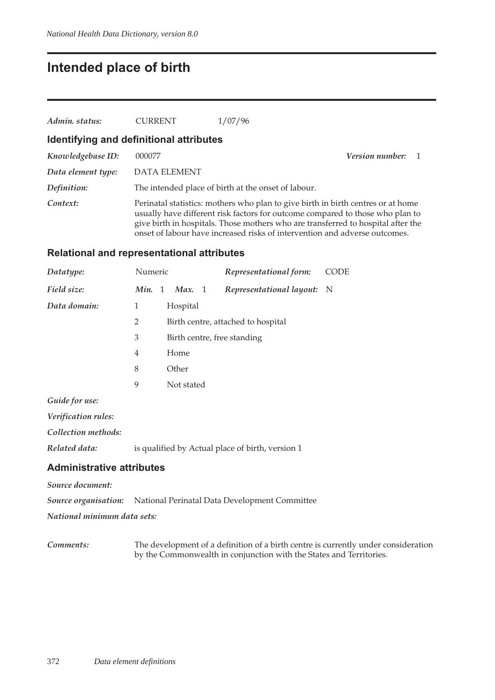## **Intended place of birth**

| Admin. status:     | <b>CURRENT</b>                          | 1/07/96                                                                                                                                                                                                                                               |                        |  |
|--------------------|-----------------------------------------|-------------------------------------------------------------------------------------------------------------------------------------------------------------------------------------------------------------------------------------------------------|------------------------|--|
|                    | Identifying and definitional attributes |                                                                                                                                                                                                                                                       |                        |  |
| Knowledgebase ID:  | 000077                                  |                                                                                                                                                                                                                                                       | <b>Version number:</b> |  |
| Data element type: | <b>DATA ELEMENT</b>                     |                                                                                                                                                                                                                                                       |                        |  |
| Definition:        |                                         | The intended place of birth at the onset of labour.                                                                                                                                                                                                   |                        |  |
| Context:           |                                         | Perinatal statistics: mothers who plan to give birth in birth centres or at home<br>usually have different risk factors for outcome compared to those who plan to<br>give birth in hospitals. Those mothers who are transferred to hospital after the |                        |  |

onset of labour have increased risks of intervention and adverse outcomes.

#### **Relational and representational attributes**

| Datatype:      | Numeric        |                             | Representational form:             | <b>CODE</b> |
|----------------|----------------|-----------------------------|------------------------------------|-------------|
| Field size:    | Min.           | Max. 1<br>1                 | Representational layout: N         |             |
| Data domain:   | 1              | Hospital                    |                                    |             |
|                | $\overline{2}$ |                             | Birth centre, attached to hospital |             |
|                | 3              | Birth centre, free standing |                                    |             |
|                | 4              | Home                        |                                    |             |
|                | 8              | Other                       |                                    |             |
|                | 9              | Not stated                  |                                    |             |
| Guide for use: |                |                             |                                    |             |

*Verification rules:*

*Collection methods:*

*Related data:* is qualified by Actual place of birth, version 1

#### **Administrative attributes**

*Source document:*

*Source organisation:* National Perinatal Data Development Committee

*National minimum data sets:*

*Comments:* The development of a definition of a birth centre is currently under consideration by the Commonwealth in conjunction with the States and Territories.